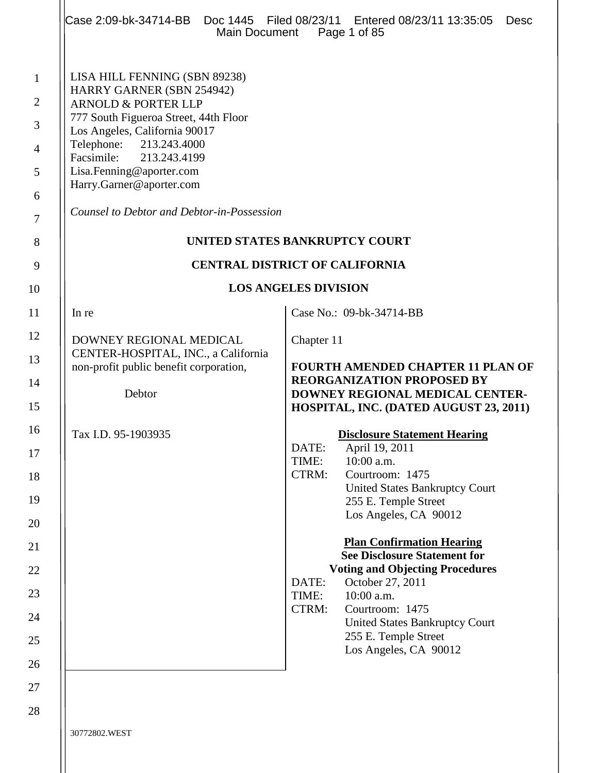|                                                                                     | Case 2:09-bk-34714-BB  Doc 1445  Filed 08/23/11  Entered 08/23/11  13:35:05<br>Main Document                                                                                                                                                                                                                                       | Desc<br>Page 1 of 85                                                                                                                                                                                                                                                                                                                                                                                                                               |
|-------------------------------------------------------------------------------------|------------------------------------------------------------------------------------------------------------------------------------------------------------------------------------------------------------------------------------------------------------------------------------------------------------------------------------|----------------------------------------------------------------------------------------------------------------------------------------------------------------------------------------------------------------------------------------------------------------------------------------------------------------------------------------------------------------------------------------------------------------------------------------------------|
| $\mathbf{1}$<br>$\overline{2}$<br>3<br>$\overline{4}$<br>5<br>6<br>$\tau$<br>8<br>9 | LISA HILL FENNING (SBN 89238)<br>HARRY GARNER (SBN 254942)<br><b>ARNOLD &amp; PORTER LLP</b><br>777 South Figueroa Street, 44th Floor<br>Los Angeles, California 90017<br>Telephone: 213.243.4000<br>Facsimile: 213.243.4199<br>Lisa.Fenning@aporter.com<br>Harry.Garner@aporter.com<br>Counsel to Debtor and Debtor-in-Possession | UNITED STATES BANKRUPTCY COURT<br><b>CENTRAL DISTRICT OF CALIFORNIA</b>                                                                                                                                                                                                                                                                                                                                                                            |
| 10                                                                                  |                                                                                                                                                                                                                                                                                                                                    | <b>LOS ANGELES DIVISION</b>                                                                                                                                                                                                                                                                                                                                                                                                                        |
| 11                                                                                  | In re                                                                                                                                                                                                                                                                                                                              | Case No.: 09-bk-34714-BB                                                                                                                                                                                                                                                                                                                                                                                                                           |
| 12                                                                                  |                                                                                                                                                                                                                                                                                                                                    |                                                                                                                                                                                                                                                                                                                                                                                                                                                    |
| 13<br>14<br>15                                                                      | DOWNEY REGIONAL MEDICAL<br>CENTER-HOSPITAL, INC., a California<br>non-profit public benefit corporation,<br>Debtor                                                                                                                                                                                                                 | Chapter 11<br><b>FOURTH AMENDED CHAPTER 11 PLAN OF</b><br><b>REORGANIZATION PROPOSED BY</b><br>DOWNEY REGIONAL MEDICAL CENTER-<br>HOSPITAL, INC. (DATED AUGUST 23, 2011)                                                                                                                                                                                                                                                                           |
| 16<br>17<br>18<br>19<br>20<br>21<br>22<br>23<br>24                                  | Tax I.D. 95-1903935                                                                                                                                                                                                                                                                                                                | <b>Disclosure Statement Hearing</b><br>DATE:<br>April 19, 2011<br>10:00 a.m.<br>TIME:<br>CTRM:<br>Courtroom: 1475<br><b>United States Bankruptcy Court</b><br>255 E. Temple Street<br>Los Angeles, CA 90012<br><b>Plan Confirmation Hearing</b><br><b>See Disclosure Statement for</b><br><b>Voting and Objecting Procedures</b><br>October 27, 2011<br>DATE:<br>TIME:<br>10:00 a.m.<br>CTRM:<br>Courtroom: 1475<br>United States Bankruptcy Court |
| 25<br>26<br>27                                                                      |                                                                                                                                                                                                                                                                                                                                    | 255 E. Temple Street<br>Los Angeles, CA 90012                                                                                                                                                                                                                                                                                                                                                                                                      |

30772802.WEST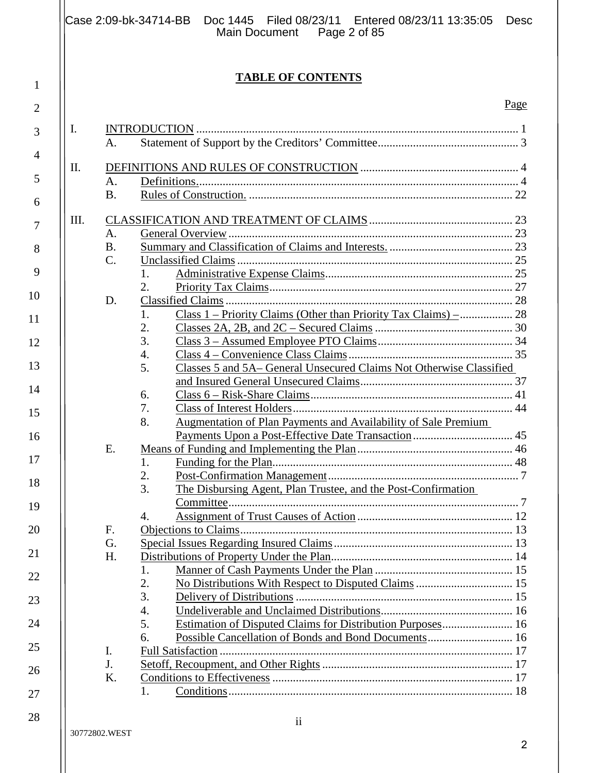|      |           | Case 2:09-bk-34714-BB Doc 1445 Filed 08/23/11 Entered 08/23/11 13:35:05 Desc<br>Main Document Page 2 of 85 |      |
|------|-----------|------------------------------------------------------------------------------------------------------------|------|
|      |           | <b>TABLE OF CONTENTS</b>                                                                                   |      |
|      |           |                                                                                                            | Page |
| Ι.   |           |                                                                                                            |      |
|      | A.        |                                                                                                            |      |
| П.   |           |                                                                                                            |      |
|      | A.        |                                                                                                            |      |
|      | <b>B.</b> |                                                                                                            |      |
| III. |           |                                                                                                            |      |
|      | A.        |                                                                                                            |      |
|      | <b>B.</b> |                                                                                                            |      |
|      | $C$ .     |                                                                                                            |      |
|      |           | 1.                                                                                                         |      |
|      |           | 2.                                                                                                         |      |
|      | D.        |                                                                                                            |      |
|      |           | 1.                                                                                                         |      |
|      |           | 2.                                                                                                         |      |
|      |           | 3.                                                                                                         |      |
|      |           | 4.                                                                                                         |      |
|      |           | Classes 5 and 5A-General Unsecured Claims Not Otherwise Classified<br>5.                                   |      |
|      |           |                                                                                                            |      |
|      |           | 6.                                                                                                         |      |
|      |           | 7.                                                                                                         |      |
|      |           | Augmentation of Plan Payments and Availability of Sale Premium<br>8.                                       |      |
|      |           | Payments Upon a Post-Effective Date Transaction                                                            | 45   |
|      | E.        |                                                                                                            |      |
|      |           | 1.                                                                                                         |      |
|      |           | 2.                                                                                                         |      |
|      |           | 3.<br>The Disbursing Agent, Plan Trustee, and the Post-Confirmation                                        |      |
|      |           |                                                                                                            |      |
|      |           | 4.                                                                                                         |      |
|      | F.        |                                                                                                            |      |
|      | G.        |                                                                                                            |      |
|      | H.        |                                                                                                            |      |
|      |           | 1.<br>2.                                                                                                   |      |
|      |           | 3.                                                                                                         |      |
|      |           | $\overline{4}$ .                                                                                           |      |
|      |           | Estimation of Disputed Claims for Distribution Purposes 16<br>5.                                           |      |
|      |           | Possible Cancellation of Bonds and Bond Documents 16<br>6.                                                 |      |
|      | I.        |                                                                                                            |      |
|      | J.        |                                                                                                            |      |
|      | K.        |                                                                                                            |      |
|      |           | 1.                                                                                                         |      |
|      |           |                                                                                                            |      |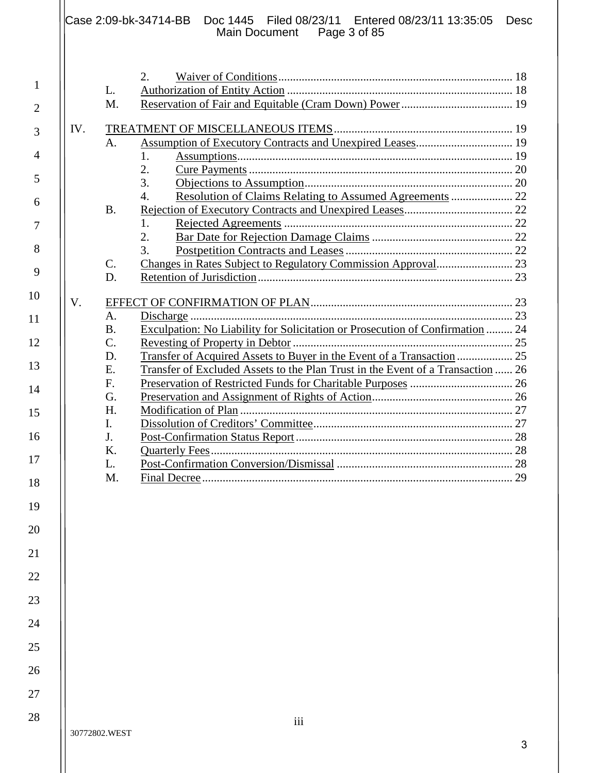|     |                                   | Case 2:09-bk-34714-BB  Doc 1445  Filed 08/23/11  Entered 08/23/11 13:35:05<br><b>Desc</b><br>Main Document Page 3 of 85 |
|-----|-----------------------------------|-------------------------------------------------------------------------------------------------------------------------|
|     | L.<br>M.                          | 2.                                                                                                                      |
| IV. | A <sub>1</sub>                    | 1.<br>2.<br>3.<br>$\overline{4}$ .                                                                                      |
|     | <b>B.</b>                         | 1.<br>$\overline{2}$ .<br>3.                                                                                            |
|     | $\mathcal{C}$ .<br>D.             |                                                                                                                         |
| V.  | A.<br><b>B.</b>                   | Exculpation: No Liability for Solicitation or Prosecution of Confirmation  24                                           |
|     | $\mathcal{C}$ .<br>D.<br>E.<br>F. | Transfer of Excluded Assets to the Plan Trust in the Event of a Transaction  26                                         |
|     | G.<br>H.<br>I.                    |                                                                                                                         |
|     | J.<br>K.<br>L.                    |                                                                                                                         |

26 27 28

1

2

3

4

5

6

7

8

9

10

11

12

13

14

15

16

17

18

19

20

21

22

23

24

25

L. Post-Confirmation Conversion/Dismissal ............................................................ 28

M. Final Decree .......................................................................................................... 29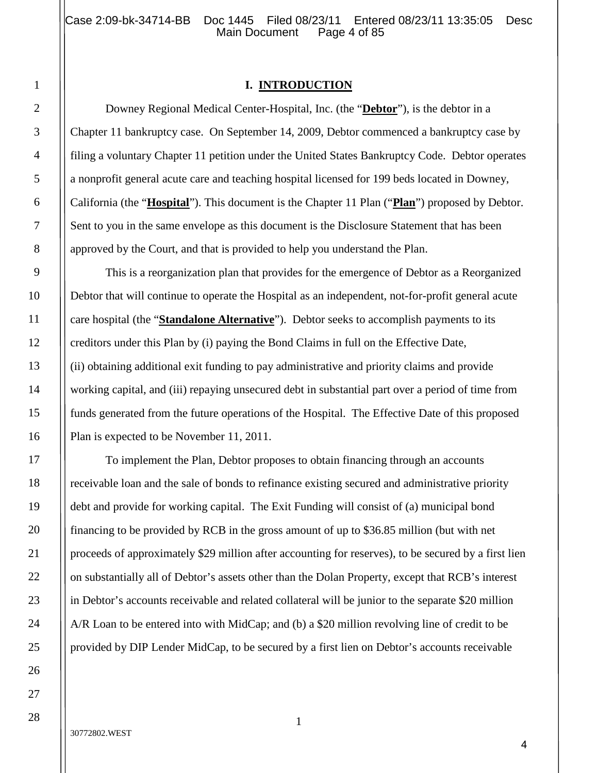#### **I. INTRODUCTION**

Downey Regional Medical Center-Hospital, Inc. (the "**Debtor**"), is the debtor in a Chapter 11 bankruptcy case. On September 14, 2009, Debtor commenced a bankruptcy case by filing a voluntary Chapter 11 petition under the United States Bankruptcy Code. Debtor operates a nonprofit general acute care and teaching hospital licensed for 199 beds located in Downey, California (the "**Hospital**"). This document is the Chapter 11 Plan ("**Plan**") proposed by Debtor. Sent to you in the same envelope as this document is the Disclosure Statement that has been approved by the Court, and that is provided to help you understand the Plan.

This is a reorganization plan that provides for the emergence of Debtor as a Reorganized Debtor that will continue to operate the Hospital as an independent, not-for-profit general acute care hospital (the "**Standalone Alternative**"). Debtor seeks to accomplish payments to its creditors under this Plan by (i) paying the Bond Claims in full on the Effective Date, (ii) obtaining additional exit funding to pay administrative and priority claims and provide working capital, and (iii) repaying unsecured debt in substantial part over a period of time from funds generated from the future operations of the Hospital. The Effective Date of this proposed Plan is expected to be November 11, 2011.

To implement the Plan, Debtor proposes to obtain financing through an accounts receivable loan and the sale of bonds to refinance existing secured and administrative priority debt and provide for working capital. The Exit Funding will consist of (a) municipal bond financing to be provided by RCB in the gross amount of up to \$36.85 million (but with net proceeds of approximately \$29 million after accounting for reserves), to be secured by a first lien on substantially all of Debtor's assets other than the Dolan Property, except that RCB's interest in Debtor's accounts receivable and related collateral will be junior to the separate \$20 million A/R Loan to be entered into with MidCap; and (b) a \$20 million revolving line of credit to be provided by DIP Lender MidCap, to be secured by a first lien on Debtor's accounts receivable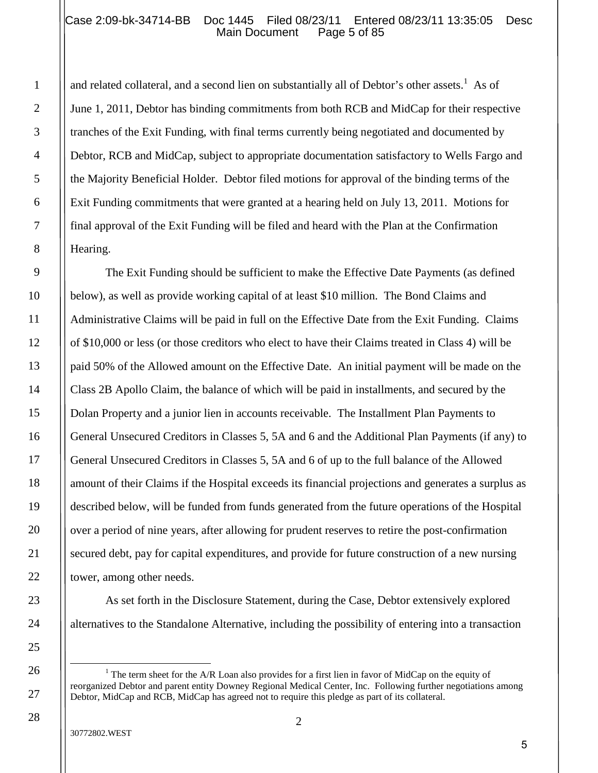## Case 2:09-bk-34714-BB Doc 1445 Filed 08/23/11 Entered 08/23/11 13:35:05 Desc Main Document

and related collateral, and a second lien on substantially all of Debtor's other assets.<sup>1</sup> As of June 1, 2011, Debtor has binding commitments from both RCB and MidCap for their respective tranches of the Exit Funding, with final terms currently being negotiated and documented by Debtor, RCB and MidCap, subject to appropriate documentation satisfactory to Wells Fargo and the Majority Beneficial Holder. Debtor filed motions for approval of the binding terms of the Exit Funding commitments that were granted at a hearing held on July 13, 2011. Motions for final approval of the Exit Funding will be filed and heard with the Plan at the Confirmation Hearing.

The Exit Funding should be sufficient to make the Effective Date Payments (as defined below), as well as provide working capital of at least \$10 million. The Bond Claims and Administrative Claims will be paid in full on the Effective Date from the Exit Funding. Claims of \$10,000 or less (or those creditors who elect to have their Claims treated in Class 4) will be paid 50% of the Allowed amount on the Effective Date. An initial payment will be made on the Class 2B Apollo Claim, the balance of which will be paid in installments, and secured by the Dolan Property and a junior lien in accounts receivable. The Installment Plan Payments to General Unsecured Creditors in Classes 5, 5A and 6 and the Additional Plan Payments (if any) to General Unsecured Creditors in Classes 5, 5A and 6 of up to the full balance of the Allowed amount of their Claims if the Hospital exceeds its financial projections and generates a surplus as described below, will be funded from funds generated from the future operations of the Hospital over a period of nine years, after allowing for prudent reserves to retire the post-confirmation secured debt, pay for capital expenditures, and provide for future construction of a new nursing tower, among other needs.

As set forth in the Disclosure Statement, during the Case, Debtor extensively explored alternatives to the Standalone Alternative, including the possibility of entering into a transaction

1

2

3

4

5

6

7

8

9

10

11

12

13

14

15

16

17

18

19

20

21

22

23

24

25

26

27

<sup>&</sup>lt;sup>1</sup> The term sheet for the A/R Loan also provides for a first lien in favor of MidCap on the equity of reorganized Debtor and parent entity Downey Regional Medical Center, Inc. Following further negotiations among Debtor, MidCap and RCB, MidCap has agreed not to require this pledge as part of its collateral.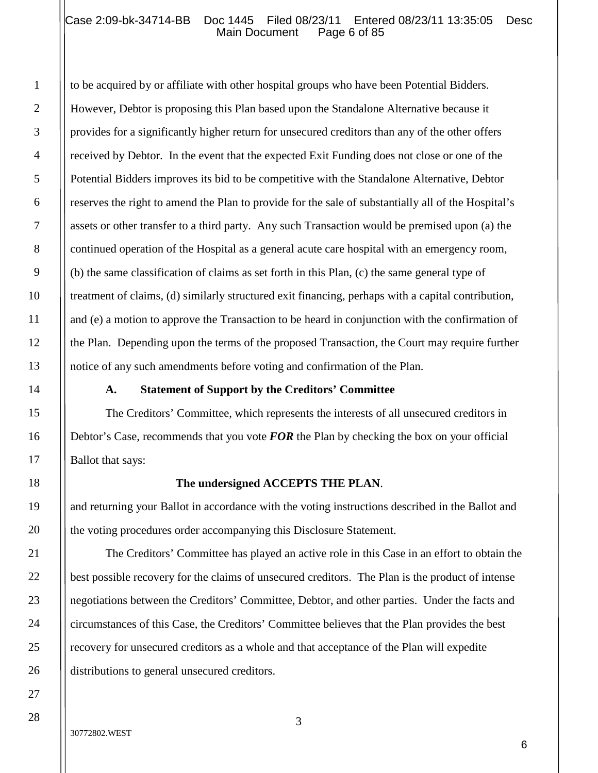#### Case 2:09-bk-34714-BB Doc 1445 Filed 08/23/11 Entered 08/23/11 13:35:05 Desc<br>Main Document Page 6 of 85 Main Document

to be acquired by or affiliate with other hospital groups who have been Potential Bidders. However, Debtor is proposing this Plan based upon the Standalone Alternative because it provides for a significantly higher return for unsecured creditors than any of the other offers received by Debtor. In the event that the expected Exit Funding does not close or one of the Potential Bidders improves its bid to be competitive with the Standalone Alternative, Debtor reserves the right to amend the Plan to provide for the sale of substantially all of the Hospital's assets or other transfer to a third party. Any such Transaction would be premised upon (a) the continued operation of the Hospital as a general acute care hospital with an emergency room, (b) the same classification of claims as set forth in this Plan, (c) the same general type of treatment of claims, (d) similarly structured exit financing, perhaps with a capital contribution, and (e) a motion to approve the Transaction to be heard in conjunction with the confirmation of the Plan. Depending upon the terms of the proposed Transaction, the Court may require further notice of any such amendments before voting and confirmation of the Plan.

#### **A. Statement of Support by the Creditors' Committee**

The Creditors' Committee, which represents the interests of all unsecured creditors in Debtor's Case, recommends that you vote *FOR* the Plan by checking the box on your official Ballot that says:

#### **The undersigned ACCEPTS THE PLAN**.

and returning your Ballot in accordance with the voting instructions described in the Ballot and the voting procedures order accompanying this Disclosure Statement.

The Creditors' Committee has played an active role in this Case in an effort to obtain the best possible recovery for the claims of unsecured creditors. The Plan is the product of intense negotiations between the Creditors' Committee, Debtor, and other parties. Under the facts and circumstances of this Case, the Creditors' Committee believes that the Plan provides the best recovery for unsecured creditors as a whole and that acceptance of the Plan will expedite distributions to general unsecured creditors.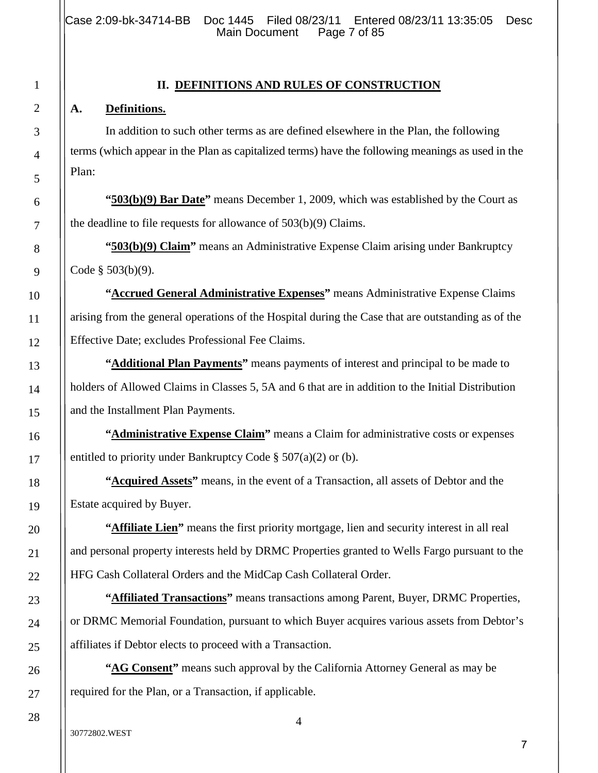Case 2:09-bk-34714-BB Doc 1445 Filed 08/23/11 Entered 08/23/11 13:35:05 Desc<br>Main Document Page 7 of 85 Main Document

#### **II. DEFINITIONS AND RULES OF CONSTRUCTION**

#### **A. Definitions.**

In addition to such other terms as are defined elsewhere in the Plan, the following terms (which appear in the Plan as capitalized terms) have the following meanings as used in the Plan:

**"503(b)(9) Bar Date"** means December 1, 2009, which was established by the Court as the deadline to file requests for allowance of 503(b)(9) Claims.

**"503(b)(9) Claim"** means an Administrative Expense Claim arising under Bankruptcy Code § 503(b)(9).

**"Accrued General Administrative Expenses"** means Administrative Expense Claims arising from the general operations of the Hospital during the Case that are outstanding as of the Effective Date; excludes Professional Fee Claims.

**"Additional Plan Payments"** means payments of interest and principal to be made to holders of Allowed Claims in Classes 5, 5A and 6 that are in addition to the Initial Distribution and the Installment Plan Payments.

**"Administrative Expense Claim"** means a Claim for administrative costs or expenses entitled to priority under Bankruptcy Code § 507(a)(2) or (b).

**"Acquired Assets"** means, in the event of a Transaction, all assets of Debtor and the Estate acquired by Buyer.

**"Affiliate Lien"** means the first priority mortgage, lien and security interest in all real and personal property interests held by DRMC Properties granted to Wells Fargo pursuant to the HFG Cash Collateral Orders and the MidCap Cash Collateral Order.

**"Affiliated Transactions"** means transactions among Parent, Buyer, DRMC Properties, or DRMC Memorial Foundation, pursuant to which Buyer acquires various assets from Debtor's affiliates if Debtor elects to proceed with a Transaction.

**"AG Consent"** means such approval by the California Attorney General as may be required for the Plan, or a Transaction, if applicable.

28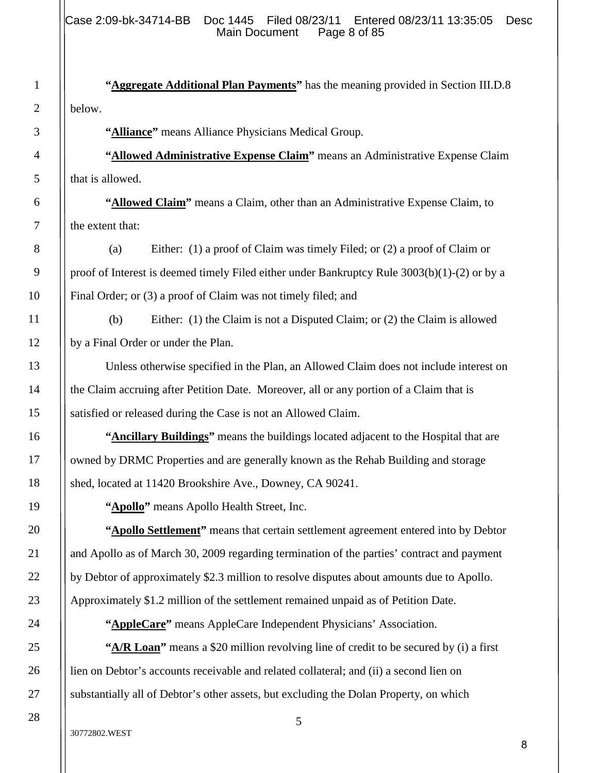**"Aggregate Additional Plan Payments"** has the meaning provided in Section III.D.8 below.

**"Alliance"** means Alliance Physicians Medical Group.

**"Allowed Administrative Expense Claim"** means an Administrative Expense Claim that is allowed.

**"Allowed Claim"** means a Claim, other than an Administrative Expense Claim, to the extent that:

(a) Either: (1) a proof of Claim was timely Filed; or (2) a proof of Claim or proof of Interest is deemed timely Filed either under Bankruptcy Rule 3003(b)(1)-(2) or by a Final Order; or (3) a proof of Claim was not timely filed; and

(b) Either: (1) the Claim is not a Disputed Claim; or (2) the Claim is allowed by a Final Order or under the Plan.

Unless otherwise specified in the Plan, an Allowed Claim does not include interest on the Claim accruing after Petition Date. Moreover, all or any portion of a Claim that is satisfied or released during the Case is not an Allowed Claim.

**"Ancillary Buildings"** means the buildings located adjacent to the Hospital that are owned by DRMC Properties and are generally known as the Rehab Building and storage shed, located at 11420 Brookshire Ave., Downey, CA 90241.

**"Apollo"** means Apollo Health Street, Inc.

"**Apollo Settlement**" means that certain settlement agreement entered into by Debtor and Apollo as of March 30, 2009 regarding termination of the parties' contract and payment by Debtor of approximately \$2.3 million to resolve disputes about amounts due to Apollo. Approximately \$1.2 million of the settlement remained unpaid as of Petition Date.

**"AppleCare"** means AppleCare Independent Physicians' Association.

**"A/R Loan"** means a \$20 million revolving line of credit to be secured by (i) a first lien on Debtor's accounts receivable and related collateral; and (ii) a second lien on substantially all of Debtor's other assets, but excluding the Dolan Property, on which

1

2

3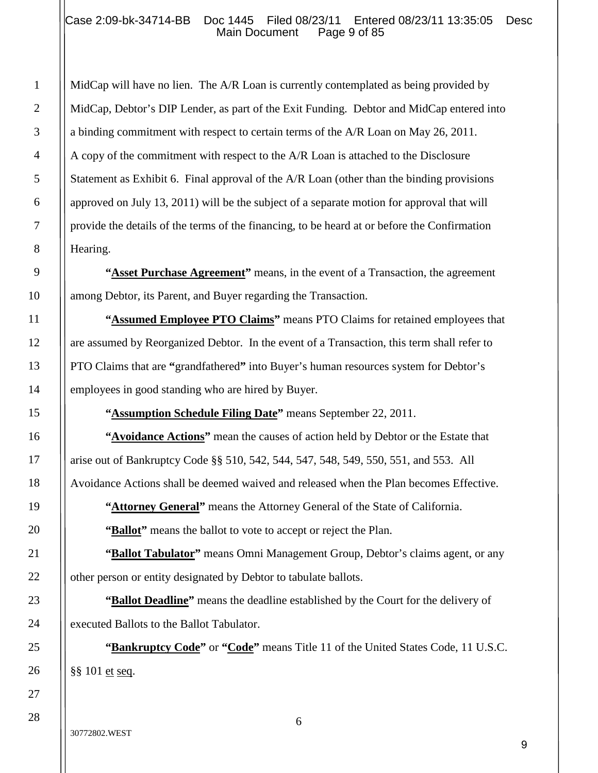#### Case 2:09-bk-34714-BB Doc 1445 Filed 08/23/11 Entered 08/23/11 13:35:05 Desc<br>Main Document Page 9 of 85 Main Document

MidCap will have no lien. The A/R Loan is currently contemplated as being provided by MidCap, Debtor's DIP Lender, as part of the Exit Funding. Debtor and MidCap entered into a binding commitment with respect to certain terms of the A/R Loan on May 26, 2011. A copy of the commitment with respect to the A/R Loan is attached to the Disclosure Statement as Exhibit 6. Final approval of the A/R Loan (other than the binding provisions approved on July 13, 2011) will be the subject of a separate motion for approval that will provide the details of the terms of the financing, to be heard at or before the Confirmation Hearing.

**"Asset Purchase Agreement"** means, in the event of a Transaction, the agreement among Debtor, its Parent, and Buyer regarding the Transaction.

"**Assumed Employee PTO Claims**" means PTO Claims for retained employees that are assumed by Reorganized Debtor. In the event of a Transaction, this term shall refer to PTO Claims that are **"**grandfathered**"** into Buyer's human resources system for Debtor's employees in good standing who are hired by Buyer.

**"Assumption Schedule Filing Date"** means September 22, 2011.

**"Avoidance Actions"** mean the causes of action held by Debtor or the Estate that arise out of Bankruptcy Code §§ 510, 542, 544, 547, 548, 549, 550, 551, and 553. All Avoidance Actions shall be deemed waived and released when the Plan becomes Effective.

**"Attorney General"** means the Attorney General of the State of California.

**"Ballot"** means the ballot to vote to accept or reject the Plan.

**"Ballot Tabulator"** means Omni Management Group, Debtor's claims agent, or any other person or entity designated by Debtor to tabulate ballots.

**"Ballot Deadline"** means the deadline established by the Court for the delivery of executed Ballots to the Ballot Tabulator.

**"Bankruptcy Code"** or "Code" means Title 11 of the United States Code, 11 U.S.C. §§ 101 et seq.

1

2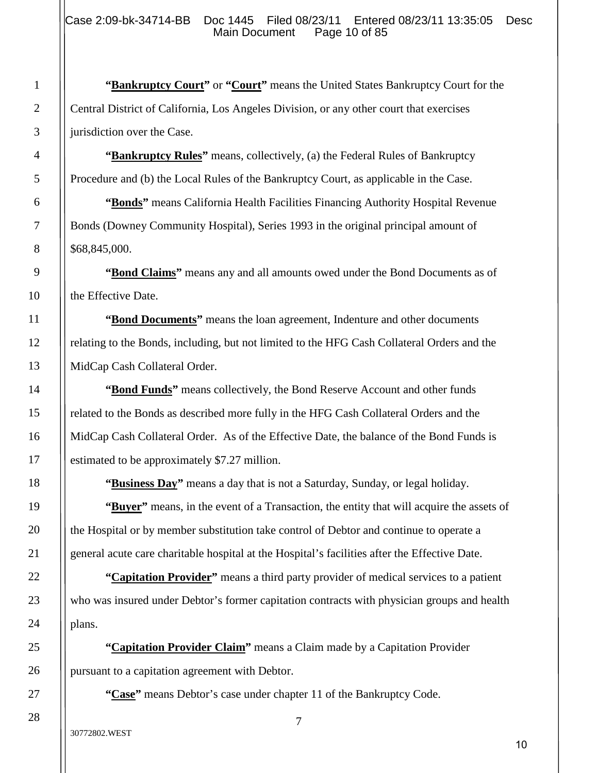**"Bankruptcy Court"** or "**Court"** means the United States Bankruptcy Court for the Central District of California, Los Angeles Division, or any other court that exercises jurisdiction over the Case.

**"Bankruptcy Rules"** means, collectively, (a) the Federal Rules of Bankruptcy Procedure and (b) the Local Rules of the Bankruptcy Court, as applicable in the Case.

**"Bonds"** means California Health Facilities Financing Authority Hospital Revenue Bonds (Downey Community Hospital), Series 1993 in the original principal amount of \$68,845,000.

**"Bond Claims"** means any and all amounts owed under the Bond Documents as of the Effective Date.

**"Bond Documents"** means the loan agreement, Indenture and other documents relating to the Bonds, including, but not limited to the HFG Cash Collateral Orders and the MidCap Cash Collateral Order.

**"Bond Funds"** means collectively, the Bond Reserve Account and other funds related to the Bonds as described more fully in the HFG Cash Collateral Orders and the MidCap Cash Collateral Order. As of the Effective Date, the balance of the Bond Funds is estimated to be approximately \$7.27 million.

**"Business Day"** means a day that is not a Saturday, Sunday, or legal holiday.

**"Buyer"** means, in the event of a Transaction, the entity that will acquire the assets of the Hospital or by member substitution take control of Debtor and continue to operate a general acute care charitable hospital at the Hospital's facilities after the Effective Date.

**"Capitation Provider"** means a third party provider of medical services to a patient who was insured under Debtor's former capitation contracts with physician groups and health plans.

**"Capitation Provider Claim"** means a Claim made by a Capitation Provider pursuant to a capitation agreement with Debtor.

**"Case"** means Debtor's case under chapter 11 of the Bankruptcy Code.

1

2

3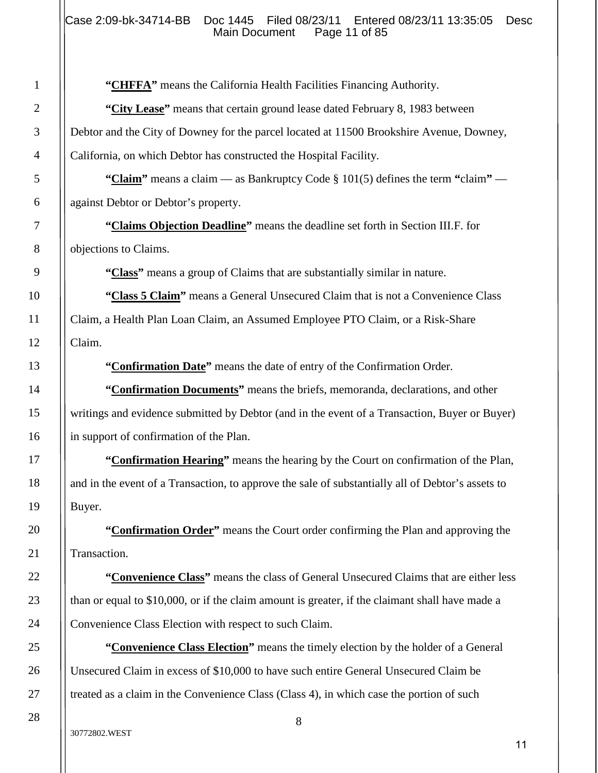**"CHFFA"** means the California Health Facilities Financing Authority.

**"City Lease"** means that certain ground lease dated February 8, 1983 between Debtor and the City of Downey for the parcel located at 11500 Brookshire Avenue, Downey, California, on which Debtor has constructed the Hospital Facility.

**"Claim"** means a claim — as Bankruptcy Code § 101(5) defines the term **"**claim**"** against Debtor or Debtor's property.

**"Claims Objection Deadline"** means the deadline set forth in Section III.F. for objections to Claims.

**"Class"** means a group of Claims that are substantially similar in nature.

**"Class 5 Claim"** means a General Unsecured Claim that is not a Convenience Class Claim, a Health Plan Loan Claim, an Assumed Employee PTO Claim, or a Risk-Share Claim.

**"Confirmation Date"** means the date of entry of the Confirmation Order.

**"Confirmation Documents"** means the briefs, memoranda, declarations, and other writings and evidence submitted by Debtor (and in the event of a Transaction, Buyer or Buyer) in support of confirmation of the Plan.

**"Confirmation Hearing"** means the hearing by the Court on confirmation of the Plan, and in the event of a Transaction, to approve the sale of substantially all of Debtor's assets to Buyer.

**"Confirmation Order"** means the Court order confirming the Plan and approving the Transaction.

**"Convenience Class"** means the class of General Unsecured Claims that are either less than or equal to \$10,000, or if the claim amount is greater, if the claimant shall have made a Convenience Class Election with respect to such Claim.

**"Convenience Class Election"** means the timely election by the holder of a General Unsecured Claim in excess of \$10,000 to have such entire General Unsecured Claim be treated as a claim in the Convenience Class (Class 4), in which case the portion of such

#### 30772802.WEST

1

2

3

4

5

6

7

8

9

10

11

12

13

14

15

16

17

18

19

20

21

22

23

24

25

26

27

28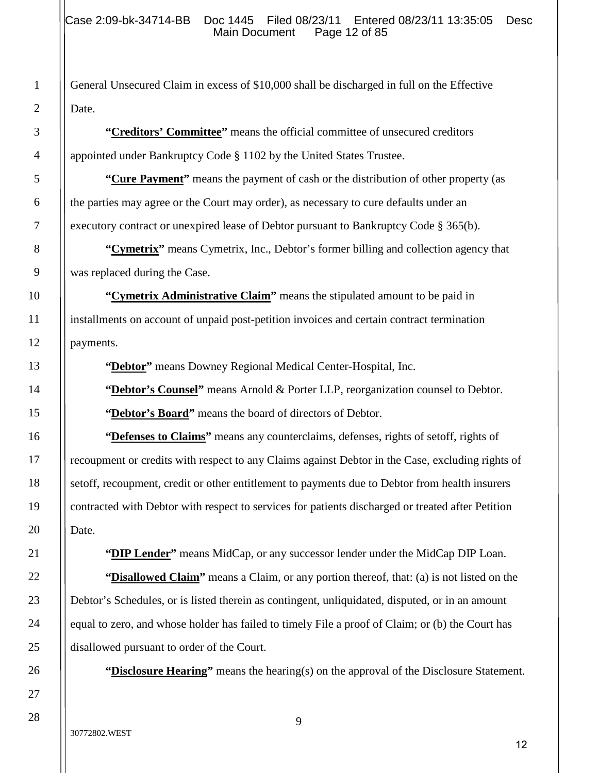General Unsecured Claim in excess of \$10,000 shall be discharged in full on the Effective Date.

**"Creditors' Committee"** means the official committee of unsecured creditors appointed under Bankruptcy Code § 1102 by the United States Trustee.

**"Cure Payment"** means the payment of cash or the distribution of other property (as the parties may agree or the Court may order), as necessary to cure defaults under an executory contract or unexpired lease of Debtor pursuant to Bankruptcy Code § 365(b).

**"Cymetrix"** means Cymetrix, Inc., Debtor's former billing and collection agency that was replaced during the Case.

**"Cymetrix Administrative Claim"** means the stipulated amount to be paid in installments on account of unpaid post-petition invoices and certain contract termination payments.

**"Debtor"** means Downey Regional Medical Center-Hospital, Inc.

**"Debtor's Counsel"** means Arnold & Porter LLP, reorganization counsel to Debtor. **"Debtor's Board"** means the board of directors of Debtor.

**"Defenses to Claims"** means any counterclaims, defenses, rights of setoff, rights of recoupment or credits with respect to any Claims against Debtor in the Case, excluding rights of setoff, recoupment, credit or other entitlement to payments due to Debtor from health insurers contracted with Debtor with respect to services for patients discharged or treated after Petition Date.

**"DIP Lender"** means MidCap, or any successor lender under the MidCap DIP Loan.

**"Disallowed Claim"** means a Claim, or any portion thereof, that: (a) is not listed on the Debtor's Schedules, or is listed therein as contingent, unliquidated, disputed, or in an amount equal to zero, and whose holder has failed to timely File a proof of Claim; or (b) the Court has disallowed pursuant to order of the Court.

**"Disclosure Hearing"** means the hearing(s) on the approval of the Disclosure Statement.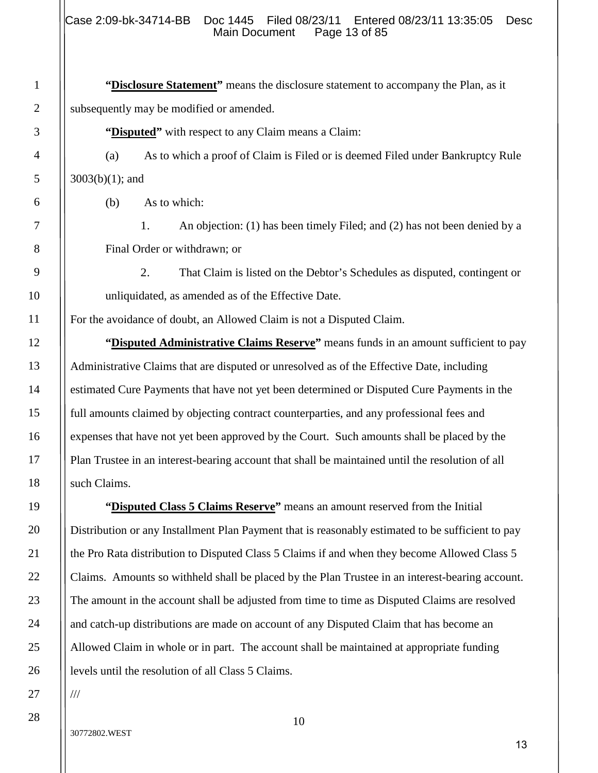**"Disclosure Statement"** means the disclosure statement to accompany the Plan, as it subsequently may be modified or amended.

**"Disputed"** with respect to any Claim means a Claim:

(a) As to which a proof of Claim is Filed or is deemed Filed under Bankruptcy Rule 3003(b)(1); and

(b) As to which:

1

2

3

4

5

6

7

8

9

10

11

12

13

14

15

16

17

18

19

20

21

22

23

24

25

26

27

28

1. An objection: (1) has been timely Filed; and (2) has not been denied by a Final Order or withdrawn; or

2. That Claim is listed on the Debtor's Schedules as disputed, contingent or unliquidated, as amended as of the Effective Date.

For the avoidance of doubt, an Allowed Claim is not a Disputed Claim.

**"Disputed Administrative Claims Reserve"** means funds in an amount sufficient to pay Administrative Claims that are disputed or unresolved as of the Effective Date, including estimated Cure Payments that have not yet been determined or Disputed Cure Payments in the full amounts claimed by objecting contract counterparties, and any professional fees and expenses that have not yet been approved by the Court. Such amounts shall be placed by the Plan Trustee in an interest-bearing account that shall be maintained until the resolution of all such Claims.

**"Disputed Class 5 Claims Reserve"** means an amount reserved from the Initial Distribution or any Installment Plan Payment that is reasonably estimated to be sufficient to pay the Pro Rata distribution to Disputed Class 5 Claims if and when they become Allowed Class 5 Claims. Amounts so withheld shall be placed by the Plan Trustee in an interest-bearing account. The amount in the account shall be adjusted from time to time as Disputed Claims are resolved and catch-up distributions are made on account of any Disputed Claim that has become an Allowed Claim in whole or in part. The account shall be maintained at appropriate funding levels until the resolution of all Class 5 Claims.

///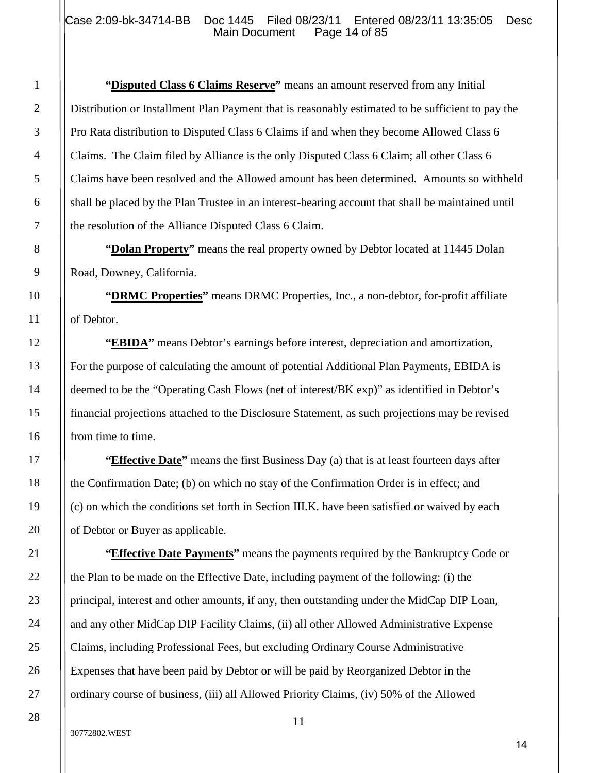**"Disputed Class 6 Claims Reserve"** means an amount reserved from any Initial Distribution or Installment Plan Payment that is reasonably estimated to be sufficient to pay the Pro Rata distribution to Disputed Class 6 Claims if and when they become Allowed Class 6 Claims. The Claim filed by Alliance is the only Disputed Class 6 Claim; all other Class 6 Claims have been resolved and the Allowed amount has been determined. Amounts so withheld shall be placed by the Plan Trustee in an interest-bearing account that shall be maintained until the resolution of the Alliance Disputed Class 6 Claim.

**"Dolan Property"** means the real property owned by Debtor located at 11445 Dolan Road, Downey, California.

**"DRMC Properties"** means DRMC Properties, Inc., a non-debtor, for-profit affiliate of Debtor.

**"EBIDA"** means Debtor's earnings before interest, depreciation and amortization, For the purpose of calculating the amount of potential Additional Plan Payments, EBIDA is deemed to be the "Operating Cash Flows (net of interest/BK exp)" as identified in Debtor's financial projections attached to the Disclosure Statement, as such projections may be revised from time to time.

**"Effective Date"** means the first Business Day (a) that is at least fourteen days after the Confirmation Date; (b) on which no stay of the Confirmation Order is in effect; and (c) on which the conditions set forth in Section III.K. have been satisfied or waived by each of Debtor or Buyer as applicable.

**"Effective Date Payments"** means the payments required by the Bankruptcy Code or the Plan to be made on the Effective Date, including payment of the following: (i) the principal, interest and other amounts, if any, then outstanding under the MidCap DIP Loan, and any other MidCap DIP Facility Claims, (ii) all other Allowed Administrative Expense Claims, including Professional Fees, but excluding Ordinary Course Administrative Expenses that have been paid by Debtor or will be paid by Reorganized Debtor in the ordinary course of business, (iii) all Allowed Priority Claims, (iv) 50% of the Allowed

30772802.WEST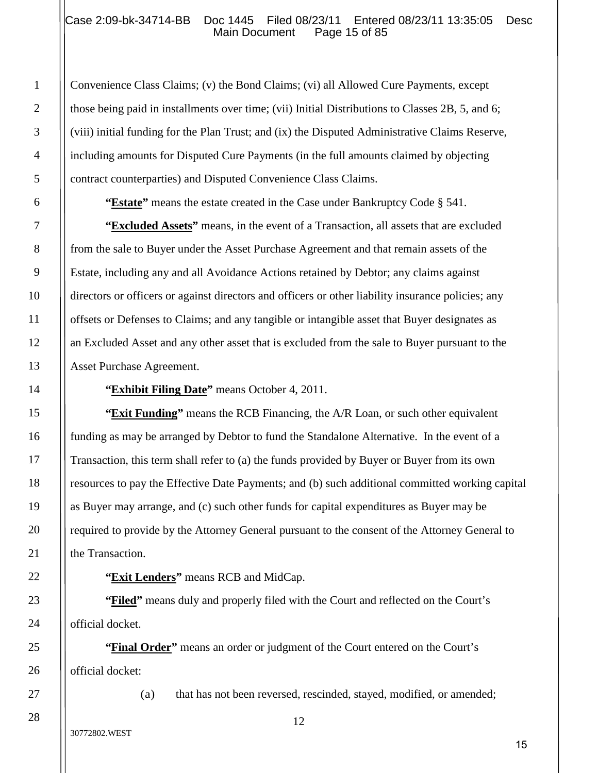#### Case 2:09-bk-34714-BB Doc 1445 Filed 08/23/11 Entered 08/23/11 13:35:05 Desc<br>Main Document Page 15 of 85 Main Document

Convenience Class Claims; (v) the Bond Claims; (vi) all Allowed Cure Payments, except those being paid in installments over time; (vii) Initial Distributions to Classes 2B, 5, and 6; (viii) initial funding for the Plan Trust; and (ix) the Disputed Administrative Claims Reserve, including amounts for Disputed Cure Payments (in the full amounts claimed by objecting contract counterparties) and Disputed Convenience Class Claims.

**"Estate"** means the estate created in the Case under Bankruptcy Code § 541.

**"Excluded Assets"** means, in the event of a Transaction, all assets that are excluded from the sale to Buyer under the Asset Purchase Agreement and that remain assets of the Estate, including any and all Avoidance Actions retained by Debtor; any claims against directors or officers or against directors and officers or other liability insurance policies; any offsets or Defenses to Claims; and any tangible or intangible asset that Buyer designates as an Excluded Asset and any other asset that is excluded from the sale to Buyer pursuant to the Asset Purchase Agreement.

**"Exhibit Filing Date"** means October 4, 2011.

**"Exit Funding"** means the RCB Financing, the A/R Loan, or such other equivalent funding as may be arranged by Debtor to fund the Standalone Alternative. In the event of a Transaction, this term shall refer to (a) the funds provided by Buyer or Buyer from its own resources to pay the Effective Date Payments; and (b) such additional committed working capital as Buyer may arrange, and (c) such other funds for capital expenditures as Buyer may be required to provide by the Attorney General pursuant to the consent of the Attorney General to the Transaction.

**"Exit Lenders"** means RCB and MidCap.

**"Filed"** means duly and properly filed with the Court and reflected on the Court's official docket.

**"Final Order"** means an order or judgment of the Court entered on the Court's official docket:

(a) that has not been reversed, rescinded, stayed, modified, or amended;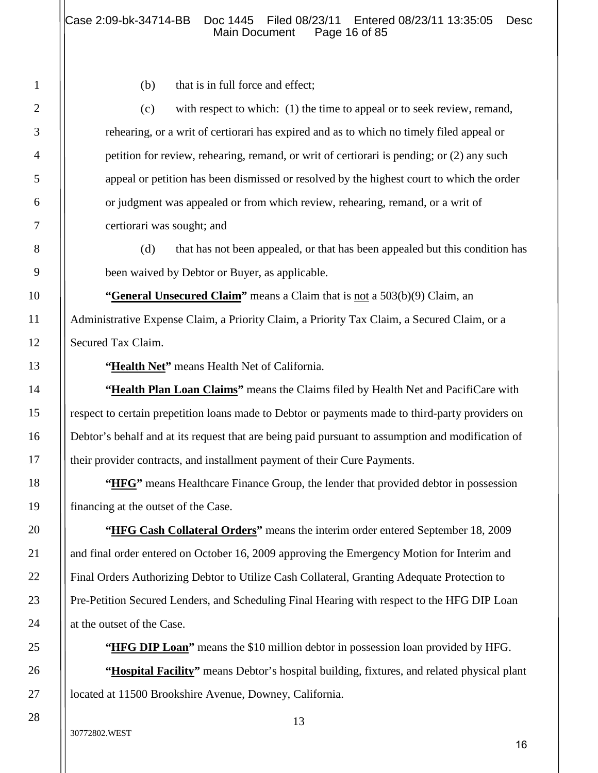(b) that is in full force and effect;

(c) with respect to which: (1) the time to appeal or to seek review, remand, rehearing, or a writ of certiorari has expired and as to which no timely filed appeal or petition for review, rehearing, remand, or writ of certiorari is pending; or (2) any such appeal or petition has been dismissed or resolved by the highest court to which the order or judgment was appealed or from which review, rehearing, remand, or a writ of certiorari was sought; and

(d) that has not been appealed, or that has been appealed but this condition has been waived by Debtor or Buyer, as applicable.

**"General Unsecured Claim"** means a Claim that is not a 503(b)(9) Claim, an Administrative Expense Claim, a Priority Claim, a Priority Tax Claim, a Secured Claim, or a Secured Tax Claim.

**"Health Net"** means Health Net of California.

**"Health Plan Loan Claims"** means the Claims filed by Health Net and PacifiCare with respect to certain prepetition loans made to Debtor or payments made to third-party providers on Debtor's behalf and at its request that are being paid pursuant to assumption and modification of their provider contracts, and installment payment of their Cure Payments.

**"HFG"** means Healthcare Finance Group, the lender that provided debtor in possession financing at the outset of the Case.

**"HFG Cash Collateral Orders"** means the interim order entered September 18, 2009 and final order entered on October 16, 2009 approving the Emergency Motion for Interim and Final Orders Authorizing Debtor to Utilize Cash Collateral, Granting Adequate Protection to Pre-Petition Secured Lenders, and Scheduling Final Hearing with respect to the HFG DIP Loan at the outset of the Case.

**"HFG DIP Loan"** means the \$10 million debtor in possession loan provided by HFG.

**"Hospital Facility"** means Debtor's hospital building, fixtures, and related physical plant located at 11500 Brookshire Avenue, Downey, California.

1

2

3

4

5

6

7

8

9

10

11

12

13

14

15

16

17

18

19

20

21

22

23

24

25

26

27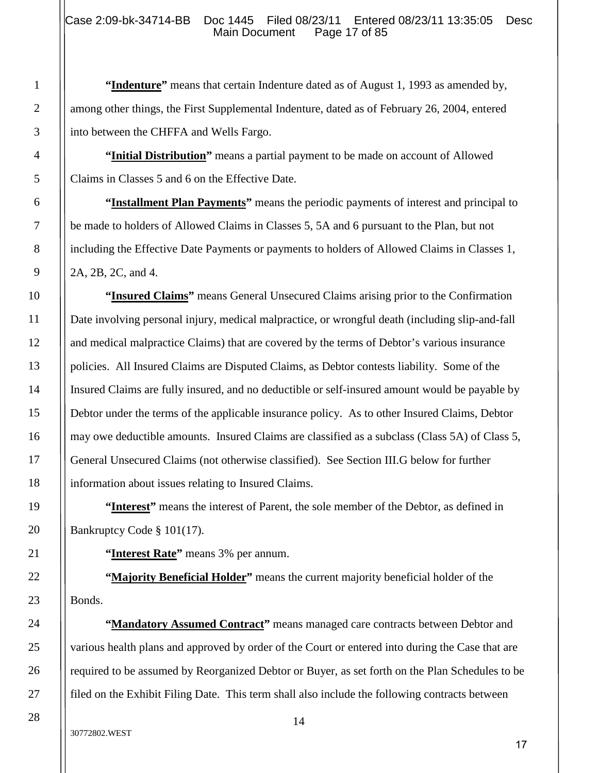**"Indenture"** means that certain Indenture dated as of August 1, 1993 as amended by, among other things, the First Supplemental Indenture, dated as of February 26, 2004, entered into between the CHFFA and Wells Fargo.

**"Initial Distribution"** means a partial payment to be made on account of Allowed Claims in Classes 5 and 6 on the Effective Date.

**"Installment Plan Payments"** means the periodic payments of interest and principal to be made to holders of Allowed Claims in Classes 5, 5A and 6 pursuant to the Plan, but not including the Effective Date Payments or payments to holders of Allowed Claims in Classes 1, 2A, 2B, 2C, and 4.

**"Insured Claims"** means General Unsecured Claims arising prior to the Confirmation Date involving personal injury, medical malpractice, or wrongful death (including slip-and-fall and medical malpractice Claims) that are covered by the terms of Debtor's various insurance policies. All Insured Claims are Disputed Claims, as Debtor contests liability. Some of the Insured Claims are fully insured, and no deductible or self-insured amount would be payable by Debtor under the terms of the applicable insurance policy. As to other Insured Claims, Debtor may owe deductible amounts. Insured Claims are classified as a subclass (Class 5A) of Class 5, General Unsecured Claims (not otherwise classified). See Section III.G below for further information about issues relating to Insured Claims.

**"Interest"** means the interest of Parent, the sole member of the Debtor, as defined in Bankruptcy Code § 101(17).

**"Interest Rate"** means 3% per annum.

**"Majority Beneficial Holder"** means the current majority beneficial holder of the Bonds.

**"Mandatory Assumed Contract"** means managed care contracts between Debtor and various health plans and approved by order of the Court or entered into during the Case that are required to be assumed by Reorganized Debtor or Buyer, as set forth on the Plan Schedules to be filed on the Exhibit Filing Date. This term shall also include the following contracts between

30772802.WEST

1

2

3

4

5

6

7

8

9

10

11

12

13

14

15

16

17

18

19

20

21

22

23

24

25

26

27

28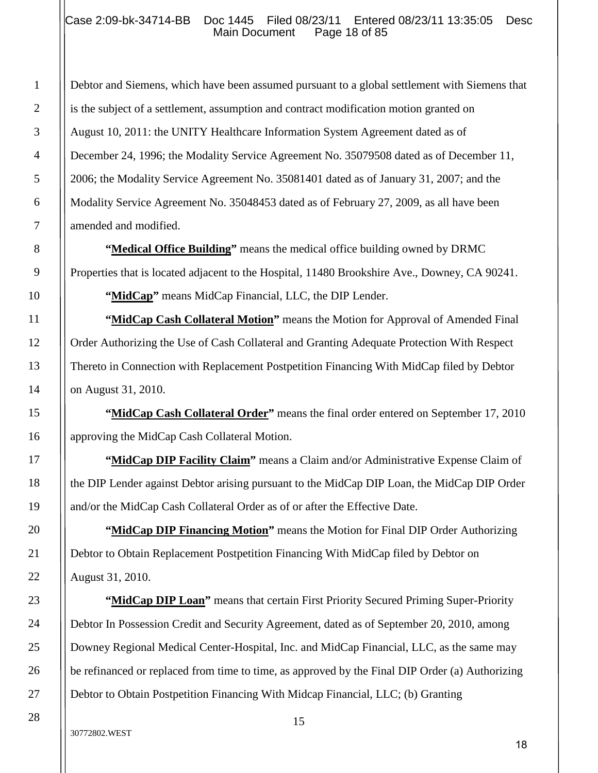#### Case 2:09-bk-34714-BB Doc 1445 Filed 08/23/11 Entered 08/23/11 13:35:05 Desc<br>Main Document Page 18 of 85 Main Document

Debtor and Siemens, which have been assumed pursuant to a global settlement with Siemens that is the subject of a settlement, assumption and contract modification motion granted on August 10, 2011: the UNITY Healthcare Information System Agreement dated as of December 24, 1996; the Modality Service Agreement No. 35079508 dated as of December 11, 2006; the Modality Service Agreement No. 35081401 dated as of January 31, 2007; and the Modality Service Agreement No. 35048453 dated as of February 27, 2009, as all have been amended and modified.

**"Medical Office Building"** means the medical office building owned by DRMC Properties that is located adjacent to the Hospital, 11480 Brookshire Ave., Downey, CA 90241.

**"MidCap"** means MidCap Financial, LLC, the DIP Lender.

**"MidCap Cash Collateral Motion"** means the Motion for Approval of Amended Final Order Authorizing the Use of Cash Collateral and Granting Adequate Protection With Respect Thereto in Connection with Replacement Postpetition Financing With MidCap filed by Debtor on August 31, 2010.

"MidCap Cash Collateral Order" means the final order entered on September 17, 2010 approving the MidCap Cash Collateral Motion.

**"MidCap DIP Facility Claim"** means a Claim and/or Administrative Expense Claim of the DIP Lender against Debtor arising pursuant to the MidCap DIP Loan, the MidCap DIP Order and/or the MidCap Cash Collateral Order as of or after the Effective Date.

**"MidCap DIP Financing Motion"** means the Motion for Final DIP Order Authorizing Debtor to Obtain Replacement Postpetition Financing With MidCap filed by Debtor on August 31, 2010.

**"MidCap DIP Loan"** means that certain First Priority Secured Priming Super-Priority Debtor In Possession Credit and Security Agreement, dated as of September 20, 2010, among Downey Regional Medical Center-Hospital, Inc. and MidCap Financial, LLC, as the same may be refinanced or replaced from time to time, as approved by the Final DIP Order (a) Authorizing Debtor to Obtain Postpetition Financing With Midcap Financial, LLC; (b) Granting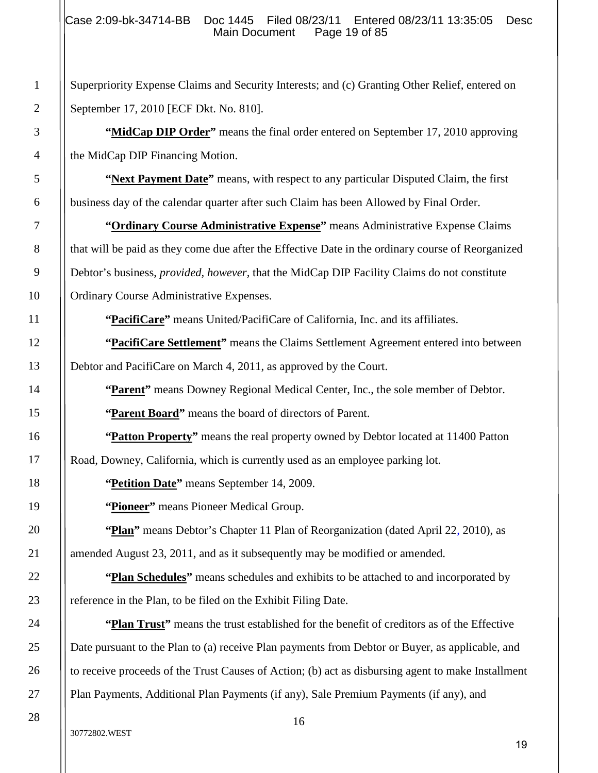Superpriority Expense Claims and Security Interests; and (c) Granting Other Relief, entered on September 17, 2010 [ECF Dkt. No. 810].

**"MidCap DIP Order"** means the final order entered on September 17, 2010 approving the MidCap DIP Financing Motion.

**"Next Payment Date"** means, with respect to any particular Disputed Claim, the first business day of the calendar quarter after such Claim has been Allowed by Final Order.

**"Ordinary Course Administrative Expense"** means Administrative Expense Claims that will be paid as they come due after the Effective Date in the ordinary course of Reorganized Debtor's business, *provided, however,* that the MidCap DIP Facility Claims do not constitute Ordinary Course Administrative Expenses.

**"PacifiCare"** means United/PacifiCare of California, Inc. and its affiliates.

**"PacifiCare Settlement"** means the Claims Settlement Agreement entered into between Debtor and PacifiCare on March 4, 2011, as approved by the Court.

**"Parent"** means Downey Regional Medical Center, Inc., the sole member of Debtor.

**"Parent Board"** means the board of directors of Parent.

**"Patton Property"** means the real property owned by Debtor located at 11400 Patton Road, Downey, California, which is currently used as an employee parking lot.

**"Petition Date"** means September 14, 2009.

**"Pioneer"** means Pioneer Medical Group.

**"Plan"** means Debtor's Chapter 11 Plan of Reorganization (dated April 22, 2010), as amended August 23, 2011, and as it subsequently may be modified or amended.

**"Plan Schedules"** means schedules and exhibits to be attached to and incorporated by reference in the Plan, to be filed on the Exhibit Filing Date.

**"Plan Trust"** means the trust established for the benefit of creditors as of the Effective Date pursuant to the Plan to (a) receive Plan payments from Debtor or Buyer, as applicable, and to receive proceeds of the Trust Causes of Action; (b) act as disbursing agent to make Installment Plan Payments, Additional Plan Payments (if any), Sale Premium Payments (if any), and

28

1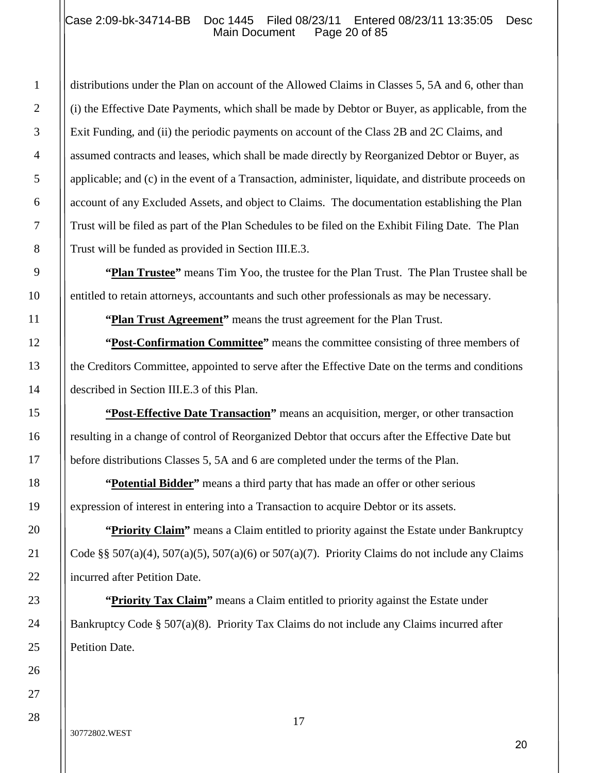### Case 2:09-bk-34714-BB Doc 1445 Filed 08/23/11 Entered 08/23/11 13:35:05 Desc<br>Main Document Page 20 of 85 Main Document

distributions under the Plan on account of the Allowed Claims in Classes 5, 5A and 6, other than (i) the Effective Date Payments, which shall be made by Debtor or Buyer, as applicable, from the Exit Funding, and (ii) the periodic payments on account of the Class 2B and 2C Claims, and assumed contracts and leases, which shall be made directly by Reorganized Debtor or Buyer, as applicable; and (c) in the event of a Transaction, administer, liquidate, and distribute proceeds on account of any Excluded Assets, and object to Claims. The documentation establishing the Plan Trust will be filed as part of the Plan Schedules to be filed on the Exhibit Filing Date. The Plan Trust will be funded as provided in Section III.E.3.

**"Plan Trustee"** means Tim Yoo, the trustee for the Plan Trust. The Plan Trustee shall be entitled to retain attorneys, accountants and such other professionals as may be necessary.

"Plan Trust Agreement" means the trust agreement for the Plan Trust.

**"Post-Confirmation Committee"** means the committee consisting of three members of the Creditors Committee, appointed to serve after the Effective Date on the terms and conditions described in Section III.E.3 of this Plan.

**"Post-Effective Date Transaction"** means an acquisition, merger, or other transaction resulting in a change of control of Reorganized Debtor that occurs after the Effective Date but before distributions Classes 5, 5A and 6 are completed under the terms of the Plan.

**"Potential Bidder"** means a third party that has made an offer or other serious expression of interest in entering into a Transaction to acquire Debtor or its assets.

"Priority Claim" means a Claim entitled to priority against the Estate under Bankruptcy Code §§  $507(a)(4)$ ,  $507(a)(5)$ ,  $507(a)(6)$  or  $507(a)(7)$ . Priority Claims do not include any Claims incurred after Petition Date.

**"Priority Tax Claim"** means a Claim entitled to priority against the Estate under Bankruptcy Code §  $507(a)(8)$ . Priority Tax Claims do not include any Claims incurred after Petition Date.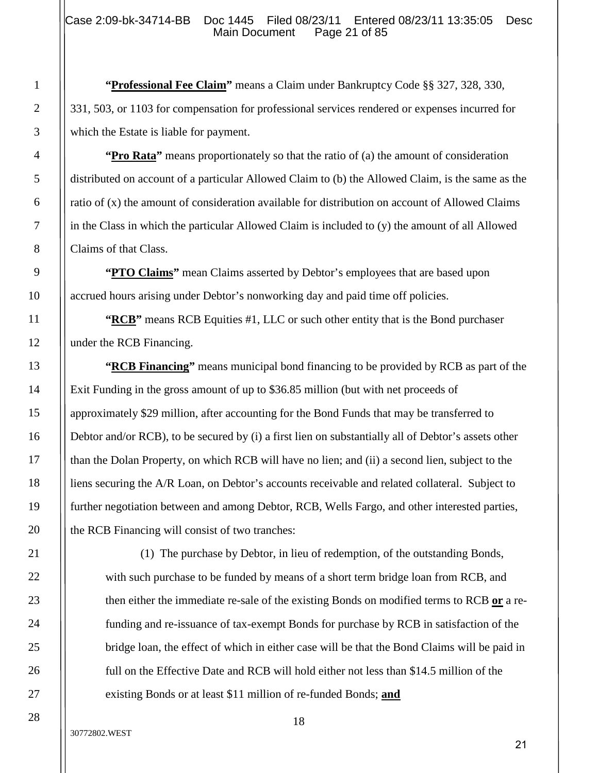**"Professional Fee Claim"** means a Claim under Bankruptcy Code §§ 327, 328, 330, 331, 503, or 1103 for compensation for professional services rendered or expenses incurred for which the Estate is liable for payment.

**"Pro Rata"** means proportionately so that the ratio of (a) the amount of consideration distributed on account of a particular Allowed Claim to (b) the Allowed Claim, is the same as the ratio of (x) the amount of consideration available for distribution on account of Allowed Claims in the Class in which the particular Allowed Claim is included to (y) the amount of all Allowed Claims of that Class.

**"PTO Claims"** mean Claims asserted by Debtor's employees that are based upon accrued hours arising under Debtor's nonworking day and paid time off policies.

**"RCB"** means RCB Equities #1, LLC or such other entity that is the Bond purchaser under the RCB Financing.

**"RCB Financing"** means municipal bond financing to be provided by RCB as part of the Exit Funding in the gross amount of up to \$36.85 million (but with net proceeds of approximately \$29 million, after accounting for the Bond Funds that may be transferred to Debtor and/or RCB), to be secured by (i) a first lien on substantially all of Debtor's assets other than the Dolan Property, on which RCB will have no lien; and (ii) a second lien, subject to the liens securing the A/R Loan, on Debtor's accounts receivable and related collateral. Subject to further negotiation between and among Debtor, RCB, Wells Fargo, and other interested parties, the RCB Financing will consist of two tranches:

(1) The purchase by Debtor, in lieu of redemption, of the outstanding Bonds, with such purchase to be funded by means of a short term bridge loan from RCB, and then either the immediate re-sale of the existing Bonds on modified terms to RCB **or** a refunding and re-issuance of tax-exempt Bonds for purchase by RCB in satisfaction of the bridge loan, the effect of which in either case will be that the Bond Claims will be paid in full on the Effective Date and RCB will hold either not less than \$14.5 million of the existing Bonds or at least \$11 million of re-funded Bonds; **and**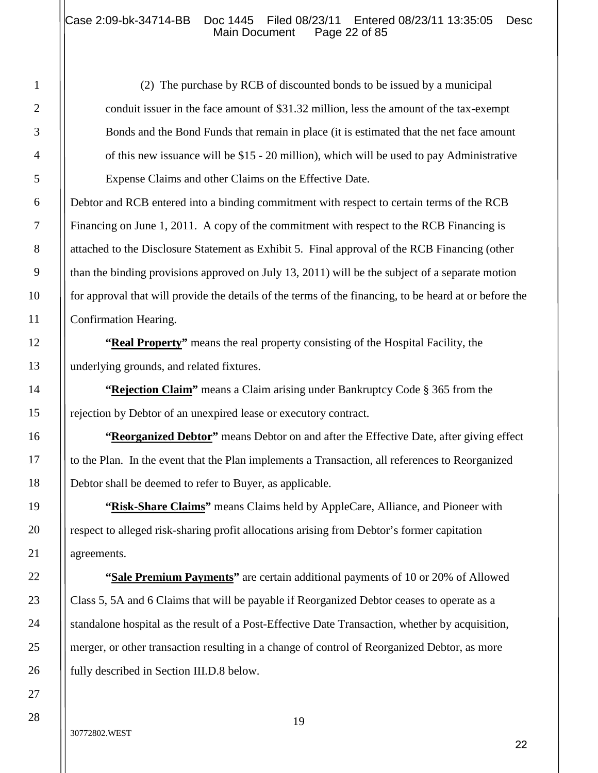## Case 2:09-bk-34714-BB Doc 1445 Filed 08/23/11 Entered 08/23/11 13:35:05 Desc<br>Main Document Page 22 of 85 Main Document

(2) The purchase by RCB of discounted bonds to be issued by a municipal conduit issuer in the face amount of \$31.32 million, less the amount of the tax-exempt Bonds and the Bond Funds that remain in place (it is estimated that the net face amount of this new issuance will be \$15 - 20 million), which will be used to pay Administrative Expense Claims and other Claims on the Effective Date.

Debtor and RCB entered into a binding commitment with respect to certain terms of the RCB Financing on June 1, 2011. A copy of the commitment with respect to the RCB Financing is attached to the Disclosure Statement as Exhibit 5. Final approval of the RCB Financing (other than the binding provisions approved on July 13, 2011) will be the subject of a separate motion for approval that will provide the details of the terms of the financing, to be heard at or before the Confirmation Hearing.

**"Real Property"** means the real property consisting of the Hospital Facility, the underlying grounds, and related fixtures.

**"Rejection Claim"** means a Claim arising under Bankruptcy Code § 365 from the rejection by Debtor of an unexpired lease or executory contract.

**"Reorganized Debtor"** means Debtor on and after the Effective Date, after giving effect to the Plan. In the event that the Plan implements a Transaction, all references to Reorganized Debtor shall be deemed to refer to Buyer, as applicable.

**"Risk-Share Claims"** means Claims held by AppleCare, Alliance, and Pioneer with respect to alleged risk-sharing profit allocations arising from Debtor's former capitation agreements.

**"Sale Premium Payments"** are certain additional payments of 10 or 20% of Allowed Class 5, 5A and 6 Claims that will be payable if Reorganized Debtor ceases to operate as a standalone hospital as the result of a Post-Effective Date Transaction, whether by acquisition, merger, or other transaction resulting in a change of control of Reorganized Debtor, as more fully described in Section III.D.8 below.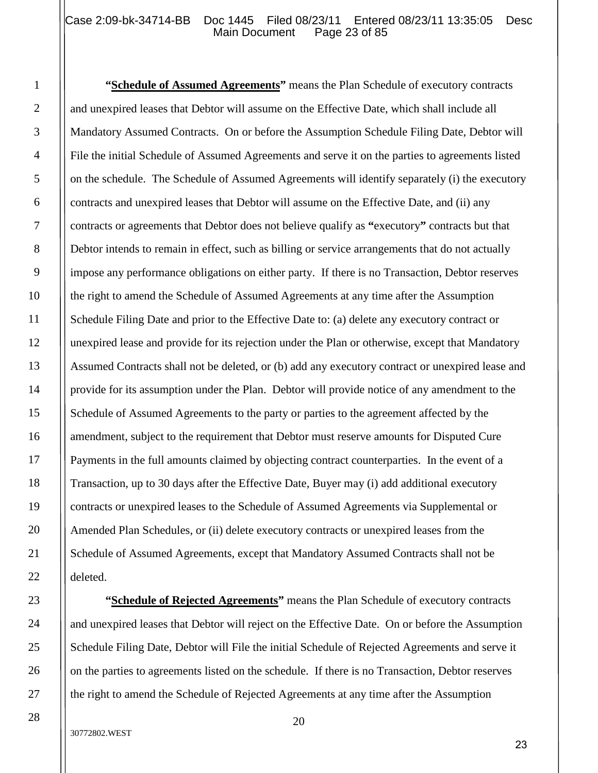### Case 2:09-bk-34714-BB Doc 1445 Filed 08/23/11 Entered 08/23/11 13:35:05 Desc<br>Main Document Page 23 of 85 Main Document

**"Schedule of Assumed Agreements"** means the Plan Schedule of executory contracts and unexpired leases that Debtor will assume on the Effective Date, which shall include all Mandatory Assumed Contracts. On or before the Assumption Schedule Filing Date, Debtor will File the initial Schedule of Assumed Agreements and serve it on the parties to agreements listed on the schedule. The Schedule of Assumed Agreements will identify separately (i) the executory contracts and unexpired leases that Debtor will assume on the Effective Date, and (ii) any contracts or agreements that Debtor does not believe qualify as **"**executory**"** contracts but that Debtor intends to remain in effect, such as billing or service arrangements that do not actually impose any performance obligations on either party. If there is no Transaction, Debtor reserves the right to amend the Schedule of Assumed Agreements at any time after the Assumption Schedule Filing Date and prior to the Effective Date to: (a) delete any executory contract or unexpired lease and provide for its rejection under the Plan or otherwise, except that Mandatory Assumed Contracts shall not be deleted, or (b) add any executory contract or unexpired lease and provide for its assumption under the Plan. Debtor will provide notice of any amendment to the Schedule of Assumed Agreements to the party or parties to the agreement affected by the amendment, subject to the requirement that Debtor must reserve amounts for Disputed Cure Payments in the full amounts claimed by objecting contract counterparties. In the event of a Transaction, up to 30 days after the Effective Date, Buyer may (i) add additional executory contracts or unexpired leases to the Schedule of Assumed Agreements via Supplemental or Amended Plan Schedules, or (ii) delete executory contracts or unexpired leases from the Schedule of Assumed Agreements, except that Mandatory Assumed Contracts shall not be deleted.

**"Schedule of Rejected Agreements"** means the Plan Schedule of executory contracts and unexpired leases that Debtor will reject on the Effective Date. On or before the Assumption Schedule Filing Date, Debtor will File the initial Schedule of Rejected Agreements and serve it on the parties to agreements listed on the schedule. If there is no Transaction, Debtor reserves the right to amend the Schedule of Rejected Agreements at any time after the Assumption

1

2

3

4

5

6

7

8

9

10

11

12

13

14

15

16

17

18

19

20

21

22

23

24

25

26

27

28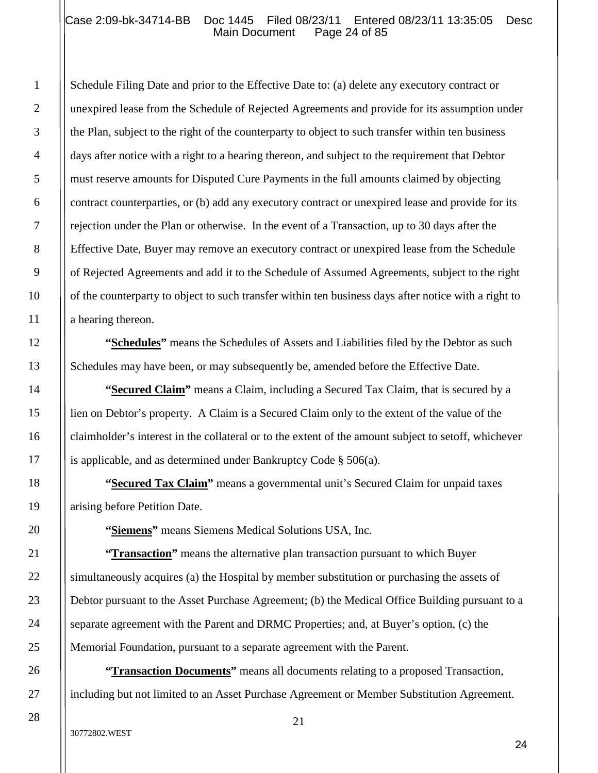#### Case 2:09-bk-34714-BB Doc 1445 Filed 08/23/11 Entered 08/23/11 13:35:05 Desc<br>Main Document Page 24 of 85 Main Document

Schedule Filing Date and prior to the Effective Date to: (a) delete any executory contract or unexpired lease from the Schedule of Rejected Agreements and provide for its assumption under the Plan, subject to the right of the counterparty to object to such transfer within ten business days after notice with a right to a hearing thereon, and subject to the requirement that Debtor must reserve amounts for Disputed Cure Payments in the full amounts claimed by objecting contract counterparties, or (b) add any executory contract or unexpired lease and provide for its rejection under the Plan or otherwise. In the event of a Transaction, up to 30 days after the Effective Date, Buyer may remove an executory contract or unexpired lease from the Schedule of Rejected Agreements and add it to the Schedule of Assumed Agreements, subject to the right of the counterparty to object to such transfer within ten business days after notice with a right to a hearing thereon.

**"Schedules"** means the Schedules of Assets and Liabilities filed by the Debtor as such Schedules may have been, or may subsequently be, amended before the Effective Date.

**"Secured Claim"** means a Claim, including a Secured Tax Claim, that is secured by a lien on Debtor's property. A Claim is a Secured Claim only to the extent of the value of the claimholder's interest in the collateral or to the extent of the amount subject to setoff, whichever is applicable, and as determined under Bankruptcy Code § 506(a).

**"Secured Tax Claim"** means a governmental unit's Secured Claim for unpaid taxes arising before Petition Date.

**"Siemens"** means Siemens Medical Solutions USA, Inc.

**"Transaction"** means the alternative plan transaction pursuant to which Buyer simultaneously acquires (a) the Hospital by member substitution or purchasing the assets of Debtor pursuant to the Asset Purchase Agreement; (b) the Medical Office Building pursuant to a separate agreement with the Parent and DRMC Properties; and, at Buyer's option, (c) the Memorial Foundation, pursuant to a separate agreement with the Parent.

**"Transaction Documents"** means all documents relating to a proposed Transaction, including but not limited to an Asset Purchase Agreement or Member Substitution Agreement.

1

2

3

4

5

6

7

8

9

10

11

12

13

14

15

16

17

18

19

20

21

22

23

24

25

26

27

28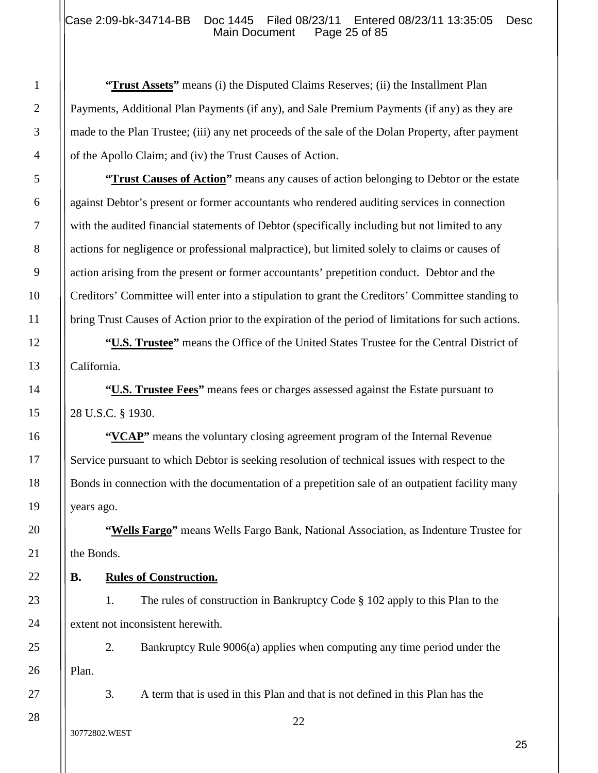## Case 2:09-bk-34714-BB Doc 1445 Filed 08/23/11 Entered 08/23/11 13:35:05 Desc<br>Main Document Page 25 of 85 Main Document

**"Trust Assets"** means (i) the Disputed Claims Reserves; (ii) the Installment Plan Payments, Additional Plan Payments (if any), and Sale Premium Payments (if any) as they are made to the Plan Trustee; (iii) any net proceeds of the sale of the Dolan Property, after payment of the Apollo Claim; and (iv) the Trust Causes of Action.

**"Trust Causes of Action"** means any causes of action belonging to Debtor or the estate against Debtor's present or former accountants who rendered auditing services in connection with the audited financial statements of Debtor (specifically including but not limited to any actions for negligence or professional malpractice), but limited solely to claims or causes of action arising from the present or former accountants' prepetition conduct. Debtor and the Creditors' Committee will enter into a stipulation to grant the Creditors' Committee standing to bring Trust Causes of Action prior to the expiration of the period of limitations for such actions.

**"U.S. Trustee"** means the Office of the United States Trustee for the Central District of California.

**"U.S. Trustee Fees"** means fees or charges assessed against the Estate pursuant to 28 U.S.C. § 1930.

**"VCAP"** means the voluntary closing agreement program of the Internal Revenue Service pursuant to which Debtor is seeking resolution of technical issues with respect to the Bonds in connection with the documentation of a prepetition sale of an outpatient facility many years ago.

**"Wells Fargo"** means Wells Fargo Bank, National Association, as Indenture Trustee for the Bonds.

# **B. Rules of Construction.**

1. The rules of construction in Bankruptcy Code § 102 apply to this Plan to the extent not inconsistent herewith.

2. Bankruptcy Rule 9006(a) applies when computing any time period under the Plan.

3. A term that is used in this Plan and that is not defined in this Plan has the

1

2

3

4

5

6

7

8

9

10

11

12

13

14

15

16

17

18

19

20

21

22

23

24

25

26

27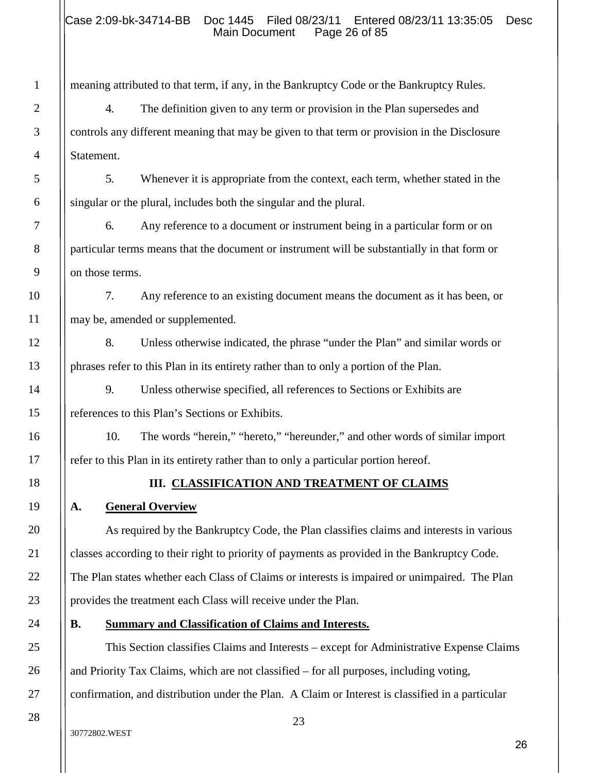meaning attributed to that term, if any, in the Bankruptcy Code or the Bankruptcy Rules.

4. The definition given to any term or provision in the Plan supersedes and controls any different meaning that may be given to that term or provision in the Disclosure Statement.

5. Whenever it is appropriate from the context, each term, whether stated in the singular or the plural, includes both the singular and the plural.

6. Any reference to a document or instrument being in a particular form or on particular terms means that the document or instrument will be substantially in that form or on those terms.

7. Any reference to an existing document means the document as it has been, or may be, amended or supplemented.

8. Unless otherwise indicated, the phrase "under the Plan" and similar words or phrases refer to this Plan in its entirety rather than to only a portion of the Plan.

9. Unless otherwise specified, all references to Sections or Exhibits are references to this Plan's Sections or Exhibits.

10. The words "herein," "hereto," "hereunder," and other words of similar import refer to this Plan in its entirety rather than to only a particular portion hereof.

# **III. CLASSIFICATION AND TREATMENT OF CLAIMS**

# **A. General Overview**

1

2

3

4

5

6

7

8

9

10

11

12

13

14

15

16

17

18

19

20

21

22

23

24

25

26

27

28

As required by the Bankruptcy Code, the Plan classifies claims and interests in various classes according to their right to priority of payments as provided in the Bankruptcy Code. The Plan states whether each Class of Claims or interests is impaired or unimpaired. The Plan provides the treatment each Class will receive under the Plan.

# **B. Summary and Classification of Claims and Interests.**

This Section classifies Claims and Interests – except for Administrative Expense Claims and Priority Tax Claims, which are not classified – for all purposes, including voting, confirmation, and distribution under the Plan. A Claim or Interest is classified in a particular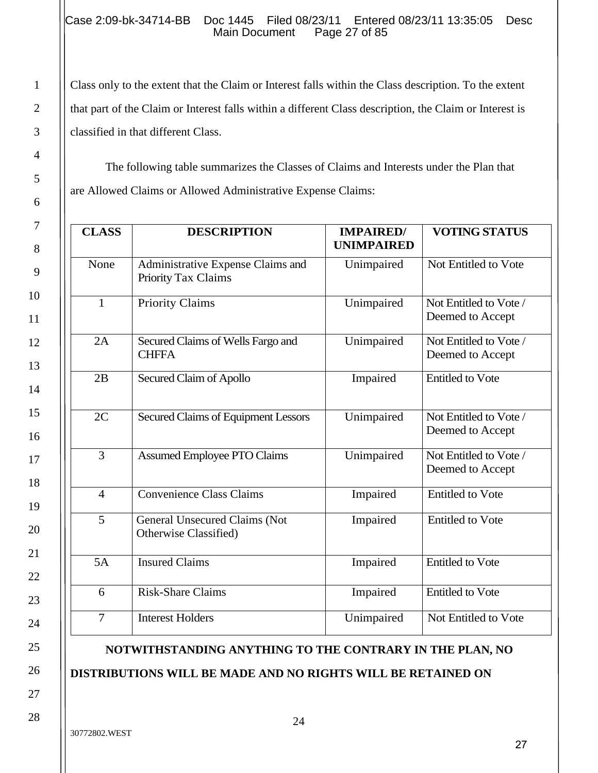### Case 2:09-bk-34714-BB Doc 1445 Filed 08/23/11 Entered 08/23/11 13:35:05 Desc<br>Main Document Page 27 of 85 Main Document

Class only to the extent that the Claim or Interest falls within the Class description. To the extent that part of the Claim or Interest falls within a different Class description, the Claim or Interest is classified in that different Class.

The following table summarizes the Classes of Claims and Interests under the Plan that are Allowed Claims or Allowed Administrative Expense Claims:

| <b>CLASS</b>   | <b>DESCRIPTION</b>                                       | <b>IMPAIRED/</b><br><b>UNIMPAIRED</b> | <b>VOTING STATUS</b>                       |
|----------------|----------------------------------------------------------|---------------------------------------|--------------------------------------------|
| None           | Administrative Expense Claims and<br>Priority Tax Claims | Unimpaired                            | Not Entitled to Vote                       |
| $\mathbf{1}$   | <b>Priority Claims</b>                                   | Unimpaired                            | Not Entitled to Vote /<br>Deemed to Accept |
| 2A             | Secured Claims of Wells Fargo and<br><b>CHFFA</b>        | Unimpaired                            | Not Entitled to Vote /<br>Deemed to Accept |
| 2B             | Secured Claim of Apollo                                  | Impaired                              | <b>Entitled to Vote</b>                    |
| 2C             | <b>Secured Claims of Equipment Lessors</b>               | Unimpaired                            | Not Entitled to Vote /<br>Deemed to Accept |
| $\overline{3}$ | <b>Assumed Employee PTO Claims</b>                       | Unimpaired                            | Not Entitled to Vote /<br>Deemed to Accept |
| $\overline{4}$ | Convenience Class Claims                                 | Impaired                              | <b>Entitled to Vote</b>                    |
| 5              | General Unsecured Claims (Not<br>Otherwise Classified)   | Impaired                              | <b>Entitled to Vote</b>                    |
| 5A             | <b>Insured Claims</b>                                    | Impaired                              | <b>Entitled to Vote</b>                    |
| 6              | <b>Risk-Share Claims</b>                                 | Impaired                              | <b>Entitled to Vote</b>                    |
| $\overline{7}$ | <b>Interest Holders</b>                                  | Unimpaired                            | Not Entitled to Vote                       |

# **NOTWITHSTANDING ANYTHING TO THE CONTRARY IN THE PLAN, NO**

# **DISTRIBUTIONS WILL BE MADE AND NO RIGHTS WILL BE RETAINED ON**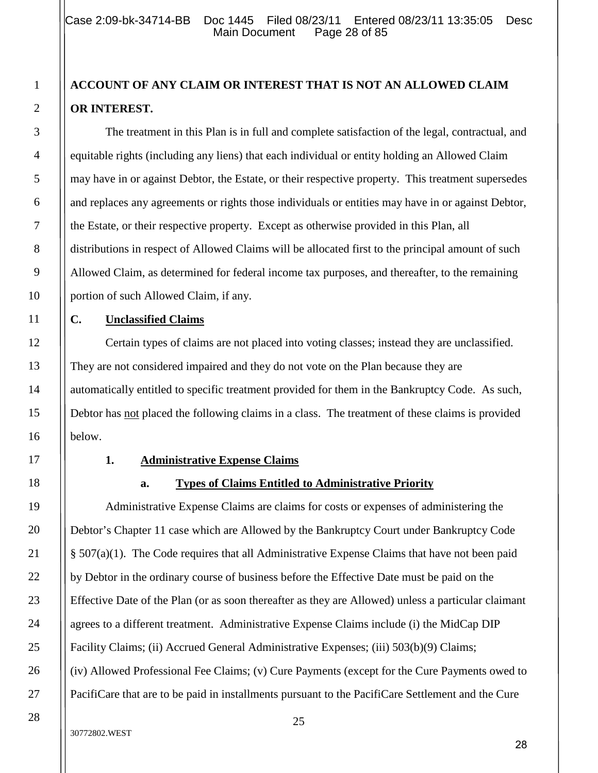# **ACCOUNT OF ANY CLAIM OR INTEREST THAT IS NOT AN ALLOWED CLAIM OR INTEREST.**

The treatment in this Plan is in full and complete satisfaction of the legal, contractual, and equitable rights (including any liens) that each individual or entity holding an Allowed Claim may have in or against Debtor, the Estate, or their respective property. This treatment supersedes and replaces any agreements or rights those individuals or entities may have in or against Debtor, the Estate, or their respective property. Except as otherwise provided in this Plan, all distributions in respect of Allowed Claims will be allocated first to the principal amount of such Allowed Claim, as determined for federal income tax purposes, and thereafter, to the remaining portion of such Allowed Claim, if any.

# **C. Unclassified Claims**

Certain types of claims are not placed into voting classes; instead they are unclassified. They are not considered impaired and they do not vote on the Plan because they are automatically entitled to specific treatment provided for them in the Bankruptcy Code. As such, Debtor has not placed the following claims in a class. The treatment of these claims is provided below.

#### **1. Administrative Expense Claims**

# **a. Types of Claims Entitled to Administrative Priority**

Administrative Expense Claims are claims for costs or expenses of administering the Debtor's Chapter 11 case which are Allowed by the Bankruptcy Court under Bankruptcy Code § 507(a)(1). The Code requires that all Administrative Expense Claims that have not been paid by Debtor in the ordinary course of business before the Effective Date must be paid on the Effective Date of the Plan (or as soon thereafter as they are Allowed) unless a particular claimant agrees to a different treatment. Administrative Expense Claims include (i) the MidCap DIP Facility Claims; (ii) Accrued General Administrative Expenses; (iii) 503(b)(9) Claims; (iv) Allowed Professional Fee Claims; (v) Cure Payments (except for the Cure Payments owed to PacifiCare that are to be paid in installments pursuant to the PacifiCare Settlement and the Cure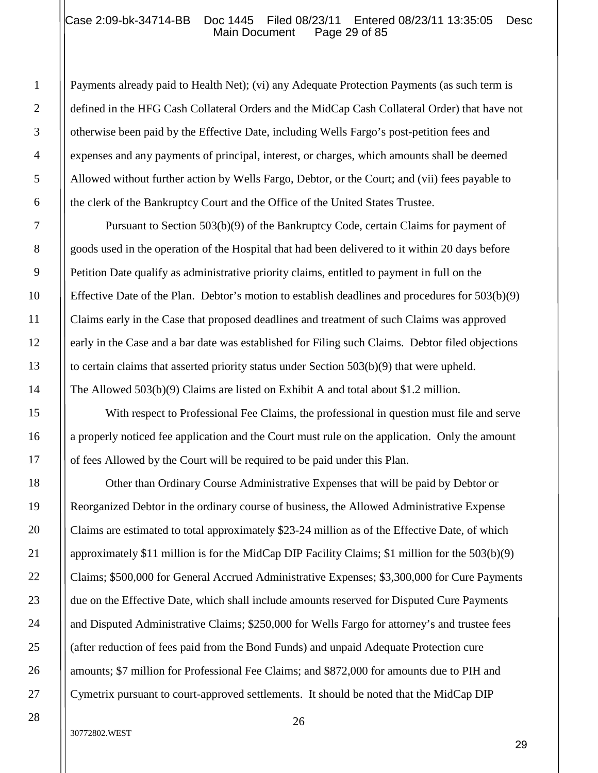#### Case 2:09-bk-34714-BB Doc 1445 Filed 08/23/11 Entered 08/23/11 13:35:05 Desc<br>Main Document Page 29 of 85 Main Document

Payments already paid to Health Net); (vi) any Adequate Protection Payments (as such term is defined in the HFG Cash Collateral Orders and the MidCap Cash Collateral Order) that have not otherwise been paid by the Effective Date, including Wells Fargo's post-petition fees and expenses and any payments of principal, interest, or charges, which amounts shall be deemed Allowed without further action by Wells Fargo, Debtor, or the Court; and (vii) fees payable to the clerk of the Bankruptcy Court and the Office of the United States Trustee.

Pursuant to Section 503(b)(9) of the Bankruptcy Code, certain Claims for payment of goods used in the operation of the Hospital that had been delivered to it within 20 days before Petition Date qualify as administrative priority claims, entitled to payment in full on the Effective Date of the Plan. Debtor's motion to establish deadlines and procedures for 503(b)(9) Claims early in the Case that proposed deadlines and treatment of such Claims was approved early in the Case and a bar date was established for Filing such Claims. Debtor filed objections to certain claims that asserted priority status under Section 503(b)(9) that were upheld. The Allowed 503(b)(9) Claims are listed on Exhibit A and total about \$1.2 million.

With respect to Professional Fee Claims, the professional in question must file and serve a properly noticed fee application and the Court must rule on the application. Only the amount of fees Allowed by the Court will be required to be paid under this Plan.

Other than Ordinary Course Administrative Expenses that will be paid by Debtor or Reorganized Debtor in the ordinary course of business, the Allowed Administrative Expense Claims are estimated to total approximately \$23-24 million as of the Effective Date, of which approximately \$11 million is for the MidCap DIP Facility Claims; \$1 million for the 503(b)(9) Claims; \$500,000 for General Accrued Administrative Expenses; \$3,300,000 for Cure Payments due on the Effective Date, which shall include amounts reserved for Disputed Cure Payments and Disputed Administrative Claims; \$250,000 for Wells Fargo for attorney's and trustee fees (after reduction of fees paid from the Bond Funds) and unpaid Adequate Protection cure amounts; \$7 million for Professional Fee Claims; and \$872,000 for amounts due to PIH and Cymetrix pursuant to court-approved settlements. It should be noted that the MidCap DIP

#### 30772802.WEST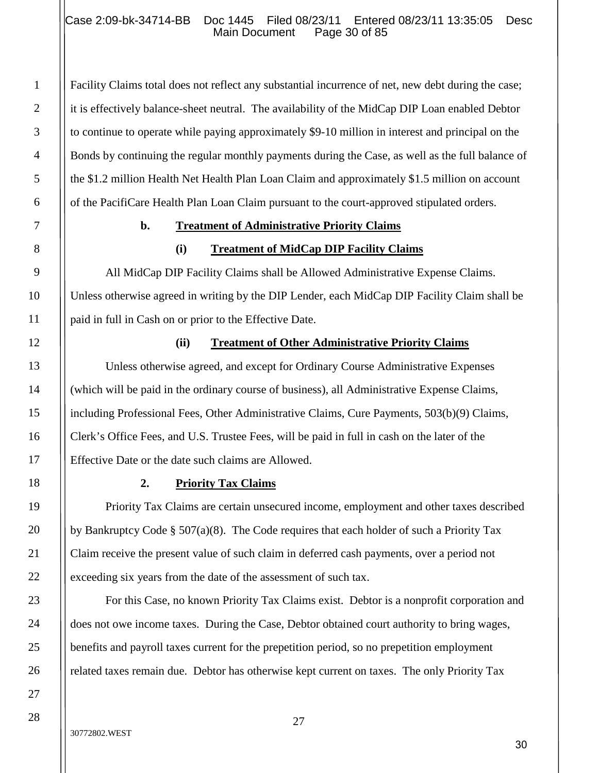#### Case 2:09-bk-34714-BB Doc 1445 Filed 08/23/11 Entered 08/23/11 13:35:05 Desc<br>Main Document Page 30 of 85 Main Document

Facility Claims total does not reflect any substantial incurrence of net, new debt during the case; it is effectively balance-sheet neutral. The availability of the MidCap DIP Loan enabled Debtor to continue to operate while paying approximately \$9-10 million in interest and principal on the Bonds by continuing the regular monthly payments during the Case, as well as the full balance of the \$1.2 million Health Net Health Plan Loan Claim and approximately \$1.5 million on account of the PacifiCare Health Plan Loan Claim pursuant to the court-approved stipulated orders.

#### **b. Treatment of Administrative Priority Claims**

#### **(i) Treatment of MidCap DIP Facility Claims**

All MidCap DIP Facility Claims shall be Allowed Administrative Expense Claims. Unless otherwise agreed in writing by the DIP Lender, each MidCap DIP Facility Claim shall be paid in full in Cash on or prior to the Effective Date.

#### **(ii) Treatment of Other Administrative Priority Claims**

Unless otherwise agreed, and except for Ordinary Course Administrative Expenses (which will be paid in the ordinary course of business), all Administrative Expense Claims, including Professional Fees, Other Administrative Claims, Cure Payments, 503(b)(9) Claims, Clerk's Office Fees, and U.S. Trustee Fees, will be paid in full in cash on the later of the Effective Date or the date such claims are Allowed.

#### **2. Priority Tax Claims**

Priority Tax Claims are certain unsecured income, employment and other taxes described by Bankruptcy Code § 507(a)(8). The Code requires that each holder of such a Priority Tax Claim receive the present value of such claim in deferred cash payments, over a period not exceeding six years from the date of the assessment of such tax.

For this Case, no known Priority Tax Claims exist. Debtor is a nonprofit corporation and does not owe income taxes. During the Case, Debtor obtained court authority to bring wages, benefits and payroll taxes current for the prepetition period, so no prepetition employment related taxes remain due. Debtor has otherwise kept current on taxes. The only Priority Tax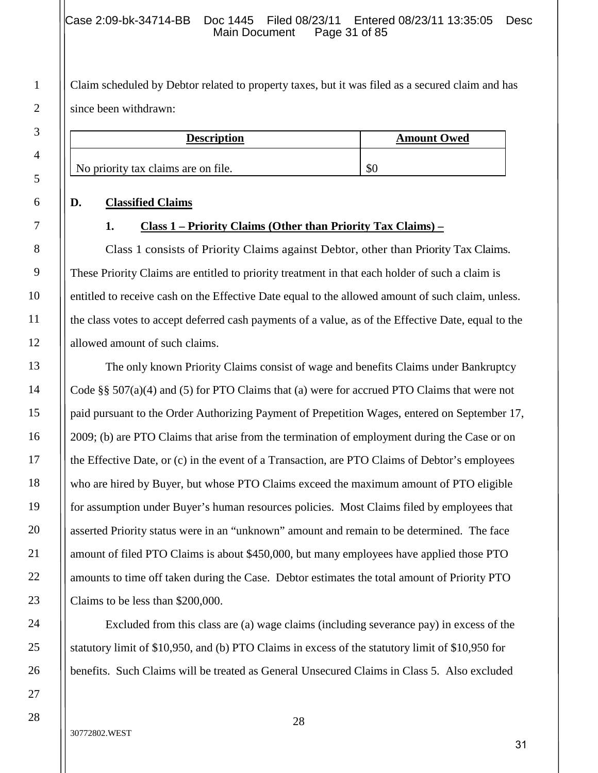Claim scheduled by Debtor related to property taxes, but it was filed as a secured claim and has since been withdrawn:

| <b>Description</b>                  | <b>Amount Owed</b> |
|-------------------------------------|--------------------|
| No priority tax claims are on file. | DЛ                 |

#### **D. Classified Claims**

#### **1. Class 1 – Priority Claims (Other than Priority Tax Claims) –**

Class 1 consists of Priority Claims against Debtor, other than Priority Tax Claims. These Priority Claims are entitled to priority treatment in that each holder of such a claim is entitled to receive cash on the Effective Date equal to the allowed amount of such claim, unless. the class votes to accept deferred cash payments of a value, as of the Effective Date, equal to the allowed amount of such claims.

The only known Priority Claims consist of wage and benefits Claims under Bankruptcy Code §§ 507(a)(4) and (5) for PTO Claims that (a) were for accrued PTO Claims that were not paid pursuant to the Order Authorizing Payment of Prepetition Wages, entered on September 17, 2009; (b) are PTO Claims that arise from the termination of employment during the Case or on the Effective Date, or (c) in the event of a Transaction, are PTO Claims of Debtor's employees who are hired by Buyer, but whose PTO Claims exceed the maximum amount of PTO eligible for assumption under Buyer's human resources policies. Most Claims filed by employees that asserted Priority status were in an "unknown" amount and remain to be determined. The face amount of filed PTO Claims is about \$450,000, but many employees have applied those PTO amounts to time off taken during the Case. Debtor estimates the total amount of Priority PTO Claims to be less than \$200,000.

Excluded from this class are (a) wage claims (including severance pay) in excess of the statutory limit of \$10,950, and (b) PTO Claims in excess of the statutory limit of \$10,950 for benefits. Such Claims will be treated as General Unsecured Claims in Class 5. Also excluded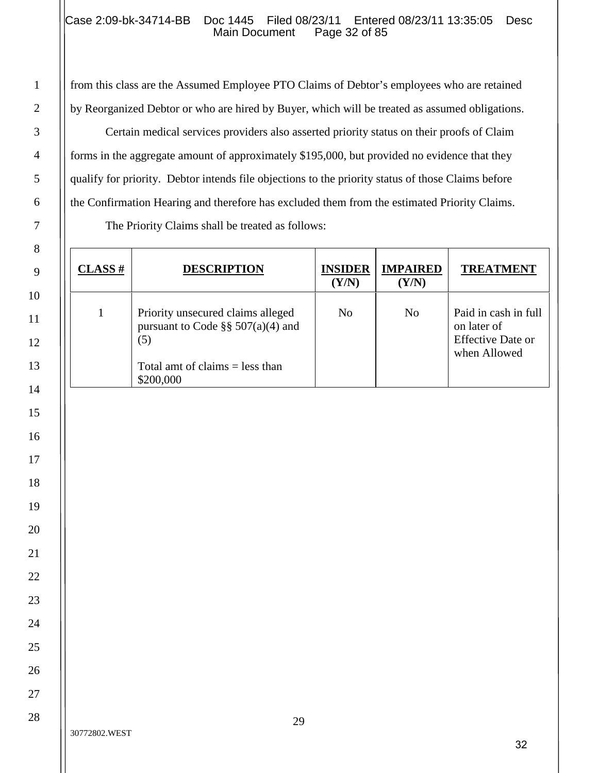## Case 2:09-bk-34714-BB Doc 1445 Filed 08/23/11 Entered 08/23/11 13:35:05 Desc<br>Main Document Page 32 of 85 Main Document

from this class are the Assumed Employee PTO Claims of Debtor's employees who are retained by Reorganized Debtor or who are hired by Buyer, which will be treated as assumed obligations.

Certain medical services providers also asserted priority status on their proofs of Claim forms in the aggregate amount of approximately \$195,000, but provided no evidence that they qualify for priority. Debtor intends file objections to the priority status of those Claims before the Confirmation Hearing and therefore has excluded them from the estimated Priority Claims.

The Priority Claims shall be treated as follows:

| $CLASS$ # | <b>DESCRIPTION</b>                                                                                                                  | <b>INSIDER</b><br>(Y/N) | <b>IMPAIRED</b><br>(Y/N) | <b>TREATMENT</b>                                                                |
|-----------|-------------------------------------------------------------------------------------------------------------------------------------|-------------------------|--------------------------|---------------------------------------------------------------------------------|
|           | Priority unsecured claims alleged<br>pursuant to Code $\S$ § 507(a)(4) and<br>(5)<br>Total amt of claims $=$ less than<br>\$200,000 | No                      | No                       | Paid in cash in full<br>on later of<br><b>Effective Date or</b><br>when Allowed |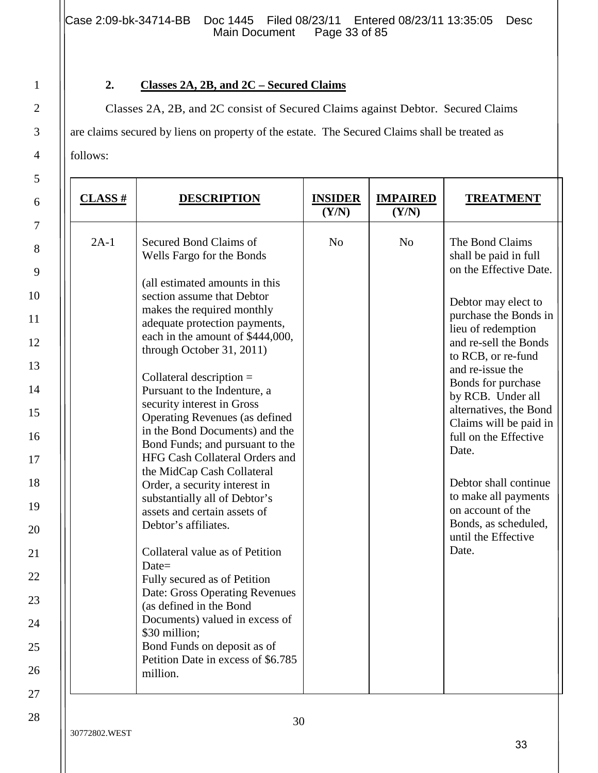Case 2:09-bk-34714-BB Doc 1445 Filed 08/23/11 Entered 08/23/11 13:35:05 Desc<br>Main Document Page 33 of 85 Main Document

# **2. Classes 2A, 2B, and 2C – Secured Claims**

Classes 2A, 2B, and 2C consist of Secured Claims against Debtor. Secured Claims are claims secured by liens on property of the estate. The Secured Claims shall be treated as follows:

| $CLASS$ # | <b>DESCRIPTION</b>                                                                                                                                                                                                                                                                                                                                                                                                                                                                                                                                                                                                                                                                                                                                                                                                                                                                                                               | <b>INSIDER</b><br>(Y/N) | <b>IMPAIRED</b><br>(Y/N) | <b>TREATMENT</b>                                                                                                                                                                                                                                                                                                                                                                                                                                                           |
|-----------|----------------------------------------------------------------------------------------------------------------------------------------------------------------------------------------------------------------------------------------------------------------------------------------------------------------------------------------------------------------------------------------------------------------------------------------------------------------------------------------------------------------------------------------------------------------------------------------------------------------------------------------------------------------------------------------------------------------------------------------------------------------------------------------------------------------------------------------------------------------------------------------------------------------------------------|-------------------------|--------------------------|----------------------------------------------------------------------------------------------------------------------------------------------------------------------------------------------------------------------------------------------------------------------------------------------------------------------------------------------------------------------------------------------------------------------------------------------------------------------------|
| $2A-1$    | Secured Bond Claims of<br>Wells Fargo for the Bonds<br>(all estimated amounts in this<br>section assume that Debtor<br>makes the required monthly<br>adequate protection payments,<br>each in the amount of \$444,000,<br>through October 31, 2011)<br>Collateral description $=$<br>Pursuant to the Indenture, a<br>security interest in Gross<br>Operating Revenues (as defined<br>in the Bond Documents) and the<br>Bond Funds; and pursuant to the<br>HFG Cash Collateral Orders and<br>the MidCap Cash Collateral<br>Order, a security interest in<br>substantially all of Debtor's<br>assets and certain assets of<br>Debtor's affiliates.<br>Collateral value as of Petition<br>$Date =$<br>Fully secured as of Petition<br>Date: Gross Operating Revenues<br>(as defined in the Bond<br>Documents) valued in excess of<br>\$30 million;<br>Bond Funds on deposit as of<br>Petition Date in excess of \$6.785<br>million. | N <sub>o</sub>          | N <sub>o</sub>           | The Bond Claims<br>shall be paid in full<br>on the Effective Date.<br>Debtor may elect to<br>purchase the Bonds in<br>lieu of redemption<br>and re-sell the Bonds<br>to RCB, or re-fund<br>and re-issue the<br>Bonds for purchase<br>by RCB. Under all<br>alternatives, the Bond<br>Claims will be paid in<br>full on the Effective<br>Date.<br>Debtor shall continue<br>to make all payments<br>on account of the<br>Bonds, as scheduled,<br>until the Effective<br>Date. |

1

2

3

4

5

6

7

8

9

10

11

12

13

14

15

16

17

18

19

20

21

22

23

24

25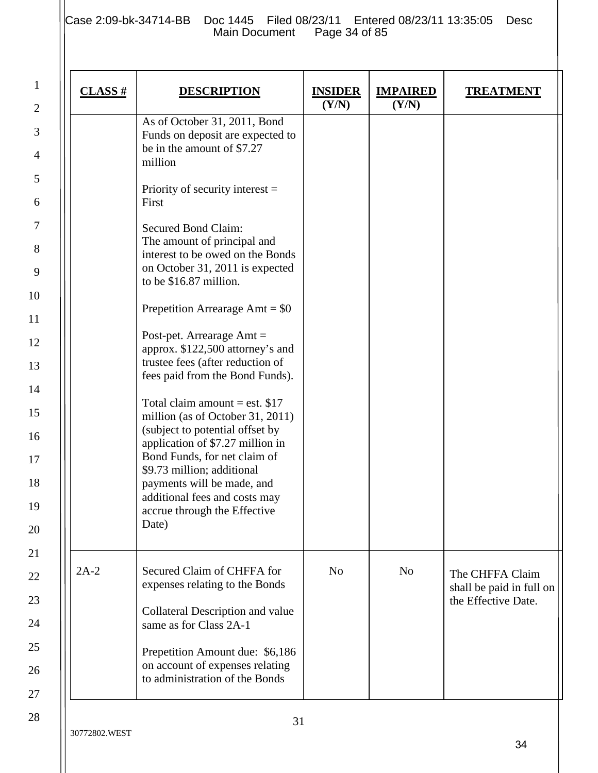1

2

3

4

5

6

7

8

9

10

11

12

13

14

15

16

17

18

19

20

21

22

23

24

25

26

27

| $CLASS$ # | <b>DESCRIPTION</b>                                                                                                                                                                                                                                                                                               | <b>INSIDER</b><br>(Y/N) | <b>IMPAIRED</b><br>(Y/N) | <b>TREATMENT</b>                                                   |
|-----------|------------------------------------------------------------------------------------------------------------------------------------------------------------------------------------------------------------------------------------------------------------------------------------------------------------------|-------------------------|--------------------------|--------------------------------------------------------------------|
|           | As of October 31, 2011, Bond<br>Funds on deposit are expected to<br>be in the amount of \$7.27<br>million                                                                                                                                                                                                        |                         |                          |                                                                    |
|           | Priority of security interest $=$<br>First                                                                                                                                                                                                                                                                       |                         |                          |                                                                    |
|           | Secured Bond Claim:<br>The amount of principal and<br>interest to be owed on the Bonds<br>on October 31, 2011 is expected<br>to be \$16.87 million.                                                                                                                                                              |                         |                          |                                                                    |
|           | Prepetition Arrearage Amt = $$0$                                                                                                                                                                                                                                                                                 |                         |                          |                                                                    |
|           | Post-pet. Arrearage $Amt =$<br>approx. \$122,500 attorney's and<br>trustee fees (after reduction of<br>fees paid from the Bond Funds).                                                                                                                                                                           |                         |                          |                                                                    |
|           | Total claim amount = est. $$17$<br>million (as of October 31, 2011)<br>(subject to potential offset by<br>application of \$7.27 million in<br>Bond Funds, for net claim of<br>\$9.73 million; additional<br>payments will be made, and<br>additional fees and costs may<br>accrue through the Effective<br>Date) |                         |                          |                                                                    |
| $2A-2$    | Secured Claim of CHFFA for<br>expenses relating to the Bonds<br>Collateral Description and value                                                                                                                                                                                                                 | N <sub>o</sub>          | N <sub>o</sub>           | The CHFFA Claim<br>shall be paid in full on<br>the Effective Date. |
|           | same as for Class 2A-1<br>Prepetition Amount due: \$6,186<br>on account of expenses relating<br>to administration of the Bonds                                                                                                                                                                                   |                         |                          |                                                                    |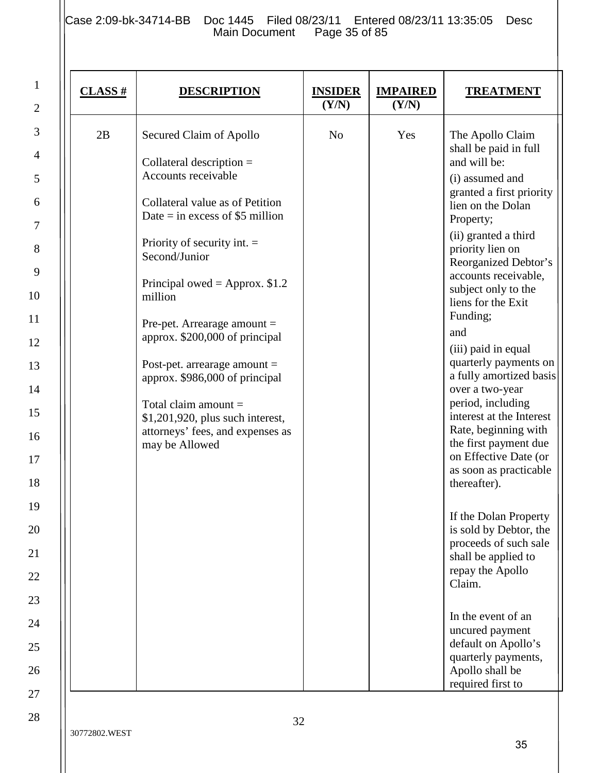1

2

3

4

5

6

7

8

9

10

11

12

13

14

15

16

17

18

19

20

21

22

23

| $CLASS$ # | <b>DESCRIPTION</b>                                                                                                                                                                                                                                                                                                                                                                                                                                                                                              | <b>INSIDER</b><br>(Y/N) | <b>IMPAIRED</b><br>(Y/N) | <b>TREATMENT</b>                                                                                                                                                                                                                                                                                                                                                                                                                                                                                                                                                                                                                                                                                                                                                                                                                          |
|-----------|-----------------------------------------------------------------------------------------------------------------------------------------------------------------------------------------------------------------------------------------------------------------------------------------------------------------------------------------------------------------------------------------------------------------------------------------------------------------------------------------------------------------|-------------------------|--------------------------|-------------------------------------------------------------------------------------------------------------------------------------------------------------------------------------------------------------------------------------------------------------------------------------------------------------------------------------------------------------------------------------------------------------------------------------------------------------------------------------------------------------------------------------------------------------------------------------------------------------------------------------------------------------------------------------------------------------------------------------------------------------------------------------------------------------------------------------------|
| 2B        | Secured Claim of Apollo<br>Collateral description $=$<br>Accounts receivable<br>Collateral value as of Petition<br>Date $=$ in excess of \$5 million<br>Priority of security int. $=$<br>Second/Junior<br>Principal owed = Approx. $$1.2$<br>million<br>Pre-pet. Arrearage amount $=$<br>approx. \$200,000 of principal<br>Post-pet. arrearage amount $=$<br>approx. \$986,000 of principal<br>Total claim amount $=$<br>\$1,201,920, plus such interest,<br>attorneys' fees, and expenses as<br>may be Allowed | N <sub>o</sub>          | Yes                      | The Apollo Claim<br>shall be paid in full<br>and will be:<br>(i) assumed and<br>granted a first priority<br>lien on the Dolan<br>Property;<br>(ii) granted a third<br>priority lien on<br>Reorganized Debtor's<br>accounts receivable,<br>subject only to the<br>liens for the Exit<br>Funding;<br>and<br>(iii) paid in equal<br>quarterly payments on<br>a fully amortized basis<br>over a two-year<br>period, including<br>interest at the Interest<br>Rate, beginning with<br>the first payment due<br>on Effective Date (or<br>as soon as practicable<br>thereafter).<br>If the Dolan Property<br>is sold by Debtor, the<br>proceeds of such sale<br>shall be applied to<br>repay the Apollo<br>Claim.<br>In the event of an<br>uncured payment<br>default on Apollo's<br>quarterly payments,<br>Apollo shall be<br>required first to |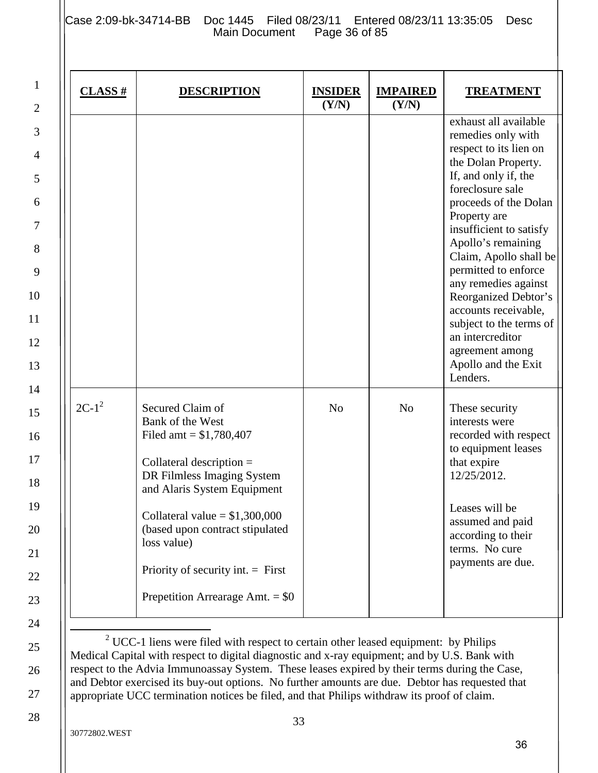Case 2:09-bk-34714-BB Doc 1445 Filed 08/23/11 Entered 08/23/11 13:35:05 Desc<br>Main Document Page 36 of 85 Main Document

| $CLASS$ # | <b>DESCRIPTION</b>                                                                                                                                                                                                                                                                                                            | <b>INSIDER</b><br>(Y/N) | <b>IMPAIRED</b><br>(Y/N) | <b>TREATMENT</b>                                                                                                                                                                                                                                                                                                                                                                                                                                                  |
|-----------|-------------------------------------------------------------------------------------------------------------------------------------------------------------------------------------------------------------------------------------------------------------------------------------------------------------------------------|-------------------------|--------------------------|-------------------------------------------------------------------------------------------------------------------------------------------------------------------------------------------------------------------------------------------------------------------------------------------------------------------------------------------------------------------------------------------------------------------------------------------------------------------|
|           |                                                                                                                                                                                                                                                                                                                               |                         |                          | exhaust all available<br>remedies only with<br>respect to its lien on<br>the Dolan Property.<br>If, and only if, the<br>foreclosure sale<br>proceeds of the Dolan<br>Property are<br>insufficient to satisfy<br>Apollo's remaining<br>Claim, Apollo shall be<br>permitted to enforce<br>any remedies against<br>Reorganized Debtor's<br>accounts receivable,<br>subject to the terms of<br>an intercreditor<br>agreement among<br>Apollo and the Exit<br>Lenders. |
| $2C-1^2$  | Secured Claim of<br>Bank of the West<br>Filed amt = $$1,780,407$<br>Collateral description $=$<br>DR Filmless Imaging System<br>and Alaris System Equipment<br>Collateral value = $$1,300,000$<br>(based upon contract stipulated<br>loss value)<br>Priority of security int. $=$ First<br>Prepetition Arrearage Amt. $=$ \$0 | N <sub>o</sub>          | N <sub>o</sub>           | These security<br>interests were<br>recorded with respect<br>to equipment leases<br>that expire<br>12/25/2012.<br>Leases will be<br>assumed and paid<br>according to their<br>terms. No cure<br>payments are due.                                                                                                                                                                                                                                                 |

 $2^{\circ}$  UCC-1 liens were filed with respect to certain other leased equipment: by Philips Medical Capital with respect to digital diagnostic and x-ray equipment; and by U.S. Bank with respect to the Advia Immunoassay System. These leases expired by their terms during the Case, and Debtor exercised its buy-out options. No further amounts are due. Debtor has requested that appropriate UCC termination notices be filed, and that Philips withdraw its proof of claim.

1

2

3

4

5

6

7

8

9

10

11

12

13

14

15

16

17

18

19

20

21

22

23

24

25

26

27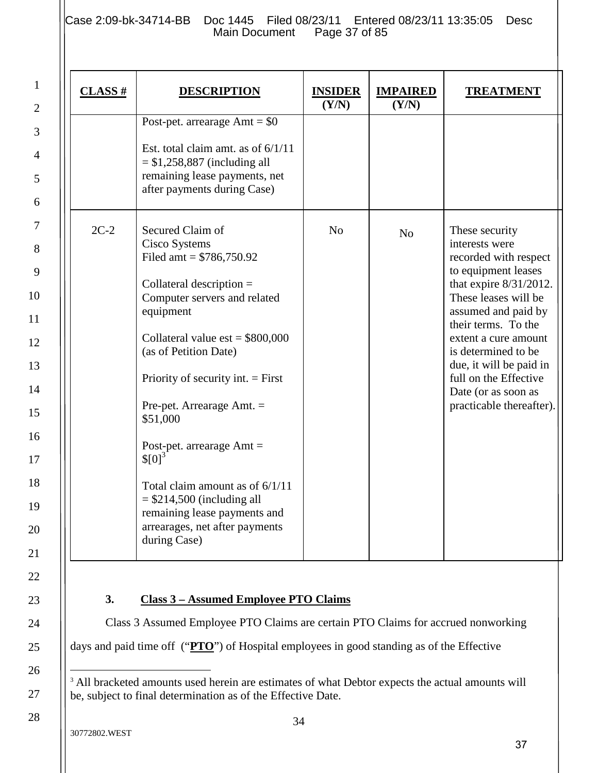1

2

3

4

5

6

7

8

9

10

11

12

13

14

15

16

17

18

19

20

21

22

23

24

25

26

27

28

| $CLASS$ # | <b>DESCRIPTION</b>                                                                                                                                                                                                                                                                                                                                                                                                                                                                          | <b>INSIDER</b><br>(Y/N) | <b>IMPAIRED</b><br>(Y/N) | <b>TREATMENT</b>                                                                                                                                                                                                                                                                                                                          |
|-----------|---------------------------------------------------------------------------------------------------------------------------------------------------------------------------------------------------------------------------------------------------------------------------------------------------------------------------------------------------------------------------------------------------------------------------------------------------------------------------------------------|-------------------------|--------------------------|-------------------------------------------------------------------------------------------------------------------------------------------------------------------------------------------------------------------------------------------------------------------------------------------------------------------------------------------|
|           | Post-pet. arrearage $Amt = $0$<br>Est. total claim amt. as of $6/1/11$<br>$=$ \$1,258,887 (including all<br>remaining lease payments, net<br>after payments during Case)                                                                                                                                                                                                                                                                                                                    |                         |                          |                                                                                                                                                                                                                                                                                                                                           |
| $2C-2$    | Secured Claim of<br>Cisco Systems<br>Filed amt = $$786,750.92$<br>Collateral description $=$<br>Computer servers and related<br>equipment<br>Collateral value $est = $800,000$<br>(as of Petition Date)<br>Priority of security int. $=$ First<br>Pre-pet. Arrearage Amt. $=$<br>\$51,000<br>Post-pet. arrearage $Amt =$<br>$$[0]^3$<br>Total claim amount as of $6/1/11$<br>$=$ \$214,500 (including all<br>remaining lease payments and<br>arrearages, net after payments<br>during Case) | N <sub>o</sub>          | N <sub>o</sub>           | These security<br>interests were<br>recorded with respect<br>to equipment leases<br>that expire $8/31/2012$ .<br>These leases will be<br>assumed and paid by<br>their terms. To the<br>extent a cure amount<br>is determined to be<br>due, it will be paid in<br>full on the Effective<br>Date (or as soon as<br>practicable thereafter). |

Class 3 Assumed Employee PTO Claims are certain PTO Claims for accrued nonworking days and paid time off ("**PTO**") of Hospital employees in good standing as of the Effective

<sup>&</sup>lt;sup>3</sup> All bracketed amounts used herein are estimates of what Debtor expects the actual amounts will be, subject to final determination as of the Effective Date.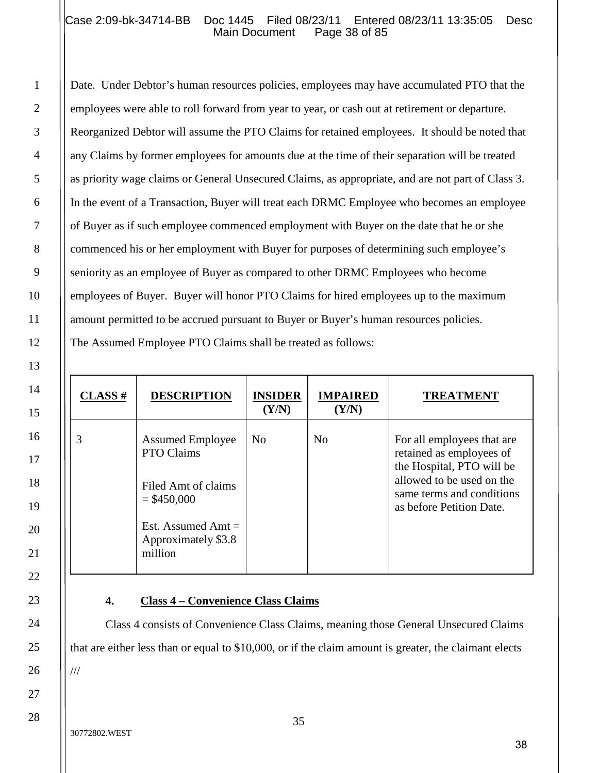## Case 2:09-bk-34714-BB Doc 1445 Filed 08/23/11 Entered 08/23/11 13:35:05 Desc<br>Main Document Page 38 of 85 Main Document

Date. Under Debtor's human resources policies, employees may have accumulated PTO that the employees were able to roll forward from year to year, or cash out at retirement or departure. Reorganized Debtor will assume the PTO Claims for retained employees. It should be noted that any Claims by former employees for amounts due at the time of their separation will be treated as priority wage claims or General Unsecured Claims, as appropriate, and are not part of Class 3. In the event of a Transaction, Buyer will treat each DRMC Employee who becomes an employee of Buyer as if such employee commenced employment with Buyer on the date that he or she commenced his or her employment with Buyer for purposes of determining such employee's seniority as an employee of Buyer as compared to other DRMC Employees who become employees of Buyer. Buyer will honor PTO Claims for hired employees up to the maximum amount permitted to be accrued pursuant to Buyer or Buyer's human resources policies. The Assumed Employee PTO Claims shall be treated as follows:

| <b>CLASS</b> # | <b>DESCRIPTION</b>                                                                                                                      | <b>INSIDER</b><br>(Y/N) | <b>IMPAIRED</b><br>(Y/N) | <b>TREATMENT</b>                                                                                                                                                          |
|----------------|-----------------------------------------------------------------------------------------------------------------------------------------|-------------------------|--------------------------|---------------------------------------------------------------------------------------------------------------------------------------------------------------------------|
| 3              | <b>Assumed Employee</b><br>PTO Claims<br>Filed Amt of claims<br>$=$ \$450,000<br>Est. Assumed Amt $=$<br>Approximately \$3.8<br>million | N <sub>0</sub>          | N <sub>0</sub>           | For all employees that are<br>retained as employees of<br>the Hospital, PTO will be<br>allowed to be used on the<br>same terms and conditions<br>as before Petition Date. |

#### **4. Class 4 – Convenience Class Claims**

Class 4 consists of Convenience Class Claims, meaning those General Unsecured Claims that are either less than or equal to \$10,000, or if the claim amount is greater, the claimant elects

///

1

2

3

4

5

6

7

8

9

10

11

12

13

14

15

16

17

18

19

20

21

22

23

24

25

26

27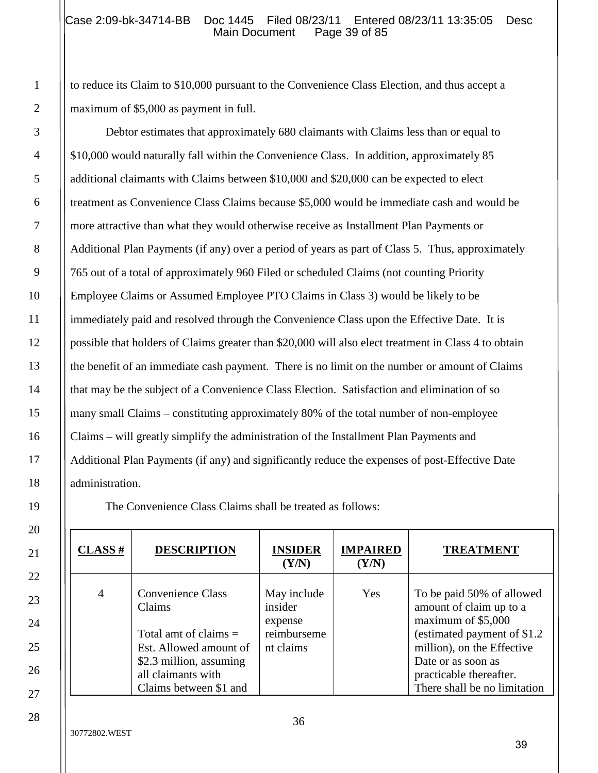to reduce its Claim to \$10,000 pursuant to the Convenience Class Election, and thus accept a maximum of \$5,000 as payment in full.

Debtor estimates that approximately 680 claimants with Claims less than or equal to \$10,000 would naturally fall within the Convenience Class. In addition, approximately 85 additional claimants with Claims between \$10,000 and \$20,000 can be expected to elect treatment as Convenience Class Claims because \$5,000 would be immediate cash and would be more attractive than what they would otherwise receive as Installment Plan Payments or Additional Plan Payments (if any) over a period of years as part of Class 5. Thus, approximately 765 out of a total of approximately 960 Filed or scheduled Claims (not counting Priority Employee Claims or Assumed Employee PTO Claims in Class 3) would be likely to be immediately paid and resolved through the Convenience Class upon the Effective Date. It is possible that holders of Claims greater than \$20,000 will also elect treatment in Class 4 to obtain the benefit of an immediate cash payment. There is no limit on the number or amount of Claims that may be the subject of a Convenience Class Election. Satisfaction and elimination of so many small Claims – constituting approximately 80% of the total number of non-employee Claims – will greatly simplify the administration of the Installment Plan Payments and Additional Plan Payments (if any) and significantly reduce the expenses of post-Effective Date administration.

The Convenience Class Claims shall be treated as follows:

| $CLASS$ #      | <b>DESCRIPTION</b>                                                                                                                                                 | <b>INSIDER</b><br>(Y/N)                                       | <b>IMPAIRED</b><br>(Y/N) | <b>TREATMENT</b>                                                                                                                                                                                                          |
|----------------|--------------------------------------------------------------------------------------------------------------------------------------------------------------------|---------------------------------------------------------------|--------------------------|---------------------------------------------------------------------------------------------------------------------------------------------------------------------------------------------------------------------------|
| $\overline{4}$ | <b>Convenience Class</b><br>Claims<br>Total amt of claims $=$<br>Est. Allowed amount of<br>\$2.3 million, assuming<br>all claimants with<br>Claims between \$1 and | May include<br>insider<br>expense<br>reimburseme<br>nt claims | Yes                      | To be paid 50% of allowed<br>amount of claim up to a<br>maximum of \$5,000<br>(estimated payment of \$1.2)<br>million), on the Effective<br>Date or as soon as<br>practicable thereafter.<br>There shall be no limitation |

1

2

3

4

5

6

7

8

9

10

11

12

13

14

15

16

17

18

19

20

21

22

23

24

25

26

27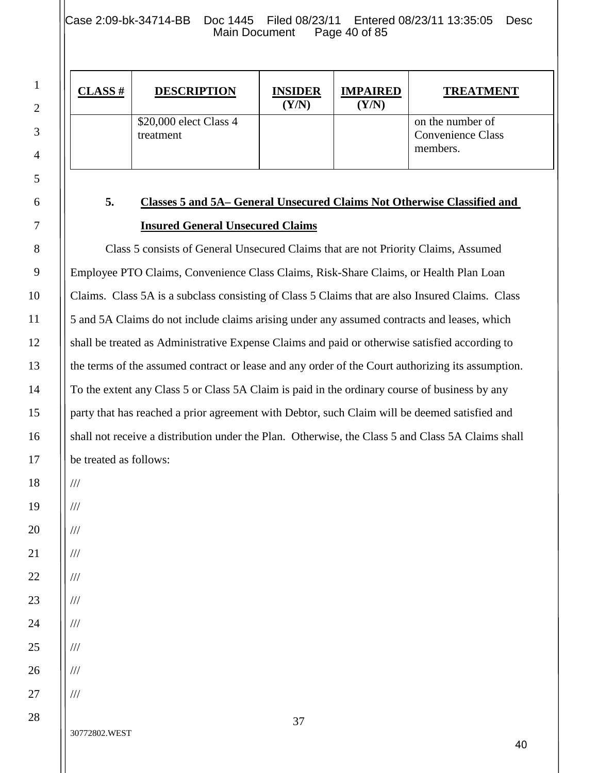Case 2:09-bk-34714-BB Doc 1445 Filed 08/23/11 Entered 08/23/11 13:35:05 Desc<br>Main Document Page 40 of 85 Main Document

| <b>CLASS</b> # | <b>DESCRIPTION</b>                  | <b>INSIDER</b><br>(Y/N) | <b>IMPAIRED</b><br>(Y/N) | <b>TREATMENT</b>                                         |
|----------------|-------------------------------------|-------------------------|--------------------------|----------------------------------------------------------|
|                | \$20,000 elect Class 4<br>treatment |                         |                          | on the number of<br><b>Convenience Class</b><br>members. |

1

2

3

4

5

6

7

8

9

10

11

12

13

14

15

16

17

18

# **5. Classes 5 and 5A– General Unsecured Claims Not Otherwise Classified and Insured General Unsecured Claims**

Class 5 consists of General Unsecured Claims that are not Priority Claims, Assumed Employee PTO Claims, Convenience Class Claims, Risk-Share Claims, or Health Plan Loan Claims. Class 5A is a subclass consisting of Class 5 Claims that are also Insured Claims. Class 5 and 5A Claims do not include claims arising under any assumed contracts and leases, which shall be treated as Administrative Expense Claims and paid or otherwise satisfied according to the terms of the assumed contract or lease and any order of the Court authorizing its assumption. To the extent any Class 5 or Class 5A Claim is paid in the ordinary course of business by any party that has reached a prior agreement with Debtor, such Claim will be deemed satisfied and shall not receive a distribution under the Plan. Otherwise, the Class 5 and Class 5A Claims shall be treated as follows:

///

///

///

///

///

///

///

///

///

///

27 28

24

25

26

30772802.WEST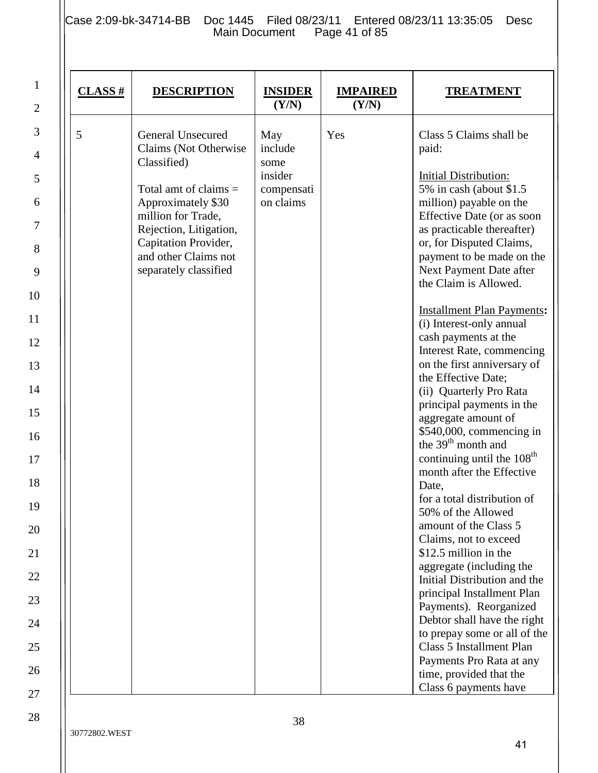Case 2:09-bk-34714-BB Doc 1445 Filed 08/23/11 Entered 08/23/11 13:35:05 Desc Main Document Page 41 of 85

| $CLASS$ # | <b>DESCRIPTION</b>                                                                                                                                                                                                                         | <b>INSIDER</b><br>(Y/N)                                      | <b>IMPAIRED</b><br>(Y/N) | <b>TREATMENT</b>                                                                                                                                                                                                                                                                                                                                                                                                                                                                                                                                                                                                                                                                                                                                                                                                                                                                                                                                                                                                                                                                                                                         |
|-----------|--------------------------------------------------------------------------------------------------------------------------------------------------------------------------------------------------------------------------------------------|--------------------------------------------------------------|--------------------------|------------------------------------------------------------------------------------------------------------------------------------------------------------------------------------------------------------------------------------------------------------------------------------------------------------------------------------------------------------------------------------------------------------------------------------------------------------------------------------------------------------------------------------------------------------------------------------------------------------------------------------------------------------------------------------------------------------------------------------------------------------------------------------------------------------------------------------------------------------------------------------------------------------------------------------------------------------------------------------------------------------------------------------------------------------------------------------------------------------------------------------------|
| 5         | <b>General Unsecured</b><br>Claims (Not Otherwise<br>Classified)<br>Total amt of claims $=$<br>Approximately \$30<br>million for Trade,<br>Rejection, Litigation,<br>Capitation Provider,<br>and other Claims not<br>separately classified | May<br>include<br>some<br>insider<br>compensati<br>on claims | Yes                      | Class 5 Claims shall be<br>paid:<br><b>Initial Distribution:</b><br>5% in cash (about \$1.5)<br>million) payable on the<br>Effective Date (or as soon<br>as practicable thereafter)<br>or, for Disputed Claims,<br>payment to be made on the<br>Next Payment Date after<br>the Claim is Allowed.<br><b>Installment Plan Payments:</b><br>(i) Interest-only annual<br>cash payments at the<br>Interest Rate, commencing<br>on the first anniversary of<br>the Effective Date;<br>(ii) Quarterly Pro Rata<br>principal payments in the<br>aggregate amount of<br>\$540,000, commencing in<br>the 39 <sup>th</sup> month and<br>continuing until the 108 <sup>th</sup><br>month after the Effective<br>Date,<br>for a total distribution of<br>50% of the Allowed<br>amount of the Class 5<br>Claims, not to exceed<br>\$12.5 million in the<br>aggregate (including the<br>Initial Distribution and the<br>principal Installment Plan<br>Payments). Reorganized<br>Debtor shall have the right<br>to prepay some or all of the<br>Class 5 Installment Plan<br>Payments Pro Rata at any<br>time, provided that the<br>Class 6 payments have |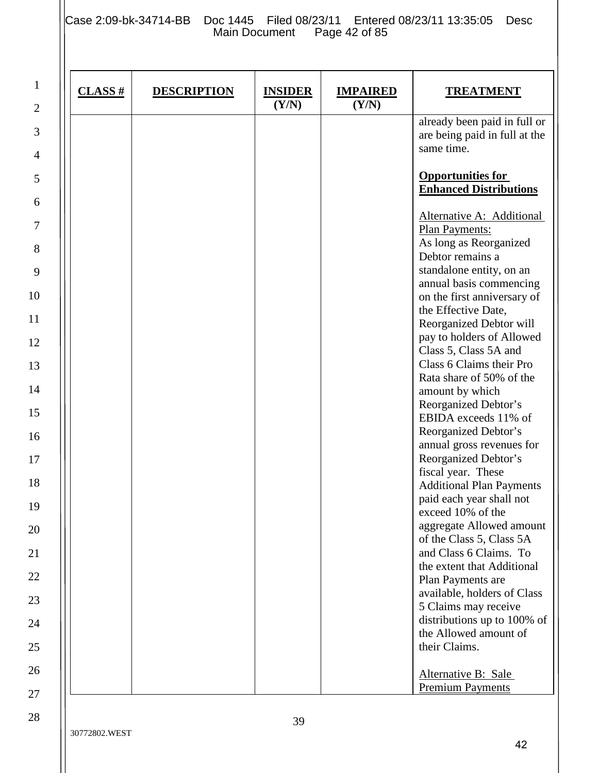Case 2:09-bk-34714-BB Doc 1445 Filed 08/23/11 Entered 08/23/11 13:35:05 Desc Main Document Page 42 of 85

| $CLASS$ # | <b>DESCRIPTION</b> | <b>INSIDER</b><br>(Y/N) | <b>IMPAIRED</b><br>(Y/N) | <b>TREATMENT</b>                                                                                                                                                                                                                                                                                                                                                                                                                                                                                                                                                                                                                                                                                                                                                                                      |
|-----------|--------------------|-------------------------|--------------------------|-------------------------------------------------------------------------------------------------------------------------------------------------------------------------------------------------------------------------------------------------------------------------------------------------------------------------------------------------------------------------------------------------------------------------------------------------------------------------------------------------------------------------------------------------------------------------------------------------------------------------------------------------------------------------------------------------------------------------------------------------------------------------------------------------------|
|           |                    |                         |                          | already been paid in full or<br>are being paid in full at the<br>same time.                                                                                                                                                                                                                                                                                                                                                                                                                                                                                                                                                                                                                                                                                                                           |
|           |                    |                         |                          | <b>Opportunities for</b><br><b>Enhanced Distributions</b>                                                                                                                                                                                                                                                                                                                                                                                                                                                                                                                                                                                                                                                                                                                                             |
|           |                    |                         |                          | Alternative A: Additional<br>Plan Payments:<br>As long as Reorganized<br>Debtor remains a<br>standalone entity, on an<br>annual basis commencing<br>on the first anniversary of<br>the Effective Date,<br>Reorganized Debtor will<br>pay to holders of Allowed<br>Class 5, Class 5A and<br>Class 6 Claims their Pro<br>Rata share of 50% of the<br>amount by which<br>Reorganized Debtor's<br>EBIDA exceeds 11% of<br>Reorganized Debtor's<br>annual gross revenues for<br>Reorganized Debtor's<br>fiscal year. These<br><b>Additional Plan Payments</b><br>paid each year shall not<br>exceed 10% of the<br>aggregate Allowed amount<br>of the Class 5, Class 5A<br>and Class 6 Claims. To<br>the extent that Additional<br>Plan Payments are<br>available, holders of Class<br>5 Claims may receive |
|           |                    |                         |                          | distributions up to 100% of<br>the Allowed amount of<br>their Claims.<br>Alternative B: Sale<br><b>Premium Payments</b>                                                                                                                                                                                                                                                                                                                                                                                                                                                                                                                                                                                                                                                                               |

23

24

25

26

27

28

1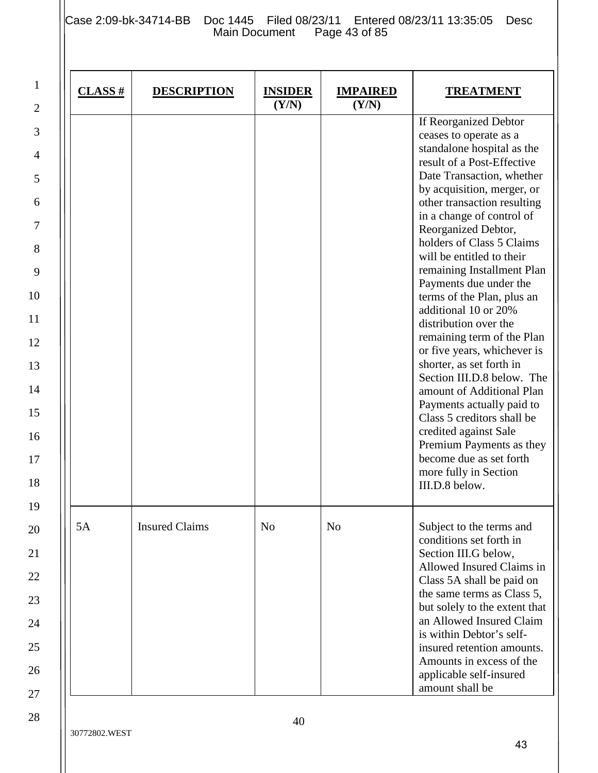Case 2:09-bk-34714-BB Doc 1445 Filed 08/23/11 Entered 08/23/11 13:35:05 Desc Main Document Page 43 of 85

| $CLASS$ # | <b>DESCRIPTION</b>    | <b>INSIDER</b><br>(Y/N) | <b>IMPAIRED</b><br>(Y/N) | <b>TREATMENT</b>                                                                                                                                                                                                                                                                                                                                                                                                                                                                                                                                                                                                                                                                                                                                                                                     |
|-----------|-----------------------|-------------------------|--------------------------|------------------------------------------------------------------------------------------------------------------------------------------------------------------------------------------------------------------------------------------------------------------------------------------------------------------------------------------------------------------------------------------------------------------------------------------------------------------------------------------------------------------------------------------------------------------------------------------------------------------------------------------------------------------------------------------------------------------------------------------------------------------------------------------------------|
|           |                       |                         |                          | If Reorganized Debtor<br>ceases to operate as a<br>standalone hospital as the<br>result of a Post-Effective<br>Date Transaction, whether<br>by acquisition, merger, or<br>other transaction resulting<br>in a change of control of<br>Reorganized Debtor,<br>holders of Class 5 Claims<br>will be entitled to their<br>remaining Installment Plan<br>Payments due under the<br>terms of the Plan, plus an<br>additional 10 or 20%<br>distribution over the<br>remaining term of the Plan<br>or five years, whichever is<br>shorter, as set forth in<br>Section III.D.8 below. The<br>amount of Additional Plan<br>Payments actually paid to<br>Class 5 creditors shall be<br>credited against Sale<br>Premium Payments as they<br>become due as set forth<br>more fully in Section<br>III.D.8 below. |
| 5A        | <b>Insured Claims</b> | N <sub>o</sub>          | N <sub>o</sub>           | Subject to the terms and<br>conditions set forth in<br>Section III.G below,<br>Allowed Insured Claims in<br>Class 5A shall be paid on<br>the same terms as Class 5,<br>but solely to the extent that<br>an Allowed Insured Claim<br>is within Debtor's self-<br>insured retention amounts.<br>Amounts in excess of the<br>applicable self-insured<br>amount shall be                                                                                                                                                                                                                                                                                                                                                                                                                                 |

15

16

17

18

19

20

21

22

23

24

25

26

27

28

1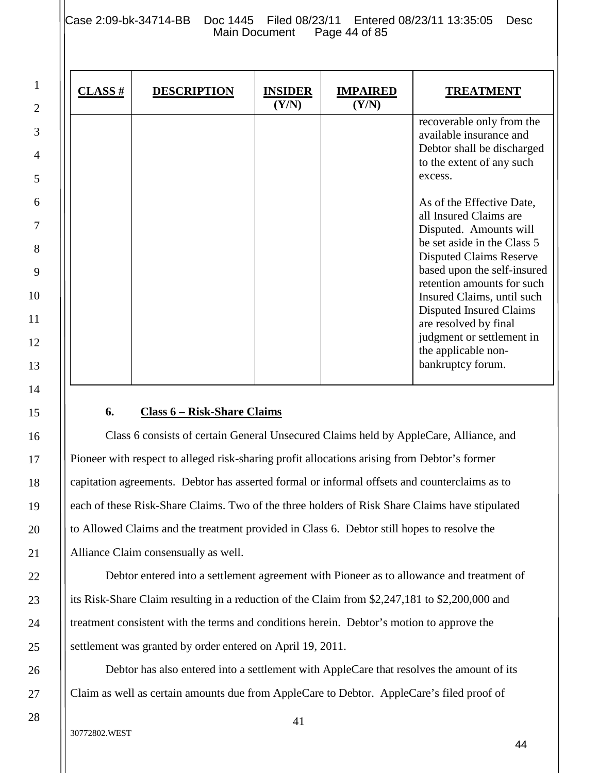Case 2:09-bk-34714-BB Doc 1445 Filed 08/23/11 Entered 08/23/11 13:35:05 Desc<br>Main Document Page 44 of 85 Main Document

| $CLASS$ # | <b>DESCRIPTION</b> | <b>INSIDER</b><br>(Y/N) | <b>IMPAIRED</b><br>(Y/N) | <b>TREATMENT</b>                                                                                                                                                                                                                                                                                                                                                       |
|-----------|--------------------|-------------------------|--------------------------|------------------------------------------------------------------------------------------------------------------------------------------------------------------------------------------------------------------------------------------------------------------------------------------------------------------------------------------------------------------------|
|           |                    |                         |                          | recoverable only from the<br>available insurance and<br>Debtor shall be discharged<br>to the extent of any such<br>excess.                                                                                                                                                                                                                                             |
|           |                    |                         |                          | As of the Effective Date,<br>all Insured Claims are<br>Disputed. Amounts will<br>be set aside in the Class 5<br><b>Disputed Claims Reserve</b><br>based upon the self-insured<br>retention amounts for such<br>Insured Claims, until such<br>Disputed Insured Claims<br>are resolved by final<br>judgment or settlement in<br>the applicable non-<br>bankruptcy forum. |

## **6. Class 6 – Risk-Share Claims**

Class 6 consists of certain General Unsecured Claims held by AppleCare, Alliance, and Pioneer with respect to alleged risk-sharing profit allocations arising from Debtor's former capitation agreements. Debtor has asserted formal or informal offsets and counterclaims as to each of these Risk-Share Claims. Two of the three holders of Risk Share Claims have stipulated to Allowed Claims and the treatment provided in Class 6. Debtor still hopes to resolve the Alliance Claim consensually as well.

Debtor entered into a settlement agreement with Pioneer as to allowance and treatment of its Risk-Share Claim resulting in a reduction of the Claim from \$2,247,181 to \$2,200,000 and treatment consistent with the terms and conditions herein. Debtor's motion to approve the settlement was granted by order entered on April 19, 2011.

Debtor has also entered into a settlement with AppleCare that resolves the amount of its Claim as well as certain amounts due from AppleCare to Debtor. AppleCare's filed proof of

1

2

3

4

5

6

7

8

9

10

11

12

13

14

15

16

17

18

19

20

21

22

23

24

25

26

27

28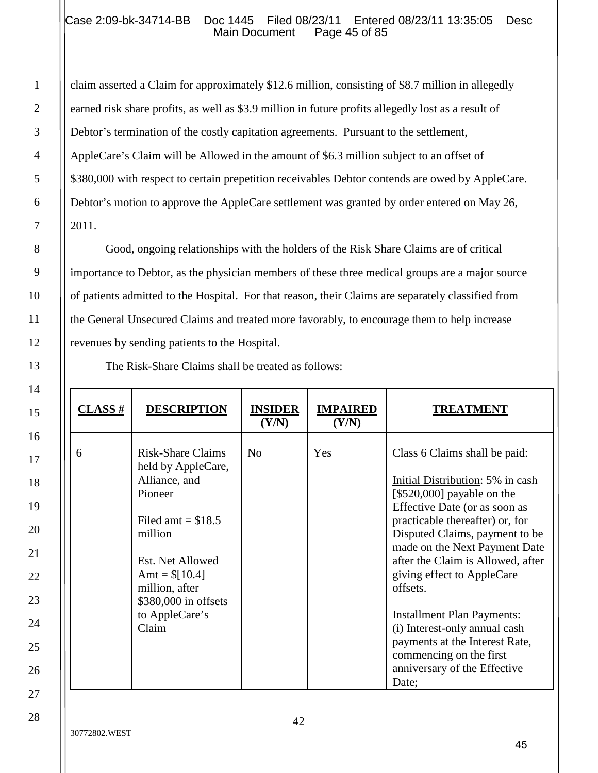## Case 2:09-bk-34714-BB Doc 1445 Filed 08/23/11 Entered 08/23/11 13:35:05 Desc<br>Main Document Page 45 of 85 Main Document

claim asserted a Claim for approximately \$12.6 million, consisting of \$8.7 million in allegedly earned risk share profits, as well as \$3.9 million in future profits allegedly lost as a result of Debtor's termination of the costly capitation agreements. Pursuant to the settlement, AppleCare's Claim will be Allowed in the amount of \$6.3 million subject to an offset of \$380,000 with respect to certain prepetition receivables Debtor contends are owed by AppleCare. Debtor's motion to approve the AppleCare settlement was granted by order entered on May 26, 2011.

Good, ongoing relationships with the holders of the Risk Share Claims are of critical importance to Debtor, as the physician members of these three medical groups are a major source of patients admitted to the Hospital. For that reason, their Claims are separately classified from the General Unsecured Claims and treated more favorably, to encourage them to help increase revenues by sending patients to the Hospital.

The Risk-Share Claims shall be treated as follows:

| $CLASS$ # | <b>DESCRIPTION</b>                                                                                                                                                                                                       | <b>INSIDER</b><br>(Y/N) | <b>IMPAIRED</b><br>(Y/N) | <b>TREATMENT</b>                                                                                                                                                                                                                                                                                                                                                                                                                                                                                  |
|-----------|--------------------------------------------------------------------------------------------------------------------------------------------------------------------------------------------------------------------------|-------------------------|--------------------------|---------------------------------------------------------------------------------------------------------------------------------------------------------------------------------------------------------------------------------------------------------------------------------------------------------------------------------------------------------------------------------------------------------------------------------------------------------------------------------------------------|
| 6         | <b>Risk-Share Claims</b><br>held by AppleCare,<br>Alliance, and<br>Pioneer<br>Filed amt $= $18.5$<br>million<br>Est. Net Allowed<br>Amt = $\[10.4]$<br>million, after<br>\$380,000 in offsets<br>to AppleCare's<br>Claim | N <sub>0</sub>          | Yes                      | Class 6 Claims shall be paid:<br>Initial Distribution: 5% in cash<br>[\$520,000] payable on the<br>Effective Date (or as soon as<br>practicable thereafter) or, for<br>Disputed Claims, payment to be<br>made on the Next Payment Date<br>after the Claim is Allowed, after<br>giving effect to AppleCare<br>offsets.<br><b>Installment Plan Payments:</b><br>(i) Interest-only annual cash<br>payments at the Interest Rate,<br>commencing on the first<br>anniversary of the Effective<br>Date; |

1

2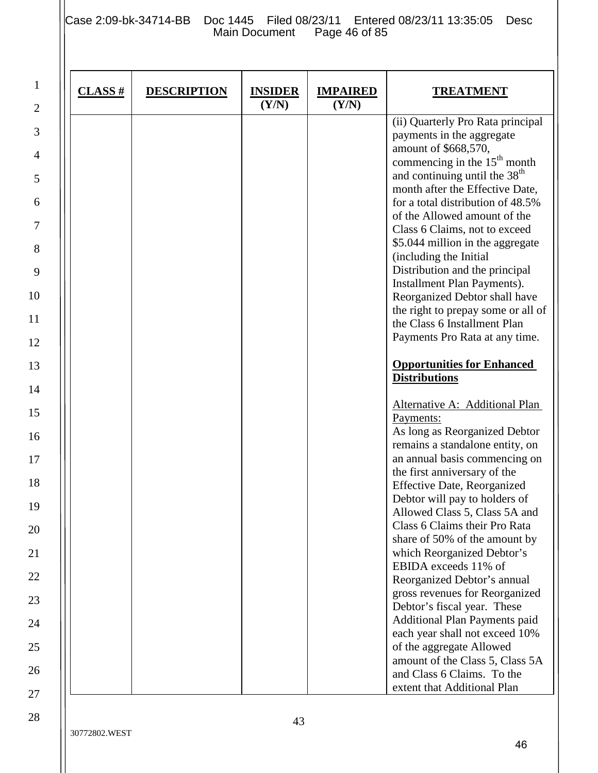Case 2:09-bk-34714-BB Doc 1445 Filed 08/23/11 Entered 08/23/11 13:35:05 Desc Main Document Page 46 of 85

| $CLASS$ # | <b>DESCRIPTION</b> | <b>INSIDER</b><br>(Y/N) | <b>IMPAIRED</b><br>(Y/N) | <b>TREATMENT</b>                                                                                                                                                                                                                                                                                                                                                                                                                                                                                                                                                                              |
|-----------|--------------------|-------------------------|--------------------------|-----------------------------------------------------------------------------------------------------------------------------------------------------------------------------------------------------------------------------------------------------------------------------------------------------------------------------------------------------------------------------------------------------------------------------------------------------------------------------------------------------------------------------------------------------------------------------------------------|
|           |                    |                         |                          | (ii) Quarterly Pro Rata principal<br>payments in the aggregate<br>amount of \$668,570,<br>commencing in the $15th$ month<br>and continuing until the 38 <sup>th</sup><br>month after the Effective Date,<br>for a total distribution of 48.5%<br>of the Allowed amount of the<br>Class 6 Claims, not to exceed<br>\$5.044 million in the aggregate<br>(including the Initial<br>Distribution and the principal<br><b>Installment Plan Payments).</b><br>Reorganized Debtor shall have<br>the right to prepay some or all of<br>the Class 6 Installment Plan<br>Payments Pro Rata at any time. |
|           |                    |                         |                          | <b>Opportunities for Enhanced</b><br><b>Distributions</b><br>Alternative A: Additional Plan<br>Payments:<br>As long as Reorganized Debtor<br>remains a standalone entity, on<br>an annual basis commencing on<br>the first anniversary of the<br><b>Effective Date, Reorganized</b>                                                                                                                                                                                                                                                                                                           |
|           |                    |                         |                          | Debtor will pay to holders of<br>Allowed Class 5, Class 5A and<br>Class 6 Claims their Pro Rata<br>share of 50% of the amount by<br>which Reorganized Debtor's<br>EBIDA exceeds 11% of<br>Reorganized Debtor's annual<br>gross revenues for Reorganized<br>Debtor's fiscal year. These<br>Additional Plan Payments paid<br>each year shall not exceed 10%                                                                                                                                                                                                                                     |
|           |                    |                         |                          | of the aggregate Allowed<br>amount of the Class 5, Class 5A<br>and Class 6 Claims. To the<br>extent that Additional Plan                                                                                                                                                                                                                                                                                                                                                                                                                                                                      |

1

2

3

4

5

6

7

8

9

10

11

12

13

14

15

16

17

18

19

20

21

22

23

24

25

26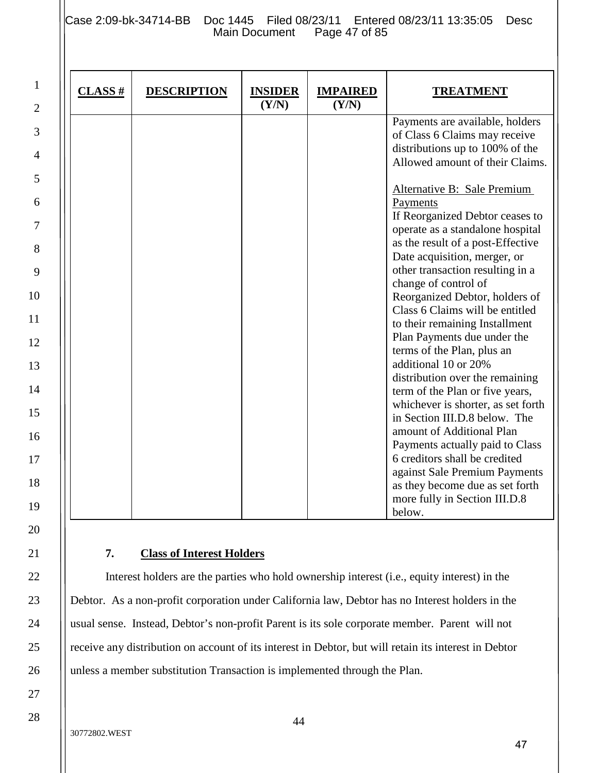Case 2:09-bk-34714-BB Doc 1445 Filed 08/23/11 Entered 08/23/11 13:35:05 Desc<br>Main Document Page 47 of 85 Main Document

| $CLASS$ # | <b>DESCRIPTION</b> | <b>INSIDER</b><br>(Y/N) | <b>IMPAIRED</b><br>(Y/N) | <b>TREATMENT</b>                   |
|-----------|--------------------|-------------------------|--------------------------|------------------------------------|
|           |                    |                         |                          | Payments are available, holders    |
|           |                    |                         |                          | of Class 6 Claims may receive      |
|           |                    |                         |                          | distributions up to 100% of the    |
|           |                    |                         |                          | Allowed amount of their Claims.    |
|           |                    |                         |                          | <b>Alternative B: Sale Premium</b> |
|           |                    |                         |                          | Payments                           |
|           |                    |                         |                          | If Reorganized Debtor ceases to    |
|           |                    |                         |                          | operate as a standalone hospital   |
|           |                    |                         |                          | as the result of a post-Effective  |
|           |                    |                         |                          | Date acquisition, merger, or       |
|           |                    |                         |                          | other transaction resulting in a   |
|           |                    |                         |                          | change of control of               |
|           |                    |                         |                          | Reorganized Debtor, holders of     |
|           |                    |                         |                          | Class 6 Claims will be entitled    |
|           |                    |                         |                          | to their remaining Installment     |
|           |                    |                         |                          | Plan Payments due under the        |
|           |                    |                         |                          | terms of the Plan, plus an         |
|           |                    |                         |                          | additional 10 or 20%               |
|           |                    |                         |                          | distribution over the remaining    |
|           |                    |                         |                          | term of the Plan or five years,    |
|           |                    |                         |                          | whichever is shorter, as set forth |
|           |                    |                         |                          | in Section III.D.8 below. The      |
|           |                    |                         |                          | amount of Additional Plan          |
|           |                    |                         |                          | Payments actually paid to Class    |
|           |                    |                         |                          | 6 creditors shall be credited      |
|           |                    |                         |                          | against Sale Premium Payments      |
|           |                    |                         |                          | as they become due as set forth    |
|           |                    |                         |                          | more fully in Section III.D.8      |
|           |                    |                         |                          | below.                             |

## **7. Class of Interest Holders**

Interest holders are the parties who hold ownership interest (i.e., equity interest) in the Debtor. As a non-profit corporation under California law, Debtor has no Interest holders in the usual sense. Instead, Debtor's non-profit Parent is its sole corporate member. Parent will not receive any distribution on account of its interest in Debtor, but will retain its interest in Debtor unless a member substitution Transaction is implemented through the Plan.

1

2

3

4

5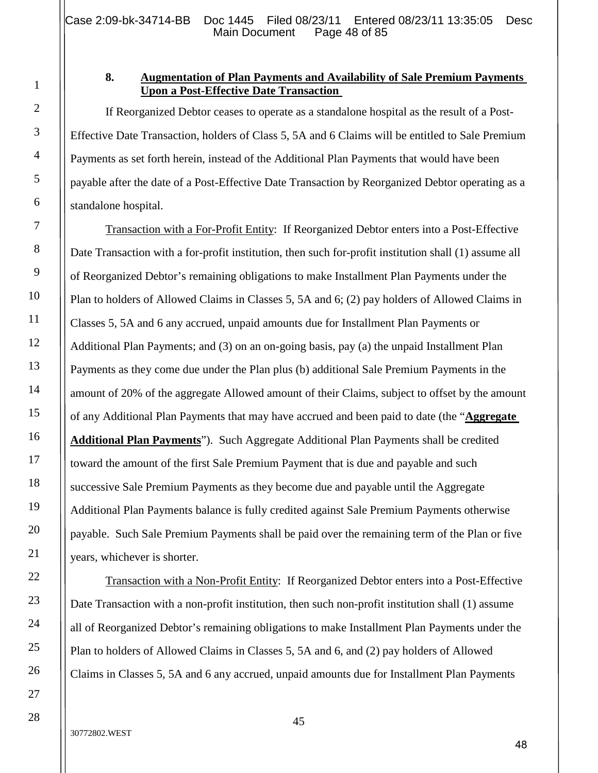## **8. Augmentation of Plan Payments and Availability of Sale Premium Payments Upon a Post-Effective Date Transaction**

If Reorganized Debtor ceases to operate as a standalone hospital as the result of a Post-Effective Date Transaction, holders of Class 5, 5A and 6 Claims will be entitled to Sale Premium Payments as set forth herein, instead of the Additional Plan Payments that would have been payable after the date of a Post-Effective Date Transaction by Reorganized Debtor operating as a standalone hospital.

Transaction with a For-Profit Entity: If Reorganized Debtor enters into a Post-Effective Date Transaction with a for-profit institution, then such for-profit institution shall (1) assume all of Reorganized Debtor's remaining obligations to make Installment Plan Payments under the Plan to holders of Allowed Claims in Classes 5, 5A and 6; (2) pay holders of Allowed Claims in Classes 5, 5A and 6 any accrued, unpaid amounts due for Installment Plan Payments or Additional Plan Payments; and (3) on an on-going basis, pay (a) the unpaid Installment Plan Payments as they come due under the Plan plus (b) additional Sale Premium Payments in the amount of 20% of the aggregate Allowed amount of their Claims, subject to offset by the amount of any Additional Plan Payments that may have accrued and been paid to date (the "**Aggregate Additional Plan Payments**"). Such Aggregate Additional Plan Payments shall be credited toward the amount of the first Sale Premium Payment that is due and payable and such successive Sale Premium Payments as they become due and payable until the Aggregate Additional Plan Payments balance is fully credited against Sale Premium Payments otherwise payable. Such Sale Premium Payments shall be paid over the remaining term of the Plan or five years, whichever is shorter.

Transaction with a Non-Profit Entity: If Reorganized Debtor enters into a Post-Effective Date Transaction with a non-profit institution, then such non-profit institution shall (1) assume all of Reorganized Debtor's remaining obligations to make Installment Plan Payments under the Plan to holders of Allowed Claims in Classes 5, 5A and 6, and (2) pay holders of Allowed Claims in Classes 5, 5A and 6 any accrued, unpaid amounts due for Installment Plan Payments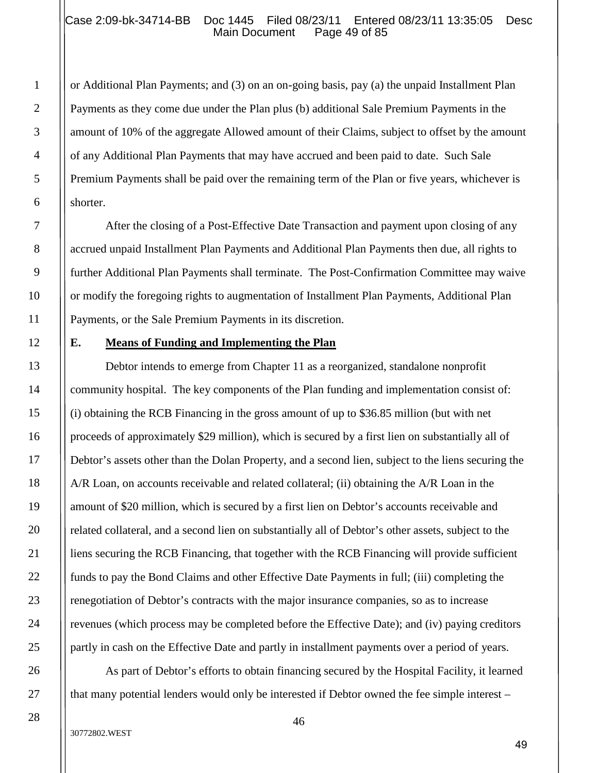#### Case 2:09-bk-34714-BB Doc 1445 Filed 08/23/11 Entered 08/23/11 13:35:05 Desc<br>Main Document Page 49 of 85 Main Document

or Additional Plan Payments; and (3) on an on-going basis, pay (a) the unpaid Installment Plan Payments as they come due under the Plan plus (b) additional Sale Premium Payments in the amount of 10% of the aggregate Allowed amount of their Claims, subject to offset by the amount of any Additional Plan Payments that may have accrued and been paid to date. Such Sale Premium Payments shall be paid over the remaining term of the Plan or five years, whichever is shorter.

After the closing of a Post-Effective Date Transaction and payment upon closing of any accrued unpaid Installment Plan Payments and Additional Plan Payments then due, all rights to further Additional Plan Payments shall terminate. The Post-Confirmation Committee may waive or modify the foregoing rights to augmentation of Installment Plan Payments, Additional Plan Payments, or the Sale Premium Payments in its discretion.

#### **E. Means of Funding and Implementing the Plan**

Debtor intends to emerge from Chapter 11 as a reorganized, standalone nonprofit community hospital. The key components of the Plan funding and implementation consist of: (i) obtaining the RCB Financing in the gross amount of up to \$36.85 million (but with net proceeds of approximately \$29 million), which is secured by a first lien on substantially all of Debtor's assets other than the Dolan Property, and a second lien, subject to the liens securing the A/R Loan, on accounts receivable and related collateral; (ii) obtaining the A/R Loan in the amount of \$20 million, which is secured by a first lien on Debtor's accounts receivable and related collateral, and a second lien on substantially all of Debtor's other assets, subject to the liens securing the RCB Financing, that together with the RCB Financing will provide sufficient funds to pay the Bond Claims and other Effective Date Payments in full; (iii) completing the renegotiation of Debtor's contracts with the major insurance companies, so as to increase revenues (which process may be completed before the Effective Date); and (iv) paying creditors partly in cash on the Effective Date and partly in installment payments over a period of years.

As part of Debtor's efforts to obtain financing secured by the Hospital Facility, it learned that many potential lenders would only be interested if Debtor owned the fee simple interest –

1

2

3

4

5

6

7

8

9

10

11

12

13

14

15

16

17

18

19

20

21

22

23

24

25

26

27

28

46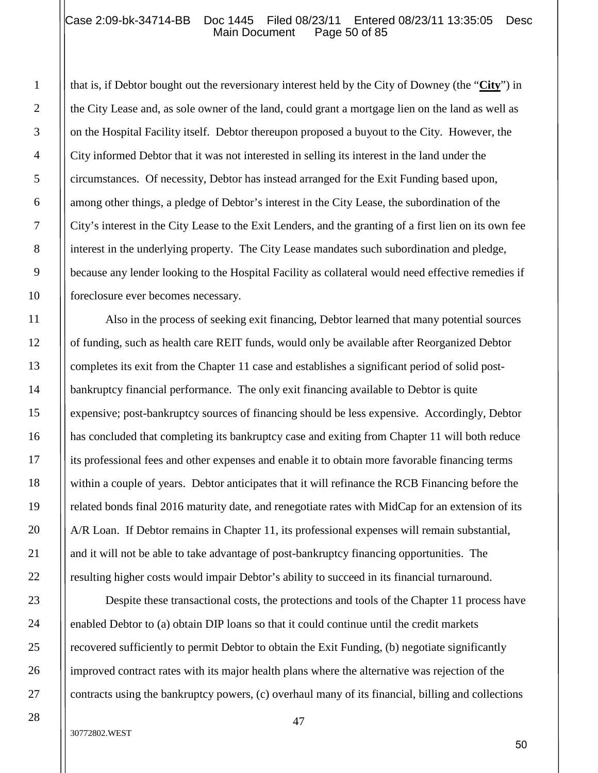#### Case 2:09-bk-34714-BB Doc 1445 Filed 08/23/11 Entered 08/23/11 13:35:05 Desc<br>Main Document Page 50 of 85 Main Document

that is, if Debtor bought out the reversionary interest held by the City of Downey (the "**City**") in the City Lease and, as sole owner of the land, could grant a mortgage lien on the land as well as on the Hospital Facility itself. Debtor thereupon proposed a buyout to the City. However, the City informed Debtor that it was not interested in selling its interest in the land under the circumstances. Of necessity, Debtor has instead arranged for the Exit Funding based upon, among other things, a pledge of Debtor's interest in the City Lease, the subordination of the City's interest in the City Lease to the Exit Lenders, and the granting of a first lien on its own fee interest in the underlying property. The City Lease mandates such subordination and pledge, because any lender looking to the Hospital Facility as collateral would need effective remedies if foreclosure ever becomes necessary.

Also in the process of seeking exit financing, Debtor learned that many potential sources of funding, such as health care REIT funds, would only be available after Reorganized Debtor completes its exit from the Chapter 11 case and establishes a significant period of solid postbankruptcy financial performance. The only exit financing available to Debtor is quite expensive; post-bankruptcy sources of financing should be less expensive. Accordingly, Debtor has concluded that completing its bankruptcy case and exiting from Chapter 11 will both reduce its professional fees and other expenses and enable it to obtain more favorable financing terms within a couple of years. Debtor anticipates that it will refinance the RCB Financing before the related bonds final 2016 maturity date, and renegotiate rates with MidCap for an extension of its A/R Loan. If Debtor remains in Chapter 11, its professional expenses will remain substantial, and it will not be able to take advantage of post-bankruptcy financing opportunities. The resulting higher costs would impair Debtor's ability to succeed in its financial turnaround.

Despite these transactional costs, the protections and tools of the Chapter 11 process have enabled Debtor to (a) obtain DIP loans so that it could continue until the credit markets recovered sufficiently to permit Debtor to obtain the Exit Funding, (b) negotiate significantly improved contract rates with its major health plans where the alternative was rejection of the contracts using the bankruptcy powers, (c) overhaul many of its financial, billing and collections

1

2

3

4

5

6

7

8

9

10

11

12

13

14

15

16

17

18

19

20

21

22

23

24

25

26

27

28

47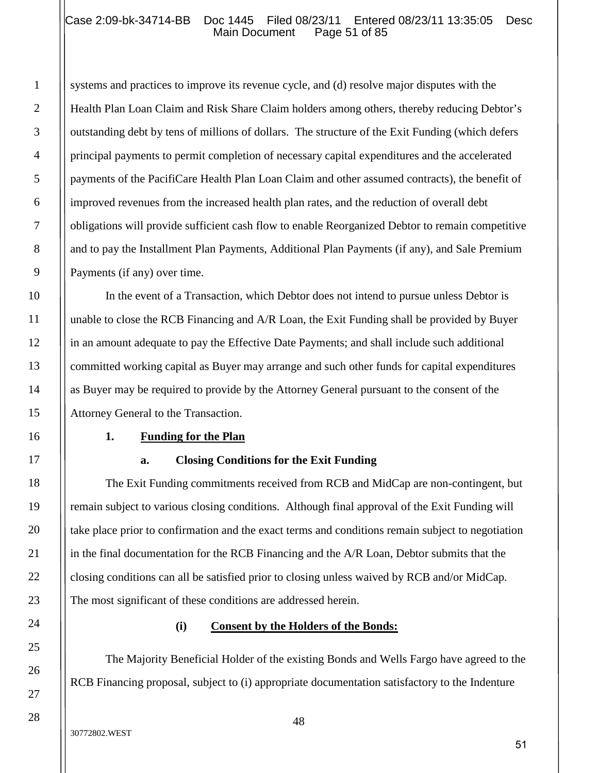## Case 2:09-bk-34714-BB Doc 1445 Filed 08/23/11 Entered 08/23/11 13:35:05 Desc<br>Main Document Page 51 of 85 Main Document

systems and practices to improve its revenue cycle, and (d) resolve major disputes with the Health Plan Loan Claim and Risk Share Claim holders among others, thereby reducing Debtor's outstanding debt by tens of millions of dollars. The structure of the Exit Funding (which defers principal payments to permit completion of necessary capital expenditures and the accelerated payments of the PacifiCare Health Plan Loan Claim and other assumed contracts), the benefit of improved revenues from the increased health plan rates, and the reduction of overall debt obligations will provide sufficient cash flow to enable Reorganized Debtor to remain competitive and to pay the Installment Plan Payments, Additional Plan Payments (if any), and Sale Premium Payments (if any) over time.

In the event of a Transaction, which Debtor does not intend to pursue unless Debtor is unable to close the RCB Financing and A/R Loan, the Exit Funding shall be provided by Buyer in an amount adequate to pay the Effective Date Payments; and shall include such additional committed working capital as Buyer may arrange and such other funds for capital expenditures as Buyer may be required to provide by the Attorney General pursuant to the consent of the Attorney General to the Transaction.

#### **1. Funding for the Plan**

#### **a. Closing Conditions for the Exit Funding**

The Exit Funding commitments received from RCB and MidCap are non-contingent, but remain subject to various closing conditions. Although final approval of the Exit Funding will take place prior to confirmation and the exact terms and conditions remain subject to negotiation in the final documentation for the RCB Financing and the A/R Loan, Debtor submits that the closing conditions can all be satisfied prior to closing unless waived by RCB and/or MidCap. The most significant of these conditions are addressed herein.

#### **(i) Consent by the Holders of the Bonds:**

The Majority Beneficial Holder of the existing Bonds and Wells Fargo have agreed to the RCB Financing proposal, subject to (i) appropriate documentation satisfactory to the Indenture

1

2

3

4

5

6

7

8

9

10

11

12

13

14

15

16

17

18

19

20

21

22

23

24

25

26

27

28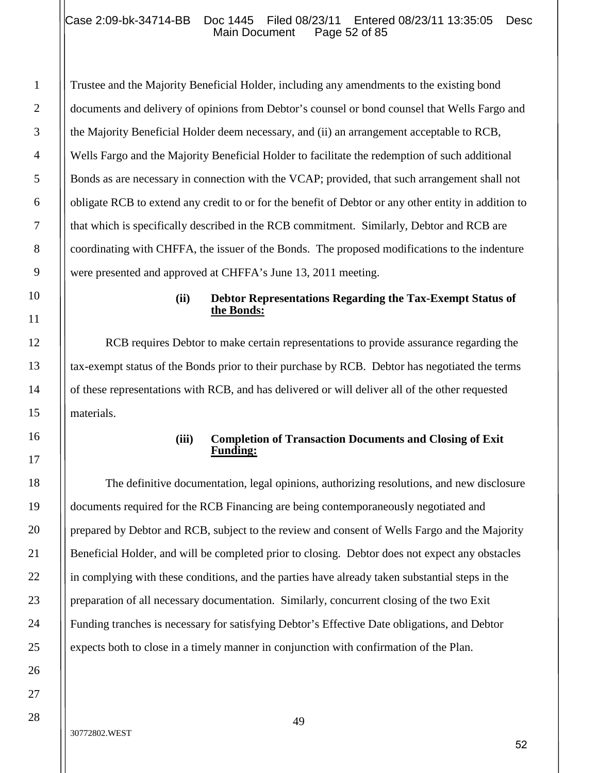## Case 2:09-bk-34714-BB Doc 1445 Filed 08/23/11 Entered 08/23/11 13:35:05 Desc<br>Main Document Page 52 of 85 Main Document

Trustee and the Majority Beneficial Holder, including any amendments to the existing bond documents and delivery of opinions from Debtor's counsel or bond counsel that Wells Fargo and the Majority Beneficial Holder deem necessary, and (ii) an arrangement acceptable to RCB, Wells Fargo and the Majority Beneficial Holder to facilitate the redemption of such additional Bonds as are necessary in connection with the VCAP; provided, that such arrangement shall not obligate RCB to extend any credit to or for the benefit of Debtor or any other entity in addition to that which is specifically described in the RCB commitment. Similarly, Debtor and RCB are coordinating with CHFFA, the issuer of the Bonds. The proposed modifications to the indenture were presented and approved at CHFFA's June 13, 2011 meeting.

#### **(ii) Debtor Representations Regarding the Tax-Exempt Status of the Bonds:**

RCB requires Debtor to make certain representations to provide assurance regarding the tax-exempt status of the Bonds prior to their purchase by RCB. Debtor has negotiated the terms of these representations with RCB, and has delivered or will deliver all of the other requested materials.

#### **(iii) Completion of Transaction Documents and Closing of Exit Funding:**

The definitive documentation, legal opinions, authorizing resolutions, and new disclosure documents required for the RCB Financing are being contemporaneously negotiated and prepared by Debtor and RCB, subject to the review and consent of Wells Fargo and the Majority Beneficial Holder, and will be completed prior to closing. Debtor does not expect any obstacles in complying with these conditions, and the parties have already taken substantial steps in the preparation of all necessary documentation. Similarly, concurrent closing of the two Exit Funding tranches is necessary for satisfying Debtor's Effective Date obligations, and Debtor expects both to close in a timely manner in conjunction with confirmation of the Plan.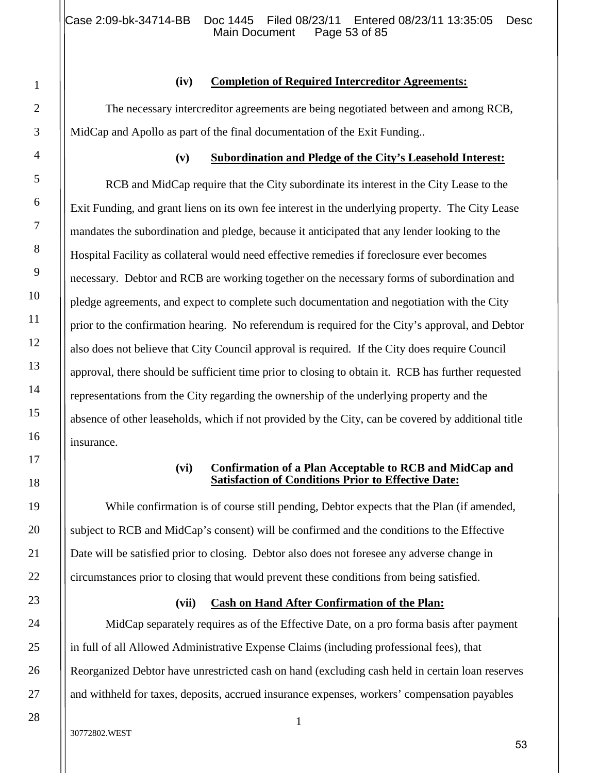1

2

3

4

5

6

7

8

9

10

11

12

13

14

15

16

17

18

19

20

21

22

23

24

25

26

27

28

## **(iv) Completion of Required Intercreditor Agreements:**

The necessary intercreditor agreements are being negotiated between and among RCB, MidCap and Apollo as part of the final documentation of the Exit Funding..

# **(v) Subordination and Pledge of the City's Leasehold Interest:**

RCB and MidCap require that the City subordinate its interest in the City Lease to the Exit Funding, and grant liens on its own fee interest in the underlying property. The City Lease mandates the subordination and pledge, because it anticipated that any lender looking to the Hospital Facility as collateral would need effective remedies if foreclosure ever becomes necessary. Debtor and RCB are working together on the necessary forms of subordination and pledge agreements, and expect to complete such documentation and negotiation with the City prior to the confirmation hearing. No referendum is required for the City's approval, and Debtor also does not believe that City Council approval is required. If the City does require Council approval, there should be sufficient time prior to closing to obtain it. RCB has further requested representations from the City regarding the ownership of the underlying property and the absence of other leaseholds, which if not provided by the City, can be covered by additional title insurance.

## **(vi) Confirmation of a Plan Acceptable to RCB and MidCap and Satisfaction of Conditions Prior to Effective Date:**

While confirmation is of course still pending, Debtor expects that the Plan (if amended, subject to RCB and MidCap's consent) will be confirmed and the conditions to the Effective Date will be satisfied prior to closing. Debtor also does not foresee any adverse change in circumstances prior to closing that would prevent these conditions from being satisfied.

# **(vii) Cash on Hand After Confirmation of the Plan:**

MidCap separately requires as of the Effective Date, on a pro forma basis after payment in full of all Allowed Administrative Expense Claims (including professional fees), that Reorganized Debtor have unrestricted cash on hand (excluding cash held in certain loan reserves and withheld for taxes, deposits, accrued insurance expenses, workers' compensation payables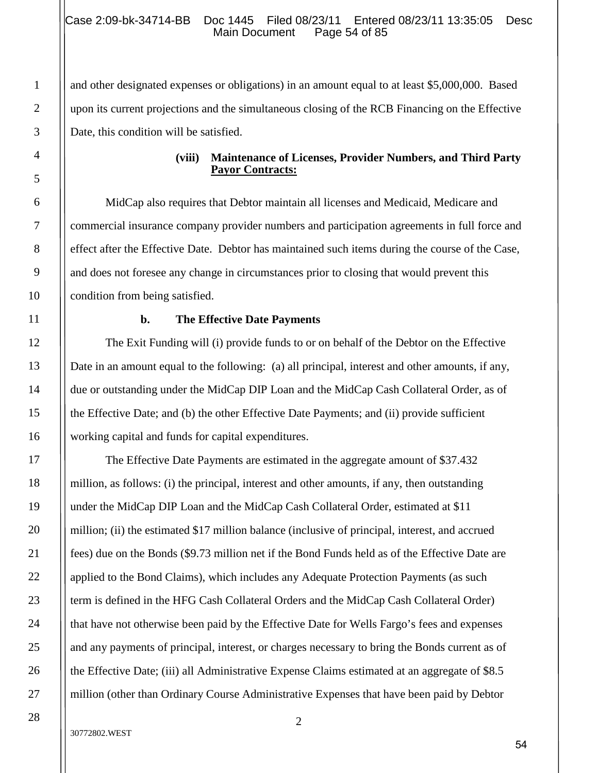and other designated expenses or obligations) in an amount equal to at least \$5,000,000. Based upon its current projections and the simultaneous closing of the RCB Financing on the Effective Date, this condition will be satisfied.

#### **(viii) Maintenance of Licenses, Provider Numbers, and Third Party Payor Contracts:**

MidCap also requires that Debtor maintain all licenses and Medicaid, Medicare and commercial insurance company provider numbers and participation agreements in full force and effect after the Effective Date. Debtor has maintained such items during the course of the Case, and does not foresee any change in circumstances prior to closing that would prevent this condition from being satisfied.

#### **b. The Effective Date Payments**

The Exit Funding will (i) provide funds to or on behalf of the Debtor on the Effective Date in an amount equal to the following: (a) all principal, interest and other amounts, if any, due or outstanding under the MidCap DIP Loan and the MidCap Cash Collateral Order, as of the Effective Date; and (b) the other Effective Date Payments; and (ii) provide sufficient working capital and funds for capital expenditures.

The Effective Date Payments are estimated in the aggregate amount of \$37.432 million, as follows: (i) the principal, interest and other amounts, if any, then outstanding under the MidCap DIP Loan and the MidCap Cash Collateral Order, estimated at \$11 million; (ii) the estimated \$17 million balance (inclusive of principal, interest, and accrued fees) due on the Bonds (\$9.73 million net if the Bond Funds held as of the Effective Date are applied to the Bond Claims), which includes any Adequate Protection Payments (as such term is defined in the HFG Cash Collateral Orders and the MidCap Cash Collateral Order) that have not otherwise been paid by the Effective Date for Wells Fargo's fees and expenses and any payments of principal, interest, or charges necessary to bring the Bonds current as of the Effective Date; (iii) all Administrative Expense Claims estimated at an aggregate of \$8.5 million (other than Ordinary Course Administrative Expenses that have been paid by Debtor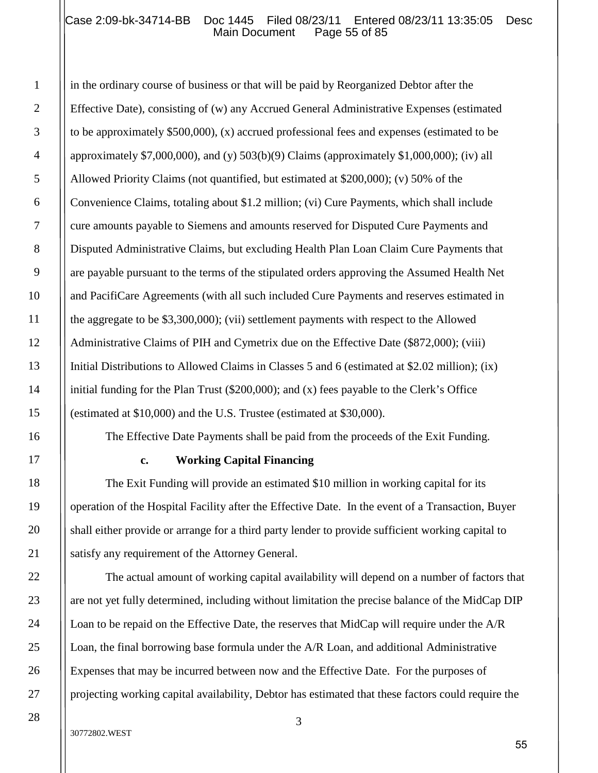## Case 2:09-bk-34714-BB Doc 1445 Filed 08/23/11 Entered 08/23/11 13:35:05 Desc<br>Main Document Page 55 of 85 Main Document

in the ordinary course of business or that will be paid by Reorganized Debtor after the Effective Date), consisting of (w) any Accrued General Administrative Expenses (estimated to be approximately \$500,000), (x) accrued professional fees and expenses (estimated to be approximately \$7,000,000), and (y)  $503(b)(9)$  Claims (approximately \$1,000,000); (iv) all Allowed Priority Claims (not quantified, but estimated at \$200,000); (v) 50% of the Convenience Claims, totaling about \$1.2 million; (vi) Cure Payments, which shall include cure amounts payable to Siemens and amounts reserved for Disputed Cure Payments and Disputed Administrative Claims, but excluding Health Plan Loan Claim Cure Payments that are payable pursuant to the terms of the stipulated orders approving the Assumed Health Net and PacifiCare Agreements (with all such included Cure Payments and reserves estimated in the aggregate to be \$3,300,000); (vii) settlement payments with respect to the Allowed Administrative Claims of PIH and Cymetrix due on the Effective Date (\$872,000); (viii) Initial Distributions to Allowed Claims in Classes 5 and 6 (estimated at \$2.02 million); (ix) initial funding for the Plan Trust (\$200,000); and (x) fees payable to the Clerk's Office (estimated at \$10,000) and the U.S. Trustee (estimated at \$30,000).

The Effective Date Payments shall be paid from the proceeds of the Exit Funding.

#### **c. Working Capital Financing**

The Exit Funding will provide an estimated \$10 million in working capital for its operation of the Hospital Facility after the Effective Date. In the event of a Transaction, Buyer shall either provide or arrange for a third party lender to provide sufficient working capital to satisfy any requirement of the Attorney General.

The actual amount of working capital availability will depend on a number of factors that are not yet fully determined, including without limitation the precise balance of the MidCap DIP Loan to be repaid on the Effective Date, the reserves that MidCap will require under the A/R Loan, the final borrowing base formula under the A/R Loan, and additional Administrative Expenses that may be incurred between now and the Effective Date. For the purposes of projecting working capital availability, Debtor has estimated that these factors could require the

1

2

3

4

5

6

7

8

9

10

11

12

13

14

15

16

17

18

19

20

21

22

23

24

25

26

27

28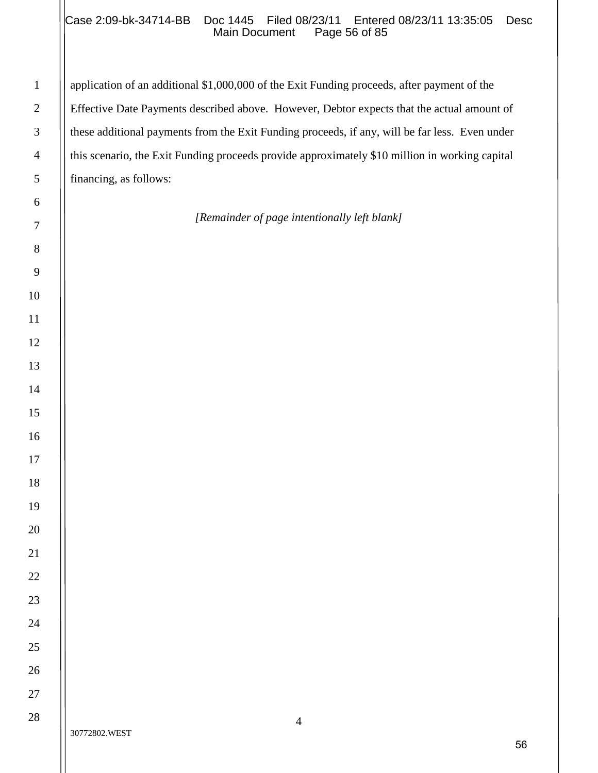## Case 2:09-bk-34714-BB Doc 1445 Filed 08/23/11 Entered 08/23/11 13:35:05 Desc<br>Main Document Page 56 of 85 Main Document

application of an additional \$1,000,000 of the Exit Funding proceeds, after payment of the Effective Date Payments described above. However, Debtor expects that the actual amount of these additional payments from the Exit Funding proceeds, if any, will be far less. Even under this scenario, the Exit Funding proceeds provide approximately \$10 million in working capital financing, as follows:

## *[Remainder of page intentionally left blank]*

| $\mathbf{1}$    |
|-----------------|
| $\overline{c}$  |
| 3               |
| $\overline{4}$  |
| 5               |
| 6               |
| $\overline{7}$  |
| 8               |
| 9               |
| 10              |
| 11              |
| 12              |
| 13              |
| 14              |
| 15              |
| 16              |
| 17              |
| 18              |
| 19              |
| 20              |
| $\overline{21}$ |
| 22              |
| 23              |
| 24              |
| 25              |
| 26              |
| 27              |
| 28              |
|                 |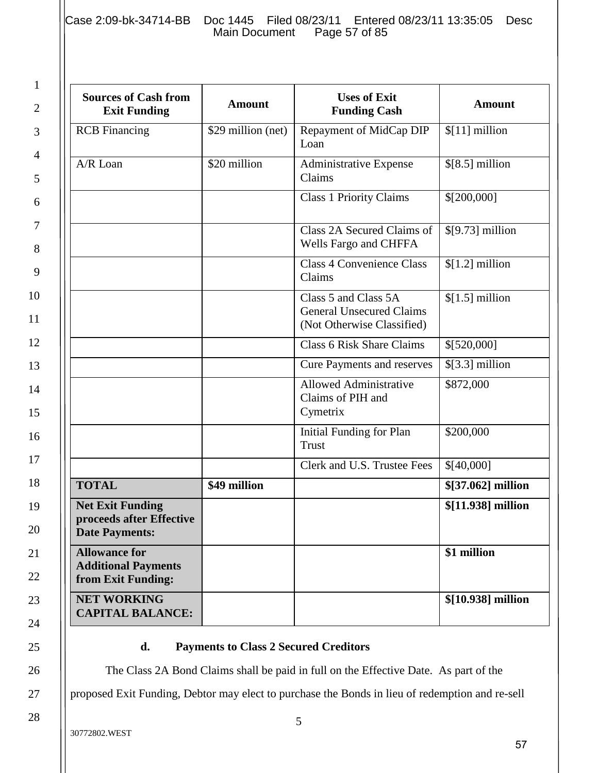Case 2:09-bk-34714-BB Doc 1445 Filed 08/23/11 Entered 08/23/11 13:35:05 Desc<br>Main Document Page 57 of 85 Main Document

| <b>Sources of Cash from</b><br><b>Exit Funding</b>                           | <b>Amount</b>      | <b>Uses of Exit</b><br><b>Funding Cash</b>                                            | <b>Amount</b>      |
|------------------------------------------------------------------------------|--------------------|---------------------------------------------------------------------------------------|--------------------|
| <b>RCB</b> Financing                                                         | \$29 million (net) | Repayment of MidCap DIP<br>Loan                                                       | $[11]$ million     |
| A/R Loan                                                                     | \$20 million       | Administrative Expense<br>Claims                                                      | $[8.5]$ million    |
|                                                                              |                    | <b>Class 1 Priority Claims</b>                                                        | \$[200,000]        |
|                                                                              |                    | Class 2A Secured Claims of<br>Wells Fargo and CHFFA                                   | $$[9.73]$ million  |
|                                                                              |                    | <b>Class 4 Convenience Class</b><br>Claims                                            | $[1.2]$ million    |
|                                                                              |                    | Class 5 and Class 5A<br><b>General Unsecured Claims</b><br>(Not Otherwise Classified) | $$[1.5]$ million   |
|                                                                              |                    | <b>Class 6 Risk Share Claims</b>                                                      | \$[520,000]        |
|                                                                              |                    | <b>Cure Payments and reserves</b>                                                     | $$[3.3]$ million   |
|                                                                              |                    | <b>Allowed Administrative</b><br>Claims of PIH and<br>Cymetrix                        | \$872,000          |
|                                                                              |                    | <b>Initial Funding for Plan</b><br>Trust                                              | \$200,000          |
|                                                                              |                    | Clerk and U.S. Trustee Fees                                                           | \$[40,000]         |
| <b>TOTAL</b>                                                                 | \$49 million       |                                                                                       | \$[37.062] million |
| <b>Net Exit Funding</b><br>proceeds after Effective<br><b>Date Payments:</b> |                    |                                                                                       | \$[11.938] million |
| <b>Allowance for</b><br><b>Additional Payments</b><br>from Exit Funding:     |                    |                                                                                       | \$1 million        |
| <b>NET WORKING</b><br><b>CAPITAL BALANCE:</b>                                |                    |                                                                                       | \$[10.938] million |

## **d. Payments to Class 2 Secured Creditors**

The Class 2A Bond Claims shall be paid in full on the Effective Date. As part of the

proposed Exit Funding, Debtor may elect to purchase the Bonds in lieu of redemption and re-sell

1

2

3

4

5

6

7

8

9

10

11

12

13

14

15

16

17

18

19

20

21

22

23

24

25

26

27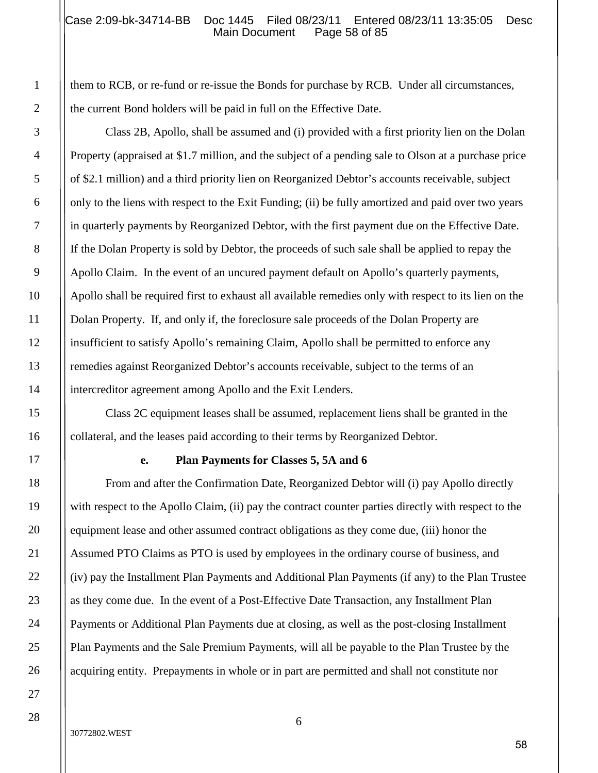#### Case 2:09-bk-34714-BB Doc 1445 Filed 08/23/11 Entered 08/23/11 13:35:05 Desc<br>Main Document Page 58 of 85 Main Document

them to RCB, or re-fund or re-issue the Bonds for purchase by RCB. Under all circumstances, the current Bond holders will be paid in full on the Effective Date.

Class 2B, Apollo, shall be assumed and (i) provided with a first priority lien on the Dolan Property (appraised at \$1.7 million, and the subject of a pending sale to Olson at a purchase price of \$2.1 million) and a third priority lien on Reorganized Debtor's accounts receivable, subject only to the liens with respect to the Exit Funding; (ii) be fully amortized and paid over two years in quarterly payments by Reorganized Debtor, with the first payment due on the Effective Date. If the Dolan Property is sold by Debtor, the proceeds of such sale shall be applied to repay the Apollo Claim. In the event of an uncured payment default on Apollo's quarterly payments, Apollo shall be required first to exhaust all available remedies only with respect to its lien on the Dolan Property. If, and only if, the foreclosure sale proceeds of the Dolan Property are insufficient to satisfy Apollo's remaining Claim, Apollo shall be permitted to enforce any remedies against Reorganized Debtor's accounts receivable, subject to the terms of an intercreditor agreement among Apollo and the Exit Lenders.

Class 2C equipment leases shall be assumed, replacement liens shall be granted in the collateral, and the leases paid according to their terms by Reorganized Debtor.

#### **e. Plan Payments for Classes 5, 5A and 6**

From and after the Confirmation Date, Reorganized Debtor will (i) pay Apollo directly with respect to the Apollo Claim, (ii) pay the contract counter parties directly with respect to the equipment lease and other assumed contract obligations as they come due, (iii) honor the Assumed PTO Claims as PTO is used by employees in the ordinary course of business, and (iv) pay the Installment Plan Payments and Additional Plan Payments (if any) to the Plan Trustee as they come due. In the event of a Post-Effective Date Transaction, any Installment Plan Payments or Additional Plan Payments due at closing, as well as the post-closing Installment Plan Payments and the Sale Premium Payments, will all be payable to the Plan Trustee by the acquiring entity. Prepayments in whole or in part are permitted and shall not constitute nor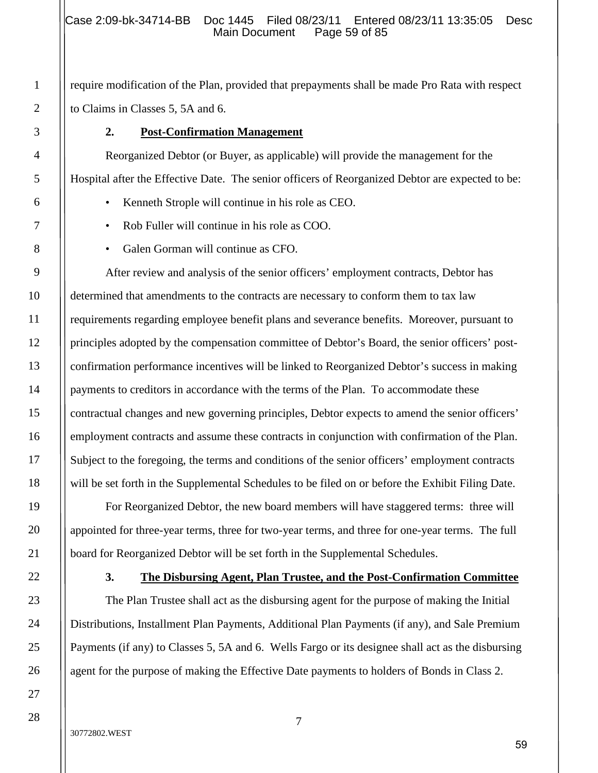require modification of the Plan, provided that prepayments shall be made Pro Rata with respect to Claims in Classes 5, 5A and 6.

## **2. Post-Confirmation Management**

Reorganized Debtor (or Buyer, as applicable) will provide the management for the Hospital after the Effective Date. The senior officers of Reorganized Debtor are expected to be:

- Kenneth Strople will continue in his role as CEO.
- Rob Fuller will continue in his role as COO.
- Galen Gorman will continue as CFO.

After review and analysis of the senior officers' employment contracts, Debtor has determined that amendments to the contracts are necessary to conform them to tax law requirements regarding employee benefit plans and severance benefits. Moreover, pursuant to principles adopted by the compensation committee of Debtor's Board, the senior officers' postconfirmation performance incentives will be linked to Reorganized Debtor's success in making payments to creditors in accordance with the terms of the Plan. To accommodate these contractual changes and new governing principles, Debtor expects to amend the senior officers' employment contracts and assume these contracts in conjunction with confirmation of the Plan. Subject to the foregoing, the terms and conditions of the senior officers' employment contracts will be set forth in the Supplemental Schedules to be filed on or before the Exhibit Filing Date.

For Reorganized Debtor, the new board members will have staggered terms: three will appointed for three-year terms, three for two-year terms, and three for one-year terms. The full board for Reorganized Debtor will be set forth in the Supplemental Schedules.

## **3. The Disbursing Agent, Plan Trustee, and the Post-Confirmation Committee**

The Plan Trustee shall act as the disbursing agent for the purpose of making the Initial Distributions, Installment Plan Payments, Additional Plan Payments (if any), and Sale Premium Payments (if any) to Classes 5, 5A and 6. Wells Fargo or its designee shall act as the disbursing agent for the purpose of making the Effective Date payments to holders of Bonds in Class 2.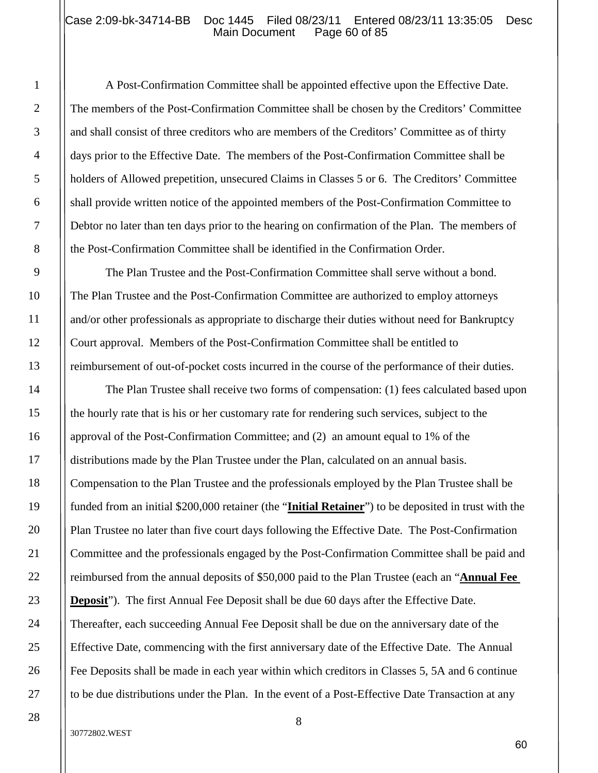#### Case 2:09-bk-34714-BB Doc 1445 Filed 08/23/11 Entered 08/23/11 13:35:05 Desc<br>Main Document Page 60 of 85 Main Document

A Post-Confirmation Committee shall be appointed effective upon the Effective Date. The members of the Post-Confirmation Committee shall be chosen by the Creditors' Committee and shall consist of three creditors who are members of the Creditors' Committee as of thirty days prior to the Effective Date. The members of the Post-Confirmation Committee shall be holders of Allowed prepetition, unsecured Claims in Classes 5 or 6. The Creditors' Committee shall provide written notice of the appointed members of the Post-Confirmation Committee to Debtor no later than ten days prior to the hearing on confirmation of the Plan. The members of the Post-Confirmation Committee shall be identified in the Confirmation Order.

The Plan Trustee and the Post-Confirmation Committee shall serve without a bond. The Plan Trustee and the Post-Confirmation Committee are authorized to employ attorneys and/or other professionals as appropriate to discharge their duties without need for Bankruptcy Court approval. Members of the Post-Confirmation Committee shall be entitled to reimbursement of out-of-pocket costs incurred in the course of the performance of their duties.

The Plan Trustee shall receive two forms of compensation: (1) fees calculated based upon the hourly rate that is his or her customary rate for rendering such services, subject to the approval of the Post-Confirmation Committee; and (2) an amount equal to 1% of the distributions made by the Plan Trustee under the Plan, calculated on an annual basis. Compensation to the Plan Trustee and the professionals employed by the Plan Trustee shall be funded from an initial \$200,000 retainer (the "**Initial Retainer**") to be deposited in trust with the Plan Trustee no later than five court days following the Effective Date. The Post-Confirmation Committee and the professionals engaged by the Post-Confirmation Committee shall be paid and reimbursed from the annual deposits of \$50,000 paid to the Plan Trustee (each an "**Annual Fee Deposit**"). The first Annual Fee Deposit shall be due 60 days after the Effective Date. Thereafter, each succeeding Annual Fee Deposit shall be due on the anniversary date of the Effective Date, commencing with the first anniversary date of the Effective Date. The Annual Fee Deposits shall be made in each year within which creditors in Classes 5, 5A and 6 continue to be due distributions under the Plan. In the event of a Post-Effective Date Transaction at any

#### 30772802.WEST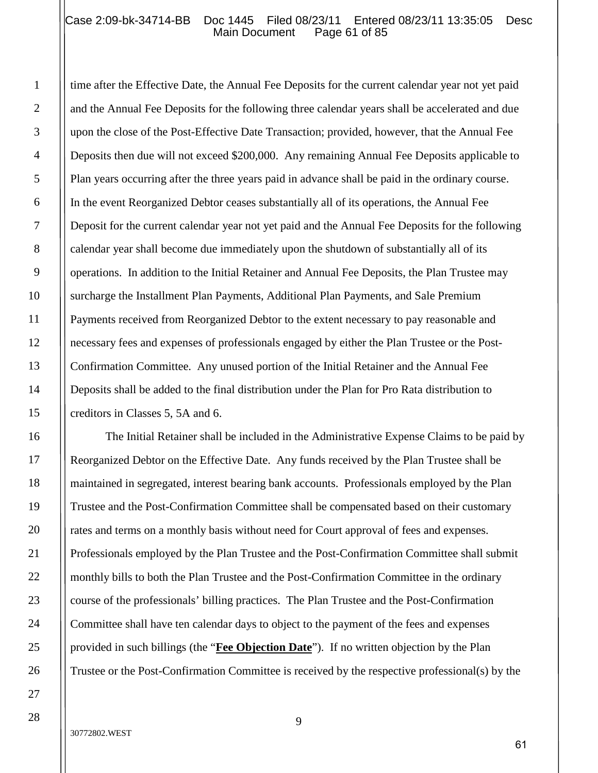## Case 2:09-bk-34714-BB Doc 1445 Filed 08/23/11 Entered 08/23/11 13:35:05 Desc<br>Main Document Page 61 of 85 Main Document

time after the Effective Date, the Annual Fee Deposits for the current calendar year not yet paid and the Annual Fee Deposits for the following three calendar years shall be accelerated and due upon the close of the Post-Effective Date Transaction; provided, however, that the Annual Fee Deposits then due will not exceed \$200,000. Any remaining Annual Fee Deposits applicable to Plan years occurring after the three years paid in advance shall be paid in the ordinary course. In the event Reorganized Debtor ceases substantially all of its operations, the Annual Fee Deposit for the current calendar year not yet paid and the Annual Fee Deposits for the following calendar year shall become due immediately upon the shutdown of substantially all of its operations. In addition to the Initial Retainer and Annual Fee Deposits, the Plan Trustee may surcharge the Installment Plan Payments, Additional Plan Payments, and Sale Premium Payments received from Reorganized Debtor to the extent necessary to pay reasonable and necessary fees and expenses of professionals engaged by either the Plan Trustee or the Post-Confirmation Committee. Any unused portion of the Initial Retainer and the Annual Fee Deposits shall be added to the final distribution under the Plan for Pro Rata distribution to creditors in Classes 5, 5A and 6.

The Initial Retainer shall be included in the Administrative Expense Claims to be paid by Reorganized Debtor on the Effective Date. Any funds received by the Plan Trustee shall be maintained in segregated, interest bearing bank accounts. Professionals employed by the Plan Trustee and the Post-Confirmation Committee shall be compensated based on their customary rates and terms on a monthly basis without need for Court approval of fees and expenses. Professionals employed by the Plan Trustee and the Post-Confirmation Committee shall submit monthly bills to both the Plan Trustee and the Post-Confirmation Committee in the ordinary course of the professionals' billing practices. The Plan Trustee and the Post-Confirmation Committee shall have ten calendar days to object to the payment of the fees and expenses provided in such billings (the "**Fee Objection Date**"). If no written objection by the Plan Trustee or the Post-Confirmation Committee is received by the respective professional(s) by the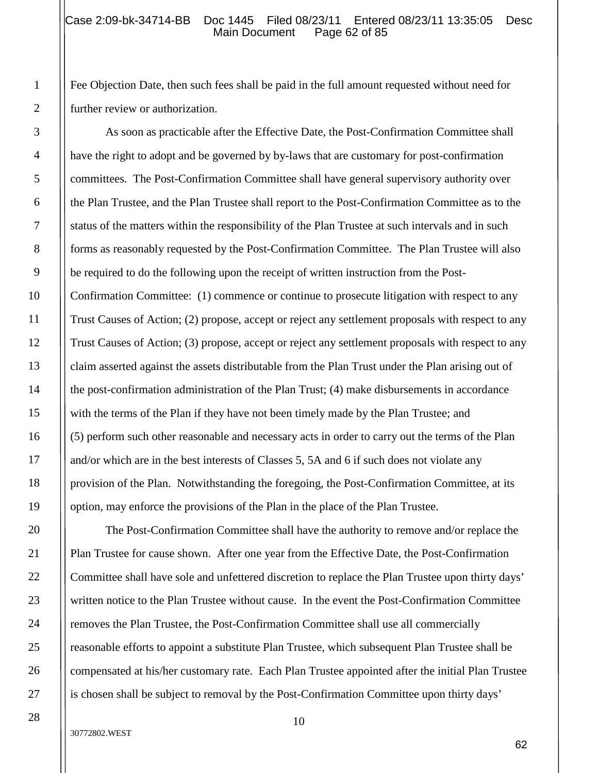#### Case 2:09-bk-34714-BB Doc 1445 Filed 08/23/11 Entered 08/23/11 13:35:05 Desc<br>Main Document Page 62 of 85 Main Document

Fee Objection Date, then such fees shall be paid in the full amount requested without need for further review or authorization.

As soon as practicable after the Effective Date, the Post-Confirmation Committee shall have the right to adopt and be governed by by-laws that are customary for post-confirmation committees. The Post-Confirmation Committee shall have general supervisory authority over the Plan Trustee, and the Plan Trustee shall report to the Post-Confirmation Committee as to the status of the matters within the responsibility of the Plan Trustee at such intervals and in such forms as reasonably requested by the Post-Confirmation Committee. The Plan Trustee will also be required to do the following upon the receipt of written instruction from the Post-Confirmation Committee: (1) commence or continue to prosecute litigation with respect to any Trust Causes of Action; (2) propose, accept or reject any settlement proposals with respect to any Trust Causes of Action; (3) propose, accept or reject any settlement proposals with respect to any claim asserted against the assets distributable from the Plan Trust under the Plan arising out of the post-confirmation administration of the Plan Trust; (4) make disbursements in accordance with the terms of the Plan if they have not been timely made by the Plan Trustee; and (5) perform such other reasonable and necessary acts in order to carry out the terms of the Plan and/or which are in the best interests of Classes 5, 5A and 6 if such does not violate any provision of the Plan. Notwithstanding the foregoing, the Post-Confirmation Committee, at its option, may enforce the provisions of the Plan in the place of the Plan Trustee.

The Post-Confirmation Committee shall have the authority to remove and/or replace the Plan Trustee for cause shown. After one year from the Effective Date, the Post-Confirmation Committee shall have sole and unfettered discretion to replace the Plan Trustee upon thirty days' written notice to the Plan Trustee without cause. In the event the Post-Confirmation Committee removes the Plan Trustee, the Post-Confirmation Committee shall use all commercially reasonable efforts to appoint a substitute Plan Trustee, which subsequent Plan Trustee shall be compensated at his/her customary rate. Each Plan Trustee appointed after the initial Plan Trustee is chosen shall be subject to removal by the Post-Confirmation Committee upon thirty days'

1

2

3

#### 30772802.WEST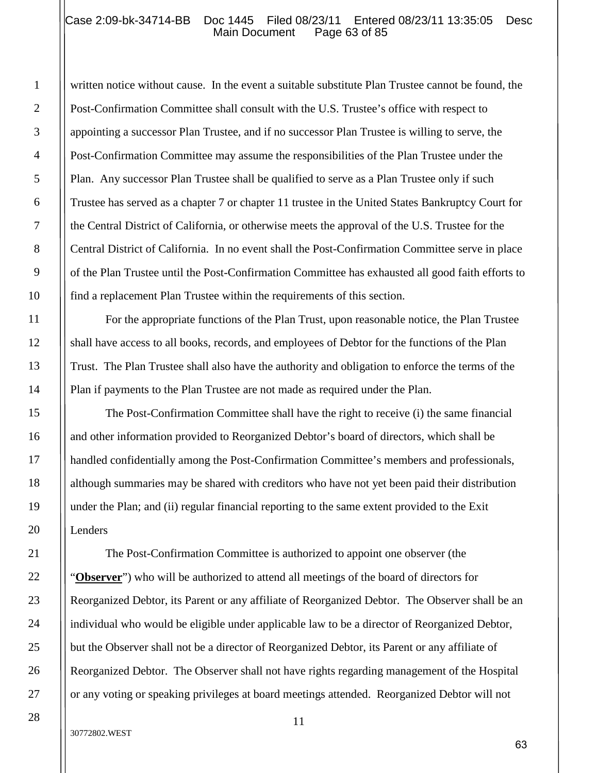#### Case 2:09-bk-34714-BB Doc 1445 Filed 08/23/11 Entered 08/23/11 13:35:05 Desc<br>Main Document Page 63 of 85 Main Document

written notice without cause. In the event a suitable substitute Plan Trustee cannot be found, the Post-Confirmation Committee shall consult with the U.S. Trustee's office with respect to appointing a successor Plan Trustee, and if no successor Plan Trustee is willing to serve, the Post-Confirmation Committee may assume the responsibilities of the Plan Trustee under the Plan. Any successor Plan Trustee shall be qualified to serve as a Plan Trustee only if such Trustee has served as a chapter 7 or chapter 11 trustee in the United States Bankruptcy Court for the Central District of California, or otherwise meets the approval of the U.S. Trustee for the Central District of California. In no event shall the Post-Confirmation Committee serve in place of the Plan Trustee until the Post-Confirmation Committee has exhausted all good faith efforts to find a replacement Plan Trustee within the requirements of this section.

For the appropriate functions of the Plan Trust, upon reasonable notice, the Plan Trustee shall have access to all books, records, and employees of Debtor for the functions of the Plan Trust. The Plan Trustee shall also have the authority and obligation to enforce the terms of the Plan if payments to the Plan Trustee are not made as required under the Plan.

The Post-Confirmation Committee shall have the right to receive (i) the same financial and other information provided to Reorganized Debtor's board of directors, which shall be handled confidentially among the Post-Confirmation Committee's members and professionals, although summaries may be shared with creditors who have not yet been paid their distribution under the Plan; and (ii) regular financial reporting to the same extent provided to the Exit Lenders

The Post-Confirmation Committee is authorized to appoint one observer (the "**Observer**") who will be authorized to attend all meetings of the board of directors for Reorganized Debtor, its Parent or any affiliate of Reorganized Debtor. The Observer shall be an individual who would be eligible under applicable law to be a director of Reorganized Debtor, but the Observer shall not be a director of Reorganized Debtor, its Parent or any affiliate of Reorganized Debtor. The Observer shall not have rights regarding management of the Hospital or any voting or speaking privileges at board meetings attended. Reorganized Debtor will not

1

2

3

4

5

6

7

8

9

10

11

12

13

14

15

16

17

18

19

20

21

22

23

24

25

26

27

28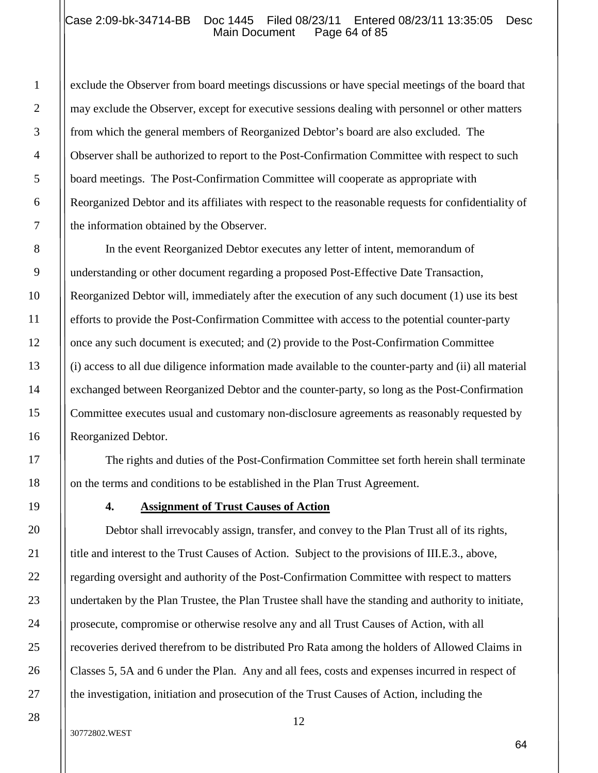#### Case 2:09-bk-34714-BB Doc 1445 Filed 08/23/11 Entered 08/23/11 13:35:05 Desc<br>Main Document Page 64 of 85 Main Document

exclude the Observer from board meetings discussions or have special meetings of the board that may exclude the Observer, except for executive sessions dealing with personnel or other matters from which the general members of Reorganized Debtor's board are also excluded. The Observer shall be authorized to report to the Post-Confirmation Committee with respect to such board meetings. The Post-Confirmation Committee will cooperate as appropriate with Reorganized Debtor and its affiliates with respect to the reasonable requests for confidentiality of the information obtained by the Observer.

In the event Reorganized Debtor executes any letter of intent, memorandum of understanding or other document regarding a proposed Post-Effective Date Transaction, Reorganized Debtor will, immediately after the execution of any such document (1) use its best efforts to provide the Post-Confirmation Committee with access to the potential counter-party once any such document is executed; and (2) provide to the Post-Confirmation Committee (i) access to all due diligence information made available to the counter-party and (ii) all material exchanged between Reorganized Debtor and the counter-party, so long as the Post-Confirmation Committee executes usual and customary non-disclosure agreements as reasonably requested by Reorganized Debtor.

The rights and duties of the Post-Confirmation Committee set forth herein shall terminate on the terms and conditions to be established in the Plan Trust Agreement.

#### **4. Assignment of Trust Causes of Action**

Debtor shall irrevocably assign, transfer, and convey to the Plan Trust all of its rights, title and interest to the Trust Causes of Action. Subject to the provisions of III.E.3., above, regarding oversight and authority of the Post-Confirmation Committee with respect to matters undertaken by the Plan Trustee, the Plan Trustee shall have the standing and authority to initiate, prosecute, compromise or otherwise resolve any and all Trust Causes of Action, with all recoveries derived therefrom to be distributed Pro Rata among the holders of Allowed Claims in Classes 5, 5A and 6 under the Plan. Any and all fees, costs and expenses incurred in respect of the investigation, initiation and prosecution of the Trust Causes of Action, including the

1

2

3

4

5

6

7

8

9

10

11

12

13

14

15

16

17

18

#### 30772802.WEST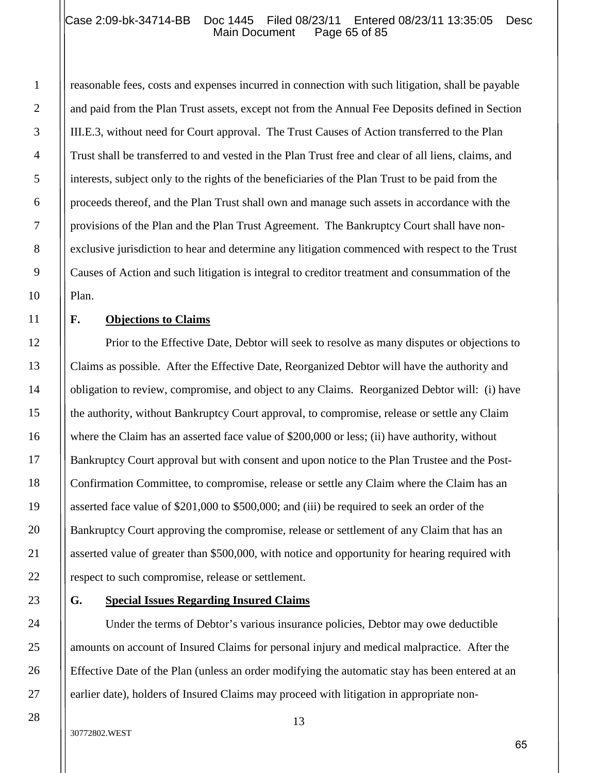## Case 2:09-bk-34714-BB Doc 1445 Filed 08/23/11 Entered 08/23/11 13:35:05 Desc<br>Main Document Page 65 of 85 Main Document

reasonable fees, costs and expenses incurred in connection with such litigation, shall be payable and paid from the Plan Trust assets, except not from the Annual Fee Deposits defined in Section III.E.3, without need for Court approval. The Trust Causes of Action transferred to the Plan Trust shall be transferred to and vested in the Plan Trust free and clear of all liens, claims, and interests, subject only to the rights of the beneficiaries of the Plan Trust to be paid from the proceeds thereof, and the Plan Trust shall own and manage such assets in accordance with the provisions of the Plan and the Plan Trust Agreement. The Bankruptcy Court shall have nonexclusive jurisdiction to hear and determine any litigation commenced with respect to the Trust Causes of Action and such litigation is integral to creditor treatment and consummation of the Plan.

## **F. Objections to Claims**

1

2

3

4

5

6

7

8

9

10

11

12

13

14

15

16

17

18

19

20

21

22

23

24

25

26

27

28

Prior to the Effective Date, Debtor will seek to resolve as many disputes or objections to Claims as possible. After the Effective Date, Reorganized Debtor will have the authority and obligation to review, compromise, and object to any Claims. Reorganized Debtor will: (i) have the authority, without Bankruptcy Court approval, to compromise, release or settle any Claim where the Claim has an asserted face value of \$200,000 or less; (ii) have authority, without Bankruptcy Court approval but with consent and upon notice to the Plan Trustee and the Post-Confirmation Committee, to compromise, release or settle any Claim where the Claim has an asserted face value of \$201,000 to \$500,000; and (iii) be required to seek an order of the Bankruptcy Court approving the compromise, release or settlement of any Claim that has an asserted value of greater than \$500,000, with notice and opportunity for hearing required with respect to such compromise, release or settlement.

#### **G. Special Issues Regarding Insured Claims**

Under the terms of Debtor's various insurance policies, Debtor may owe deductible amounts on account of Insured Claims for personal injury and medical malpractice. After the Effective Date of the Plan (unless an order modifying the automatic stay has been entered at an earlier date), holders of Insured Claims may proceed with litigation in appropriate non-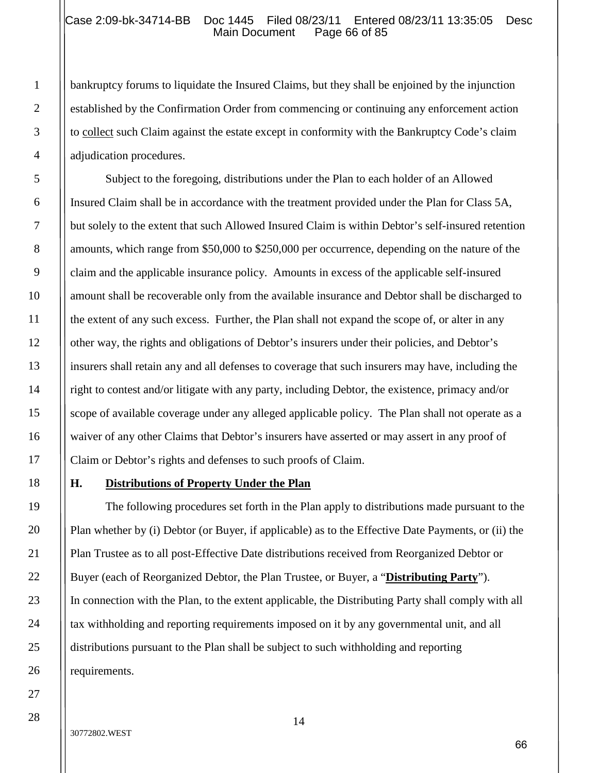#### Case 2:09-bk-34714-BB Doc 1445 Filed 08/23/11 Entered 08/23/11 13:35:05 Desc<br>Main Document Page 66 of 85 Main Document

bankruptcy forums to liquidate the Insured Claims, but they shall be enjoined by the injunction established by the Confirmation Order from commencing or continuing any enforcement action to collect such Claim against the estate except in conformity with the Bankruptcy Code's claim adjudication procedures.

Subject to the foregoing, distributions under the Plan to each holder of an Allowed Insured Claim shall be in accordance with the treatment provided under the Plan for Class 5A, but solely to the extent that such Allowed Insured Claim is within Debtor's self-insured retention amounts, which range from \$50,000 to \$250,000 per occurrence, depending on the nature of the claim and the applicable insurance policy. Amounts in excess of the applicable self-insured amount shall be recoverable only from the available insurance and Debtor shall be discharged to the extent of any such excess. Further, the Plan shall not expand the scope of, or alter in any other way, the rights and obligations of Debtor's insurers under their policies, and Debtor's insurers shall retain any and all defenses to coverage that such insurers may have, including the right to contest and/or litigate with any party, including Debtor, the existence, primacy and/or scope of available coverage under any alleged applicable policy. The Plan shall not operate as a waiver of any other Claims that Debtor's insurers have asserted or may assert in any proof of Claim or Debtor's rights and defenses to such proofs of Claim.

## **H. Distributions of Property Under the Plan**

The following procedures set forth in the Plan apply to distributions made pursuant to the Plan whether by (i) Debtor (or Buyer, if applicable) as to the Effective Date Payments, or (ii) the Plan Trustee as to all post-Effective Date distributions received from Reorganized Debtor or Buyer (each of Reorganized Debtor, the Plan Trustee, or Buyer, a "**Distributing Party**"). In connection with the Plan, to the extent applicable, the Distributing Party shall comply with all tax withholding and reporting requirements imposed on it by any governmental unit, and all distributions pursuant to the Plan shall be subject to such withholding and reporting requirements.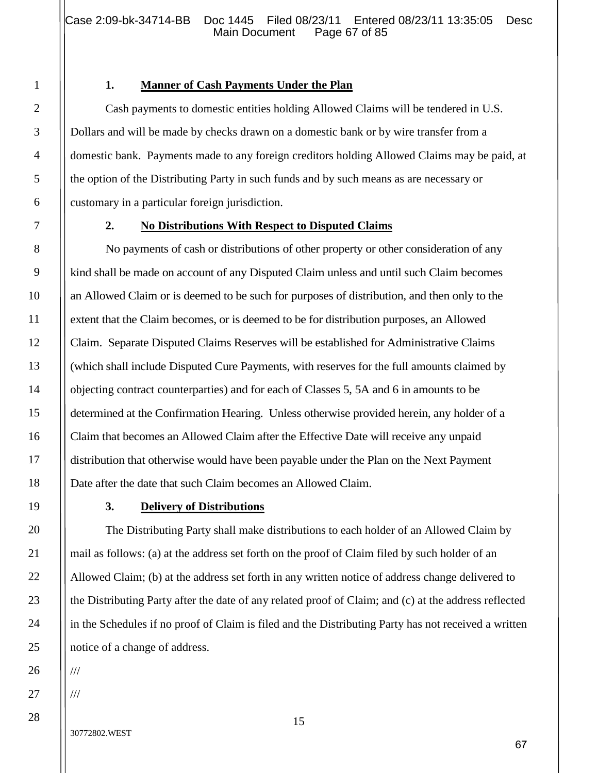## **1. Manner of Cash Payments Under the Plan**

Cash payments to domestic entities holding Allowed Claims will be tendered in U.S. Dollars and will be made by checks drawn on a domestic bank or by wire transfer from a domestic bank. Payments made to any foreign creditors holding Allowed Claims may be paid, at the option of the Distributing Party in such funds and by such means as are necessary or customary in a particular foreign jurisdiction.

## **2. No Distributions With Respect to Disputed Claims**

No payments of cash or distributions of other property or other consideration of any kind shall be made on account of any Disputed Claim unless and until such Claim becomes an Allowed Claim or is deemed to be such for purposes of distribution, and then only to the extent that the Claim becomes, or is deemed to be for distribution purposes, an Allowed Claim. Separate Disputed Claims Reserves will be established for Administrative Claims (which shall include Disputed Cure Payments, with reserves for the full amounts claimed by objecting contract counterparties) and for each of Classes 5, 5A and 6 in amounts to be determined at the Confirmation Hearing. Unless otherwise provided herein, any holder of a Claim that becomes an Allowed Claim after the Effective Date will receive any unpaid distribution that otherwise would have been payable under the Plan on the Next Payment Date after the date that such Claim becomes an Allowed Claim.

## **3. Delivery of Distributions**

The Distributing Party shall make distributions to each holder of an Allowed Claim by mail as follows: (a) at the address set forth on the proof of Claim filed by such holder of an Allowed Claim; (b) at the address set forth in any written notice of address change delivered to the Distributing Party after the date of any related proof of Claim; and (c) at the address reflected in the Schedules if no proof of Claim is filed and the Distributing Party has not received a written notice of a change of address.

///

1

2

3

4

5

6

7

8

9

10

11

12

13

14

15

16

17

18

19

20

21

22

23

24

25

26

27

28

///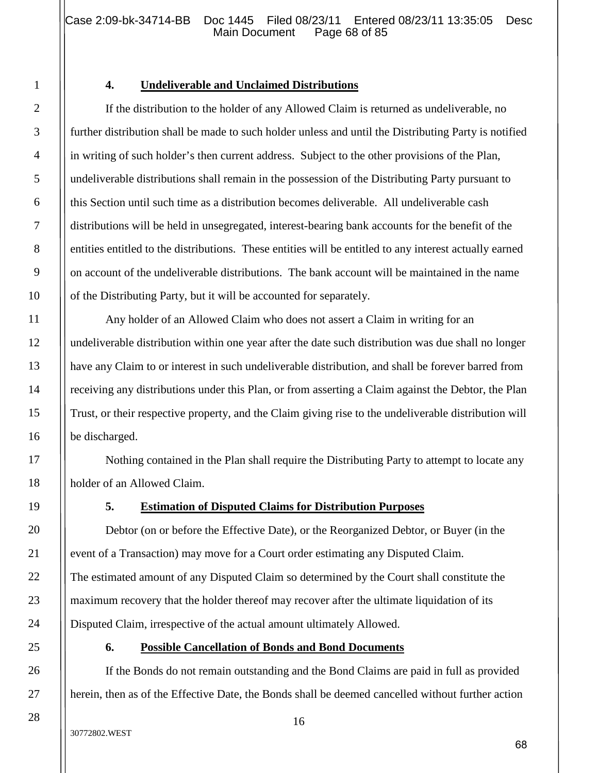Case 2:09-bk-34714-BB Doc 1445 Filed 08/23/11 Entered 08/23/11 13:35:05 Desc<br>Main Document Page 68 of 85 Main Document

#### **4. Undeliverable and Unclaimed Distributions**

If the distribution to the holder of any Allowed Claim is returned as undeliverable, no further distribution shall be made to such holder unless and until the Distributing Party is notified in writing of such holder's then current address. Subject to the other provisions of the Plan, undeliverable distributions shall remain in the possession of the Distributing Party pursuant to this Section until such time as a distribution becomes deliverable. All undeliverable cash distributions will be held in unsegregated, interest-bearing bank accounts for the benefit of the entities entitled to the distributions. These entities will be entitled to any interest actually earned on account of the undeliverable distributions. The bank account will be maintained in the name of the Distributing Party, but it will be accounted for separately.

Any holder of an Allowed Claim who does not assert a Claim in writing for an undeliverable distribution within one year after the date such distribution was due shall no longer have any Claim to or interest in such undeliverable distribution, and shall be forever barred from receiving any distributions under this Plan, or from asserting a Claim against the Debtor, the Plan Trust, or their respective property, and the Claim giving rise to the undeliverable distribution will be discharged.

Nothing contained in the Plan shall require the Distributing Party to attempt to locate any holder of an Allowed Claim.

#### **5. Estimation of Disputed Claims for Distribution Purposes**

Debtor (on or before the Effective Date), or the Reorganized Debtor, or Buyer (in the event of a Transaction) may move for a Court order estimating any Disputed Claim. The estimated amount of any Disputed Claim so determined by the Court shall constitute the maximum recovery that the holder thereof may recover after the ultimate liquidation of its Disputed Claim, irrespective of the actual amount ultimately Allowed.

#### **6. Possible Cancellation of Bonds and Bond Documents**

If the Bonds do not remain outstanding and the Bond Claims are paid in full as provided herein, then as of the Effective Date, the Bonds shall be deemed cancelled without further action

1

2

3

4

5

6

7

8

9

10

11

12

13

14

15

16

17

18

19

20

21

22

23

24

25

26

27

28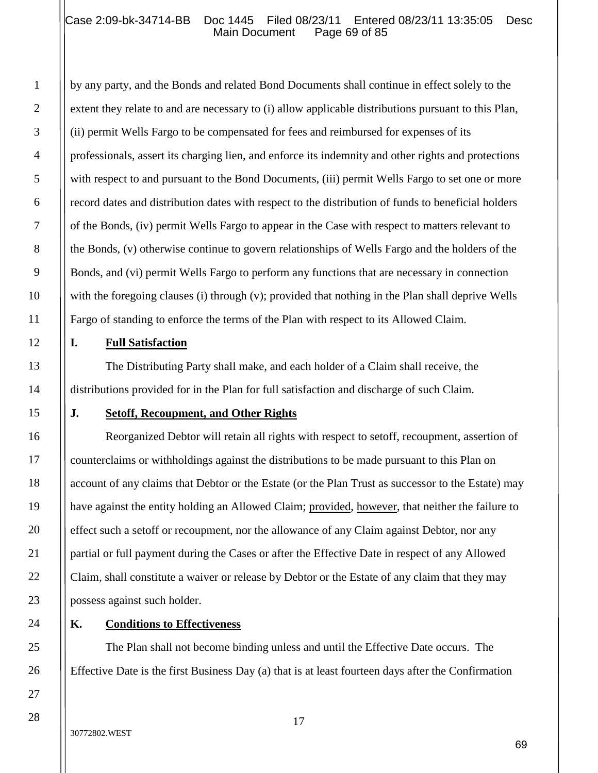## Case 2:09-bk-34714-BB Doc 1445 Filed 08/23/11 Entered 08/23/11 13:35:05 Desc<br>Main Document Page 69 of 85 Main Document

by any party, and the Bonds and related Bond Documents shall continue in effect solely to the extent they relate to and are necessary to (i) allow applicable distributions pursuant to this Plan, (ii) permit Wells Fargo to be compensated for fees and reimbursed for expenses of its professionals, assert its charging lien, and enforce its indemnity and other rights and protections with respect to and pursuant to the Bond Documents, (iii) permit Wells Fargo to set one or more record dates and distribution dates with respect to the distribution of funds to beneficial holders of the Bonds, (iv) permit Wells Fargo to appear in the Case with respect to matters relevant to the Bonds, (v) otherwise continue to govern relationships of Wells Fargo and the holders of the Bonds, and (vi) permit Wells Fargo to perform any functions that are necessary in connection with the foregoing clauses (i) through (v); provided that nothing in the Plan shall deprive Wells Fargo of standing to enforce the terms of the Plan with respect to its Allowed Claim.

#### **I. Full Satisfaction**

The Distributing Party shall make, and each holder of a Claim shall receive, the distributions provided for in the Plan for full satisfaction and discharge of such Claim.

## **J. Setoff, Recoupment, and Other Rights**

Reorganized Debtor will retain all rights with respect to setoff, recoupment, assertion of counterclaims or withholdings against the distributions to be made pursuant to this Plan on account of any claims that Debtor or the Estate (or the Plan Trust as successor to the Estate) may have against the entity holding an Allowed Claim; provided, however, that neither the failure to effect such a setoff or recoupment, nor the allowance of any Claim against Debtor, nor any partial or full payment during the Cases or after the Effective Date in respect of any Allowed Claim, shall constitute a waiver or release by Debtor or the Estate of any claim that they may possess against such holder.

## **K. Conditions to Effectiveness**

The Plan shall not become binding unless and until the Effective Date occurs. The Effective Date is the first Business Day (a) that is at least fourteen days after the Confirmation

1

2

3

4

5

6

7

8

9

10

11

12

13

14

15

16

17

18

19

20

21

22

23

24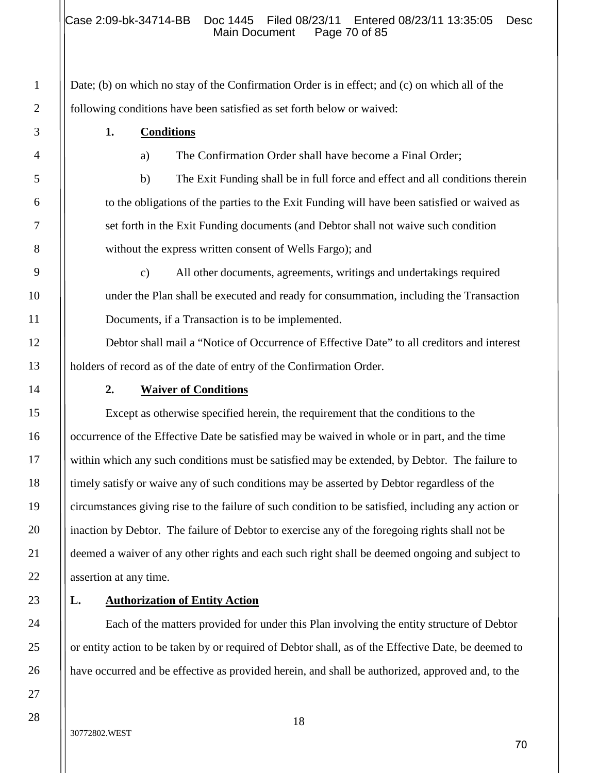Date; (b) on which no stay of the Confirmation Order is in effect; and (c) on which all of the following conditions have been satisfied as set forth below or waived:

**1. Conditions**

a) The Confirmation Order shall have become a Final Order;

b) The Exit Funding shall be in full force and effect and all conditions therein to the obligations of the parties to the Exit Funding will have been satisfied or waived as set forth in the Exit Funding documents (and Debtor shall not waive such condition without the express written consent of Wells Fargo); and

c) All other documents, agreements, writings and undertakings required under the Plan shall be executed and ready for consummation, including the Transaction Documents, if a Transaction is to be implemented.

Debtor shall mail a "Notice of Occurrence of Effective Date" to all creditors and interest holders of record as of the date of entry of the Confirmation Order.

## **2. Waiver of Conditions**

Except as otherwise specified herein, the requirement that the conditions to the occurrence of the Effective Date be satisfied may be waived in whole or in part, and the time within which any such conditions must be satisfied may be extended, by Debtor. The failure to timely satisfy or waive any of such conditions may be asserted by Debtor regardless of the circumstances giving rise to the failure of such condition to be satisfied, including any action or inaction by Debtor. The failure of Debtor to exercise any of the foregoing rights shall not be deemed a waiver of any other rights and each such right shall be deemed ongoing and subject to assertion at any time.

# **L. Authorization of Entity Action**

Each of the matters provided for under this Plan involving the entity structure of Debtor or entity action to be taken by or required of Debtor shall, as of the Effective Date, be deemed to have occurred and be effective as provided herein, and shall be authorized, approved and, to the

1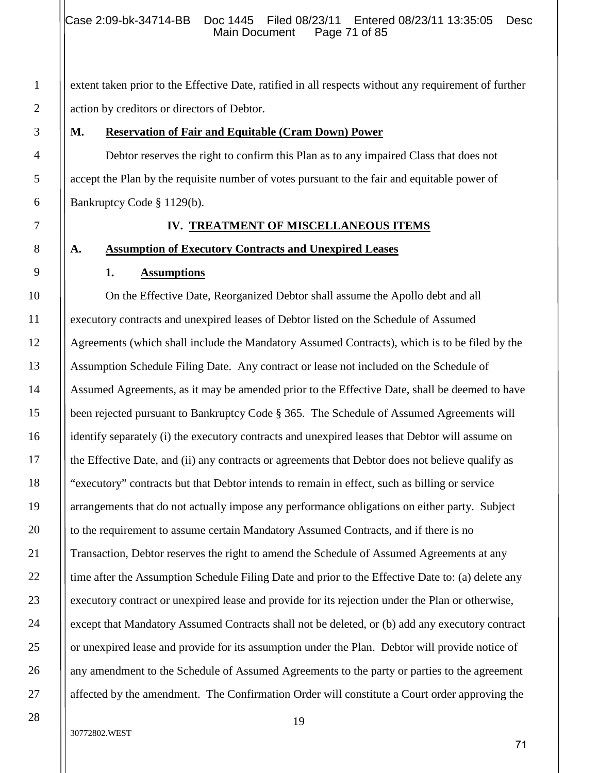extent taken prior to the Effective Date, ratified in all respects without any requirement of further action by creditors or directors of Debtor.

#### **M. Reservation of Fair and Equitable (Cram Down) Power**

Debtor reserves the right to confirm this Plan as to any impaired Class that does not accept the Plan by the requisite number of votes pursuant to the fair and equitable power of Bankruptcy Code § 1129(b).

#### **IV. TREATMENT OF MISCELLANEOUS ITEMS**

#### **A. Assumption of Executory Contracts and Unexpired Leases**

#### **1. Assumptions**

On the Effective Date, Reorganized Debtor shall assume the Apollo debt and all executory contracts and unexpired leases of Debtor listed on the Schedule of Assumed Agreements (which shall include the Mandatory Assumed Contracts), which is to be filed by the Assumption Schedule Filing Date. Any contract or lease not included on the Schedule of Assumed Agreements, as it may be amended prior to the Effective Date, shall be deemed to have been rejected pursuant to Bankruptcy Code § 365. The Schedule of Assumed Agreements will identify separately (i) the executory contracts and unexpired leases that Debtor will assume on the Effective Date, and (ii) any contracts or agreements that Debtor does not believe qualify as "executory" contracts but that Debtor intends to remain in effect, such as billing or service arrangements that do not actually impose any performance obligations on either party. Subject to the requirement to assume certain Mandatory Assumed Contracts, and if there is no Transaction, Debtor reserves the right to amend the Schedule of Assumed Agreements at any time after the Assumption Schedule Filing Date and prior to the Effective Date to: (a) delete any executory contract or unexpired lease and provide for its rejection under the Plan or otherwise, except that Mandatory Assumed Contracts shall not be deleted, or (b) add any executory contract or unexpired lease and provide for its assumption under the Plan. Debtor will provide notice of any amendment to the Schedule of Assumed Agreements to the party or parties to the agreement affected by the amendment. The Confirmation Order will constitute a Court order approving the

#### 30772802.WEST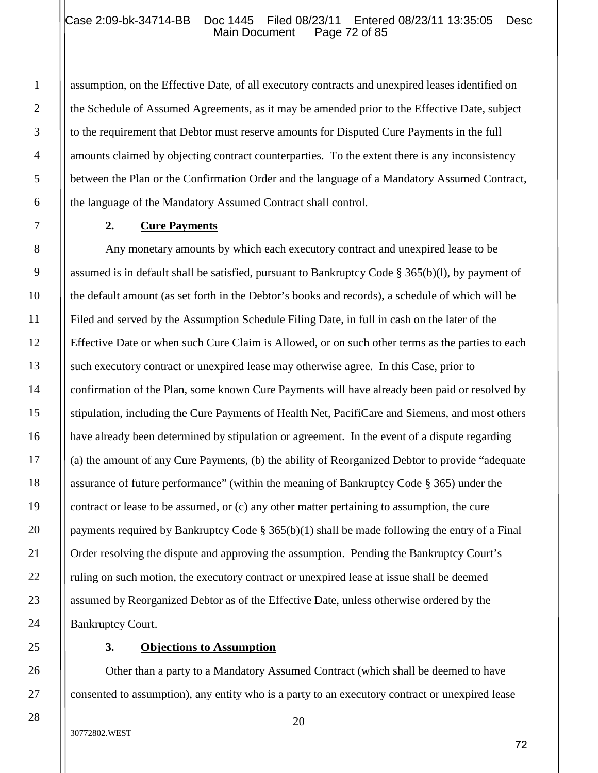assumption, on the Effective Date, of all executory contracts and unexpired leases identified on the Schedule of Assumed Agreements, as it may be amended prior to the Effective Date, subject to the requirement that Debtor must reserve amounts for Disputed Cure Payments in the full amounts claimed by objecting contract counterparties. To the extent there is any inconsistency between the Plan or the Confirmation Order and the language of a Mandatory Assumed Contract, the language of the Mandatory Assumed Contract shall control.

#### **2. Cure Payments**

1

2

3

4

5

6

7

8

9

10

11

12

13

14

15

16

17

18

19

20

21

22

23

24

25

26

27

28

Any monetary amounts by which each executory contract and unexpired lease to be assumed is in default shall be satisfied, pursuant to Bankruptcy Code § 365(b)(l), by payment of the default amount (as set forth in the Debtor's books and records), a schedule of which will be Filed and served by the Assumption Schedule Filing Date, in full in cash on the later of the Effective Date or when such Cure Claim is Allowed, or on such other terms as the parties to each such executory contract or unexpired lease may otherwise agree. In this Case, prior to confirmation of the Plan, some known Cure Payments will have already been paid or resolved by stipulation, including the Cure Payments of Health Net, PacifiCare and Siemens, and most others have already been determined by stipulation or agreement. In the event of a dispute regarding (a) the amount of any Cure Payments, (b) the ability of Reorganized Debtor to provide "adequate assurance of future performance" (within the meaning of Bankruptcy Code § 365) under the contract or lease to be assumed, or (c) any other matter pertaining to assumption, the cure payments required by Bankruptcy Code § 365(b)(1) shall be made following the entry of a Final Order resolving the dispute and approving the assumption. Pending the Bankruptcy Court's ruling on such motion, the executory contract or unexpired lease at issue shall be deemed assumed by Reorganized Debtor as of the Effective Date, unless otherwise ordered by the Bankruptcy Court.

#### **3. Objections to Assumption**

Other than a party to a Mandatory Assumed Contract (which shall be deemed to have consented to assumption), any entity who is a party to an executory contract or unexpired lease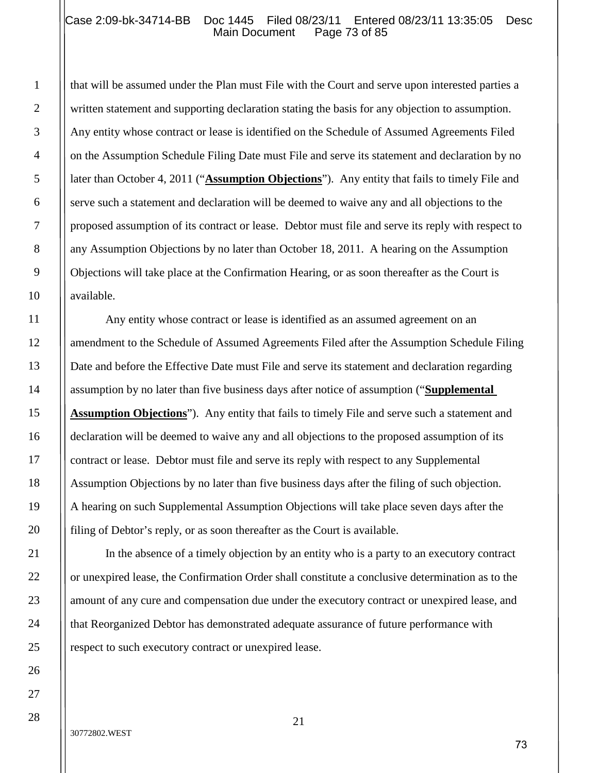## Case 2:09-bk-34714-BB Doc 1445 Filed 08/23/11 Entered 08/23/11 13:35:05 Desc<br>Main Document Page 73 of 85 Main Document

that will be assumed under the Plan must File with the Court and serve upon interested parties a written statement and supporting declaration stating the basis for any objection to assumption. Any entity whose contract or lease is identified on the Schedule of Assumed Agreements Filed on the Assumption Schedule Filing Date must File and serve its statement and declaration by no later than October 4, 2011 ("**Assumption Objections**"). Any entity that fails to timely File and serve such a statement and declaration will be deemed to waive any and all objections to the proposed assumption of its contract or lease. Debtor must file and serve its reply with respect to any Assumption Objections by no later than October 18, 2011. A hearing on the Assumption Objections will take place at the Confirmation Hearing, or as soon thereafter as the Court is available.

Any entity whose contract or lease is identified as an assumed agreement on an amendment to the Schedule of Assumed Agreements Filed after the Assumption Schedule Filing Date and before the Effective Date must File and serve its statement and declaration regarding assumption by no later than five business days after notice of assumption ("**Supplemental Assumption Objections**"). Any entity that fails to timely File and serve such a statement and declaration will be deemed to waive any and all objections to the proposed assumption of its contract or lease. Debtor must file and serve its reply with respect to any Supplemental Assumption Objections by no later than five business days after the filing of such objection. A hearing on such Supplemental Assumption Objections will take place seven days after the filing of Debtor's reply, or as soon thereafter as the Court is available.

In the absence of a timely objection by an entity who is a party to an executory contract or unexpired lease, the Confirmation Order shall constitute a conclusive determination as to the amount of any cure and compensation due under the executory contract or unexpired lease, and that Reorganized Debtor has demonstrated adequate assurance of future performance with respect to such executory contract or unexpired lease.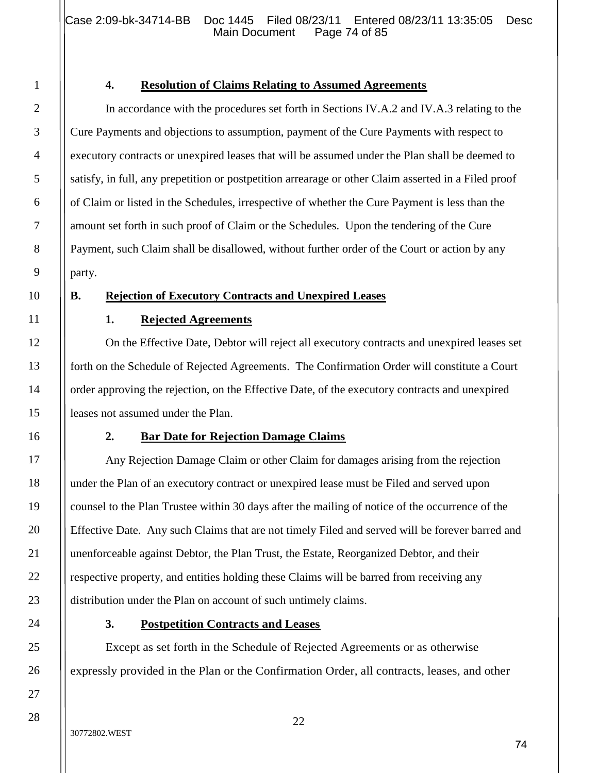Case 2:09-bk-34714-BB Doc 1445 Filed 08/23/11 Entered 08/23/11 13:35:05 Desc<br>Main Document Page 74 of 85 Main Document

#### **4. Resolution of Claims Relating to Assumed Agreements**

In accordance with the procedures set forth in Sections IV.A.2 and IV.A.3 relating to the Cure Payments and objections to assumption, payment of the Cure Payments with respect to executory contracts or unexpired leases that will be assumed under the Plan shall be deemed to satisfy, in full, any prepetition or postpetition arrearage or other Claim asserted in a Filed proof of Claim or listed in the Schedules, irrespective of whether the Cure Payment is less than the amount set forth in such proof of Claim or the Schedules. Upon the tendering of the Cure Payment, such Claim shall be disallowed, without further order of the Court or action by any party.

#### **B. Rejection of Executory Contracts and Unexpired Leases**

#### **1. Rejected Agreements**

On the Effective Date, Debtor will reject all executory contracts and unexpired leases set forth on the Schedule of Rejected Agreements. The Confirmation Order will constitute a Court order approving the rejection, on the Effective Date, of the executory contracts and unexpired leases not assumed under the Plan.

#### **2. Bar Date for Rejection Damage Claims**

Any Rejection Damage Claim or other Claim for damages arising from the rejection under the Plan of an executory contract or unexpired lease must be Filed and served upon counsel to the Plan Trustee within 30 days after the mailing of notice of the occurrence of the Effective Date. Any such Claims that are not timely Filed and served will be forever barred and unenforceable against Debtor, the Plan Trust, the Estate, Reorganized Debtor, and their respective property, and entities holding these Claims will be barred from receiving any distribution under the Plan on account of such untimely claims.

#### **3. Postpetition Contracts and Leases**

Except as set forth in the Schedule of Rejected Agreements or as otherwise expressly provided in the Plan or the Confirmation Order, all contracts, leases, and other

1

2

3

4

5

6

7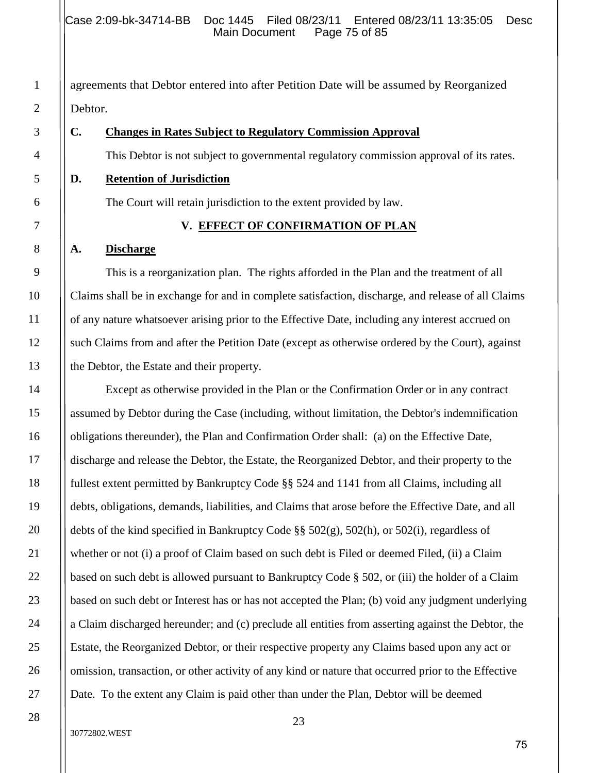agreements that Debtor entered into after Petition Date will be assumed by Reorganized Debtor.

#### **C. Changes in Rates Subject to Regulatory Commission Approval**

This Debtor is not subject to governmental regulatory commission approval of its rates.

**D. Retention of Jurisdiction**

The Court will retain jurisdiction to the extent provided by law.

#### **V. EFFECT OF CONFIRMATION OF PLAN**

#### **A. Discharge**

This is a reorganization plan. The rights afforded in the Plan and the treatment of all Claims shall be in exchange for and in complete satisfaction, discharge, and release of all Claims of any nature whatsoever arising prior to the Effective Date, including any interest accrued on such Claims from and after the Petition Date (except as otherwise ordered by the Court), against the Debtor, the Estate and their property.

Except as otherwise provided in the Plan or the Confirmation Order or in any contract assumed by Debtor during the Case (including, without limitation, the Debtor's indemnification obligations thereunder), the Plan and Confirmation Order shall: (a) on the Effective Date, discharge and release the Debtor, the Estate, the Reorganized Debtor, and their property to the fullest extent permitted by Bankruptcy Code §§ 524 and 1141 from all Claims, including all debts, obligations, demands, liabilities, and Claims that arose before the Effective Date, and all debts of the kind specified in Bankruptcy Code §§ 502(g), 502(h), or 502(i), regardless of whether or not (i) a proof of Claim based on such debt is Filed or deemed Filed, (ii) a Claim based on such debt is allowed pursuant to Bankruptcy Code § 502, or (iii) the holder of a Claim based on such debt or Interest has or has not accepted the Plan; (b) void any judgment underlying a Claim discharged hereunder; and (c) preclude all entities from asserting against the Debtor, the Estate, the Reorganized Debtor, or their respective property any Claims based upon any act or omission, transaction, or other activity of any kind or nature that occurred prior to the Effective Date. To the extent any Claim is paid other than under the Plan, Debtor will be deemed

1

2

#### 30772802.WEST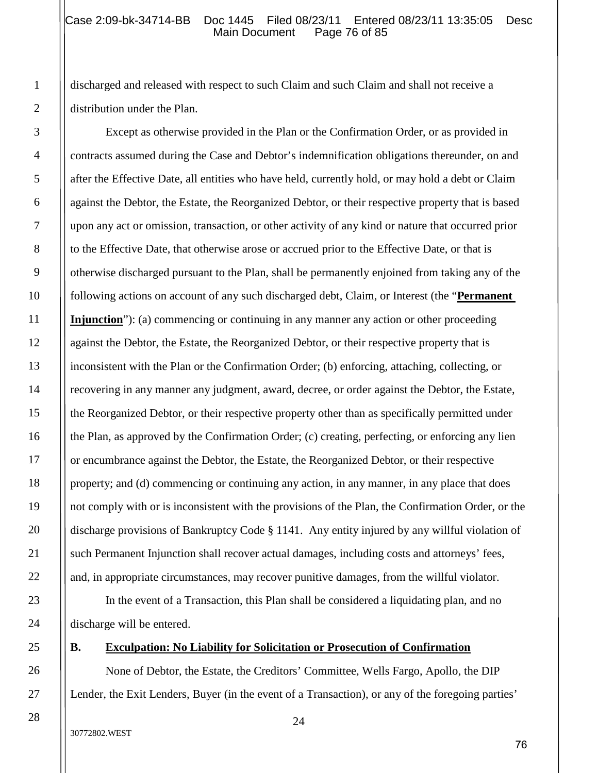#### Case 2:09-bk-34714-BB Doc 1445 Filed 08/23/11 Entered 08/23/11 13:35:05 Desc<br>Main Document Page 76 of 85 Page 76 of 85

discharged and released with respect to such Claim and such Claim and shall not receive a distribution under the Plan.

Except as otherwise provided in the Plan or the Confirmation Order, or as provided in contracts assumed during the Case and Debtor's indemnification obligations thereunder, on and after the Effective Date, all entities who have held, currently hold, or may hold a debt or Claim against the Debtor, the Estate, the Reorganized Debtor, or their respective property that is based upon any act or omission, transaction, or other activity of any kind or nature that occurred prior to the Effective Date, that otherwise arose or accrued prior to the Effective Date, or that is otherwise discharged pursuant to the Plan, shall be permanently enjoined from taking any of the following actions on account of any such discharged debt, Claim, or Interest (the "**Permanent Injunction**"): (a) commencing or continuing in any manner any action or other proceeding against the Debtor, the Estate, the Reorganized Debtor, or their respective property that is inconsistent with the Plan or the Confirmation Order; (b) enforcing, attaching, collecting, or recovering in any manner any judgment, award, decree, or order against the Debtor, the Estate, the Reorganized Debtor, or their respective property other than as specifically permitted under the Plan, as approved by the Confirmation Order; (c) creating, perfecting, or enforcing any lien or encumbrance against the Debtor, the Estate, the Reorganized Debtor, or their respective property; and (d) commencing or continuing any action, in any manner, in any place that does not comply with or is inconsistent with the provisions of the Plan, the Confirmation Order, or the discharge provisions of Bankruptcy Code § 1141. Any entity injured by any willful violation of such Permanent Injunction shall recover actual damages, including costs and attorneys' fees, and, in appropriate circumstances, may recover punitive damages, from the willful violator.

In the event of a Transaction, this Plan shall be considered a liquidating plan, and no discharge will be entered.

# **B. Exculpation: No Liability for Solicitation or Prosecution of Confirmation**

None of Debtor, the Estate, the Creditors' Committee, Wells Fargo, Apollo, the DIP Lender, the Exit Lenders, Buyer (in the event of a Transaction), or any of the foregoing parties'

24

27

28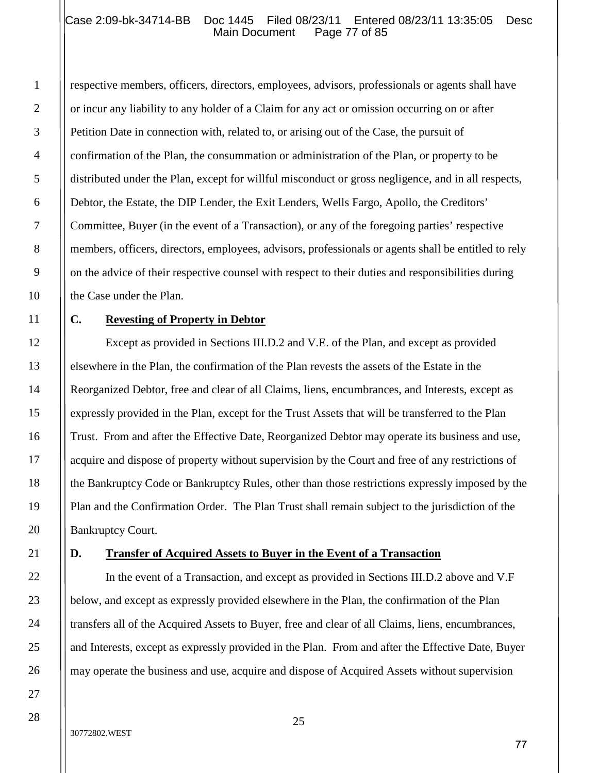## Case 2:09-bk-34714-BB Doc 1445 Filed 08/23/11 Entered 08/23/11 13:35:05 Desc<br>Main Document Page 77 of 85 Main Document

respective members, officers, directors, employees, advisors, professionals or agents shall have or incur any liability to any holder of a Claim for any act or omission occurring on or after Petition Date in connection with, related to, or arising out of the Case, the pursuit of confirmation of the Plan, the consummation or administration of the Plan, or property to be distributed under the Plan, except for willful misconduct or gross negligence, and in all respects, Debtor, the Estate, the DIP Lender, the Exit Lenders, Wells Fargo, Apollo, the Creditors' Committee, Buyer (in the event of a Transaction), or any of the foregoing parties' respective members, officers, directors, employees, advisors, professionals or agents shall be entitled to rely on the advice of their respective counsel with respect to their duties and responsibilities during the Case under the Plan.

## **C. Revesting of Property in Debtor**

Except as provided in Sections III.D.2 and V.E. of the Plan, and except as provided elsewhere in the Plan, the confirmation of the Plan revests the assets of the Estate in the Reorganized Debtor, free and clear of all Claims, liens, encumbrances, and Interests, except as expressly provided in the Plan, except for the Trust Assets that will be transferred to the Plan Trust. From and after the Effective Date, Reorganized Debtor may operate its business and use, acquire and dispose of property without supervision by the Court and free of any restrictions of the Bankruptcy Code or Bankruptcy Rules, other than those restrictions expressly imposed by the Plan and the Confirmation Order. The Plan Trust shall remain subject to the jurisdiction of the Bankruptcy Court.

#### **D. Transfer of Acquired Assets to Buyer in the Event of a Transaction**

In the event of a Transaction, and except as provided in Sections III.D.2 above and V.F below, and except as expressly provided elsewhere in the Plan, the confirmation of the Plan transfers all of the Acquired Assets to Buyer, free and clear of all Claims, liens, encumbrances, and Interests, except as expressly provided in the Plan. From and after the Effective Date, Buyer may operate the business and use, acquire and dispose of Acquired Assets without supervision

#### 30772802.WEST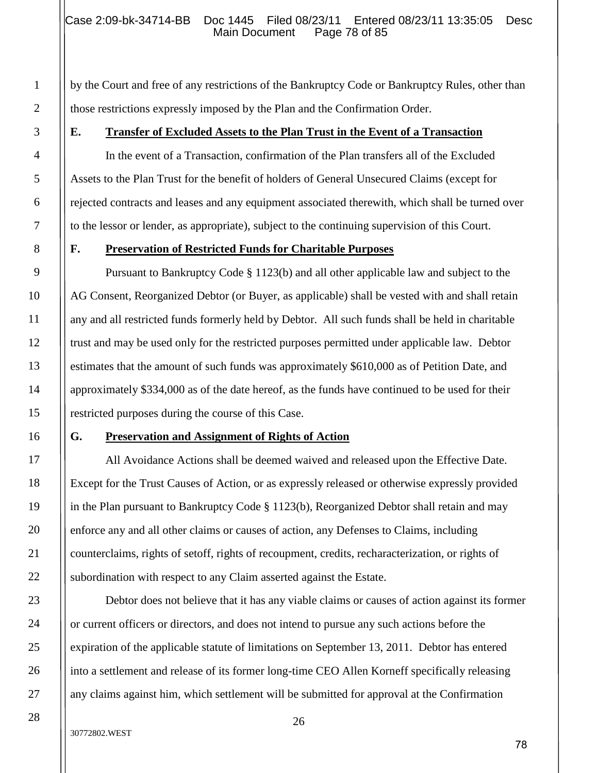by the Court and free of any restrictions of the Bankruptcy Code or Bankruptcy Rules, other than those restrictions expressly imposed by the Plan and the Confirmation Order.

## **E. Transfer of Excluded Assets to the Plan Trust in the Event of a Transaction**

In the event of a Transaction, confirmation of the Plan transfers all of the Excluded Assets to the Plan Trust for the benefit of holders of General Unsecured Claims (except for rejected contracts and leases and any equipment associated therewith, which shall be turned over to the lessor or lender, as appropriate), subject to the continuing supervision of this Court.

## **F. Preservation of Restricted Funds for Charitable Purposes**

Pursuant to Bankruptcy Code § 1123(b) and all other applicable law and subject to the AG Consent, Reorganized Debtor (or Buyer, as applicable) shall be vested with and shall retain any and all restricted funds formerly held by Debtor. All such funds shall be held in charitable trust and may be used only for the restricted purposes permitted under applicable law. Debtor estimates that the amount of such funds was approximately \$610,000 as of Petition Date, and approximately \$334,000 as of the date hereof, as the funds have continued to be used for their restricted purposes during the course of this Case.

## **G. Preservation and Assignment of Rights of Action**

All Avoidance Actions shall be deemed waived and released upon the Effective Date. Except for the Trust Causes of Action, or as expressly released or otherwise expressly provided in the Plan pursuant to Bankruptcy Code § 1123(b), Reorganized Debtor shall retain and may enforce any and all other claims or causes of action, any Defenses to Claims, including counterclaims, rights of setoff, rights of recoupment, credits, recharacterization, or rights of subordination with respect to any Claim asserted against the Estate.

Debtor does not believe that it has any viable claims or causes of action against its former or current officers or directors, and does not intend to pursue any such actions before the expiration of the applicable statute of limitations on September 13, 2011. Debtor has entered into a settlement and release of its former long-time CEO Allen Korneff specifically releasing any claims against him, which settlement will be submitted for approval at the Confirmation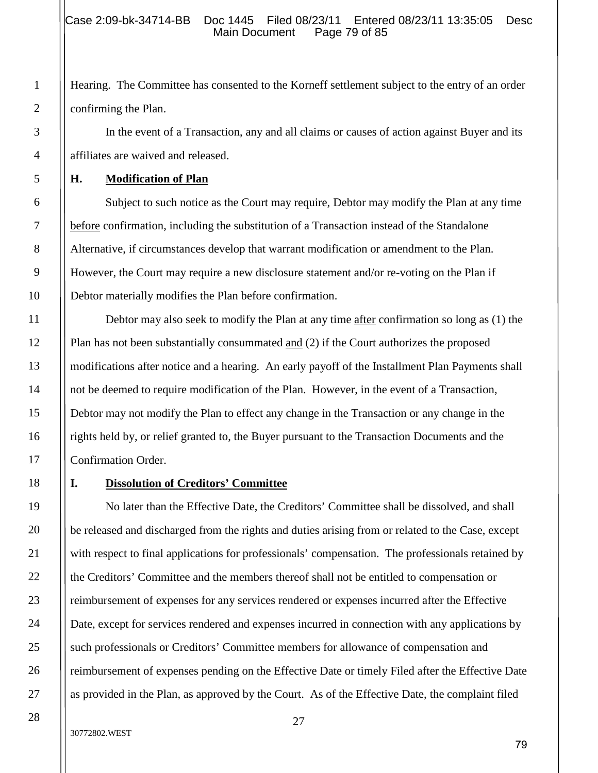Hearing. The Committee has consented to the Korneff settlement subject to the entry of an order confirming the Plan.

In the event of a Transaction, any and all claims or causes of action against Buyer and its affiliates are waived and released.

## **H. Modification of Plan**

Subject to such notice as the Court may require, Debtor may modify the Plan at any time before confirmation, including the substitution of a Transaction instead of the Standalone Alternative, if circumstances develop that warrant modification or amendment to the Plan. However, the Court may require a new disclosure statement and/or re-voting on the Plan if Debtor materially modifies the Plan before confirmation.

Debtor may also seek to modify the Plan at any time after confirmation so long as (1) the Plan has not been substantially consummated and (2) if the Court authorizes the proposed modifications after notice and a hearing. An early payoff of the Installment Plan Payments shall not be deemed to require modification of the Plan. However, in the event of a Transaction, Debtor may not modify the Plan to effect any change in the Transaction or any change in the rights held by, or relief granted to, the Buyer pursuant to the Transaction Documents and the Confirmation Order.

## **I. Dissolution of Creditors' Committee**

No later than the Effective Date, the Creditors' Committee shall be dissolved, and shall be released and discharged from the rights and duties arising from or related to the Case, except with respect to final applications for professionals' compensation. The professionals retained by the Creditors' Committee and the members thereof shall not be entitled to compensation or reimbursement of expenses for any services rendered or expenses incurred after the Effective Date, except for services rendered and expenses incurred in connection with any applications by such professionals or Creditors' Committee members for allowance of compensation and reimbursement of expenses pending on the Effective Date or timely Filed after the Effective Date as provided in the Plan, as approved by the Court. As of the Effective Date, the complaint filed

1

2

3

4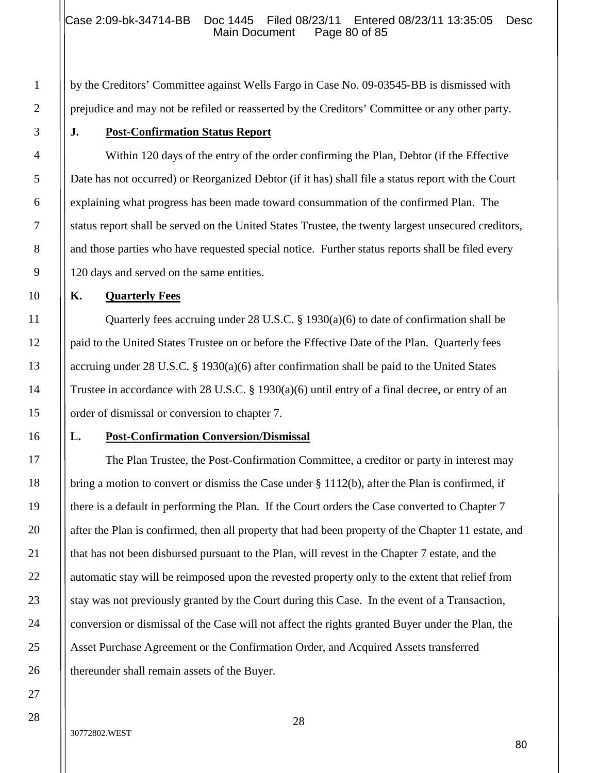by the Creditors' Committee against Wells Fargo in Case No. 09-03545-BB is dismissed with prejudice and may not be refiled or reasserted by the Creditors' Committee or any other party.

## **J. Post-Confirmation Status Report**

Within 120 days of the entry of the order confirming the Plan, Debtor (if the Effective Date has not occurred) or Reorganized Debtor (if it has) shall file a status report with the Court explaining what progress has been made toward consummation of the confirmed Plan. The status report shall be served on the United States Trustee, the twenty largest unsecured creditors, and those parties who have requested special notice. Further status reports shall be filed every 120 days and served on the same entities.

## **K. Quarterly Fees**

Quarterly fees accruing under 28 U.S.C. § 1930(a)(6) to date of confirmation shall be paid to the United States Trustee on or before the Effective Date of the Plan. Quarterly fees accruing under 28 U.S.C. § 1930(a)(6) after confirmation shall be paid to the United States Trustee in accordance with 28 U.S.C. § 1930(a)(6) until entry of a final decree, or entry of an order of dismissal or conversion to chapter 7.

# **L. Post-Confirmation Conversion/Dismissal**

The Plan Trustee, the Post-Confirmation Committee, a creditor or party in interest may bring a motion to convert or dismiss the Case under § 1112(b), after the Plan is confirmed, if there is a default in performing the Plan. If the Court orders the Case converted to Chapter 7 after the Plan is confirmed, then all property that had been property of the Chapter 11 estate, and that has not been disbursed pursuant to the Plan, will revest in the Chapter 7 estate, and the automatic stay will be reimposed upon the revested property only to the extent that relief from stay was not previously granted by the Court during this Case. In the event of a Transaction, conversion or dismissal of the Case will not affect the rights granted Buyer under the Plan, the Asset Purchase Agreement or the Confirmation Order, and Acquired Assets transferred thereunder shall remain assets of the Buyer.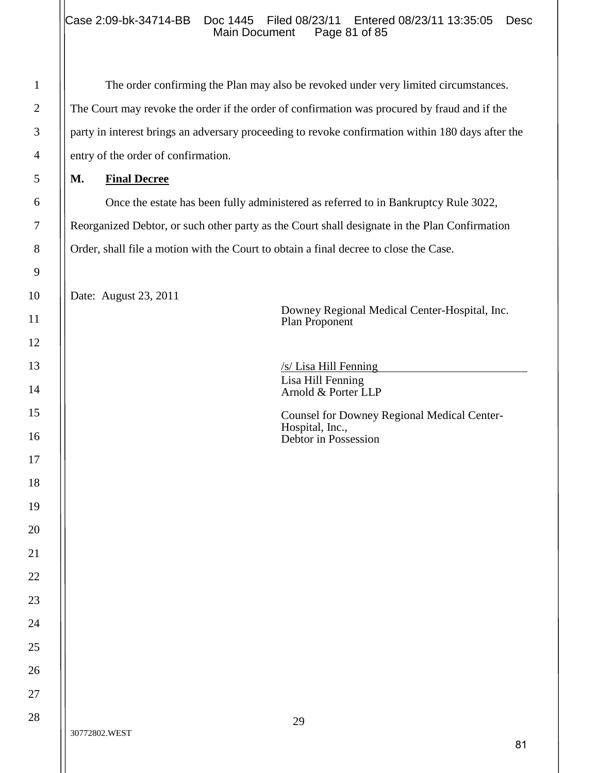The order confirming the Plan may also be revoked under very limited circumstances. The Court may revoke the order if the order of confirmation was procured by fraud and if the party in interest brings an adversary proceeding to revoke confirmation within 180 days after the entry of the order of confirmation.

## **M. Final Decree**

Once the estate has been fully administered as referred to in Bankruptcy Rule 3022, Reorganized Debtor, or such other party as the Court shall designate in the Plan Confirmation Order, shall file a motion with the Court to obtain a final decree to close the Case.

Date: August 23, 2011

Downey Regional Medical Center-Hospital, Inc. Plan Proponent

/s/ Lisa Hill Fenning Lisa Hill Fenning Arnold & Porter LLP

Counsel for Downey Regional Medical Center-Hospital, Inc., Debtor in Possession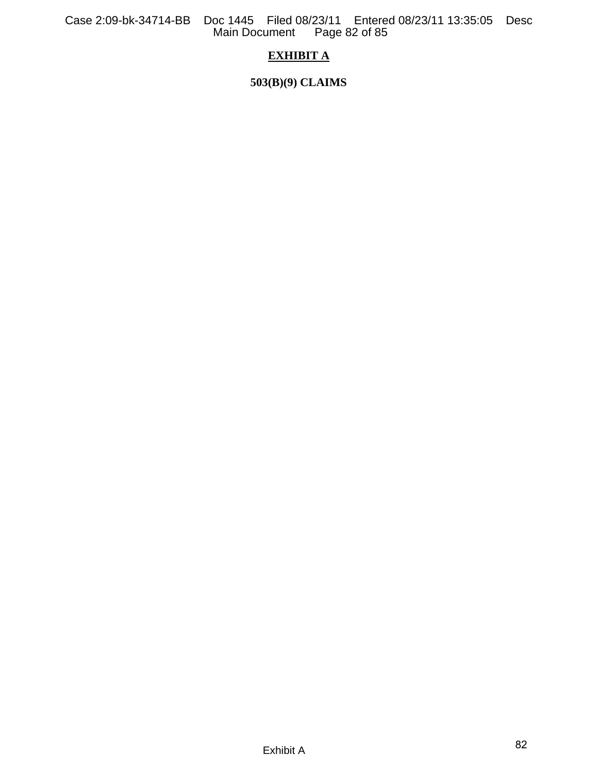Case 2:09-bk-34714-BB Doc 1445 Filed 08/23/11 Entered 08/23/11 13:35:05 Desc Main Document Page 82 of 85

# **EXHIBIT A**

**503(B)(9) CLAIMS**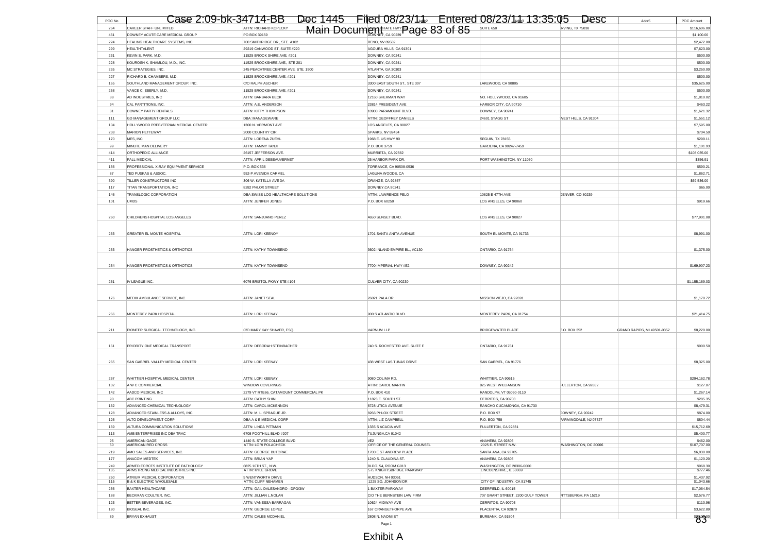| POC No     | Case 2:09-bk-34714-BB                                                    |                                                               | Doc 1445 Filed 08/23/14 Entered 08/23/14 13:35:05 Desc |                                                     |                        | Addr5<br>POC Amount                       |
|------------|--------------------------------------------------------------------------|---------------------------------------------------------------|--------------------------------------------------------|-----------------------------------------------------|------------------------|-------------------------------------------|
| 264        | CAREER STAFF UNLIMITED                                                   | ATTN: RICHARD KOPECKY                                         | Main Document FATE HWY Page 83 of 85                   | SUITE 650                                           | <b>RVING, TX 75038</b> | \$116,606.00                              |
| 461        | DOWNEY ACUTE CARE MEDICAL GROUP                                          | PO BOX 39159                                                  |                                                        |                                                     |                        | \$1,100.00                                |
| 224        | HEALING HEALTHCARE SYSTEMS, INC.                                         | 700 SMITHRIDGE DR., STE. A102                                 | <b>RENO, NV 89502</b>                                  |                                                     |                        | \$2,472.00                                |
| 299        | <b>HEALTHTALENT</b>                                                      | 29219 CANWOOD ST, SUITE #220                                  | AGOURA HILLS, CA 91301                                 |                                                     |                        | \$7,623.00                                |
| 231<br>228 | KEVIN S. PARK, M.D.<br>KOUROSH K. SHAMLOU, M.D., INC.                    | 11525 BROOK SHIRE AVE, #201<br>11525 BROOKSHIRE AVE., STE 201 | DOWNEY, CA 90241<br>DOWNEY, CA 90241                   |                                                     |                        | \$500.00<br>\$500.00                      |
| 235        | MC STRATEGIES, INC.                                                      | 245 PEACHTREE CENTER AVE. STE. 1900                           | ATLANTA, GA 30303                                      |                                                     |                        | \$3,250.00                                |
| 227        | RICHARD B. CHAMBERS, M.D.                                                | 11525 BROOKSHIRE AVE. #201                                    | DOWNEY, CA 90241                                       |                                                     |                        | \$500.00                                  |
| 165        | SOUTHLAND MANAGEMENT GROUP, INC.                                         | C/O RALPH ASCHER                                              | 3300 EAST SOUTH ST., STE 307                           | LAKEWOOD, CA 90805                                  |                        | \$35,625.00                               |
| 258        | VANCE C. EBERLY, M.D                                                     | 11525 BROOKSHIRE AVE. #201                                    | DOWNEY, CA 90241                                       |                                                     |                        | \$500.00                                  |
| 88         | AD INDUSTRIES, INC                                                       | ATTN: BARBARA BECK                                            | 12160 SHERMAN WAY                                      | NO. HOLLYWOOD, CA 91605                             |                        | \$1,810.02                                |
| 94         | CAL PARTITIONS, INC.                                                     | ATTN: A.E. ANDERSON                                           | 23814 PRESIDENT AVE                                    | HARBOR CITY, CA 90710                               |                        | \$463.22                                  |
| 81         | DOWNEY PARTY RENTALS                                                     | ATTN: KITTY THOMPSON                                          | 10900 PARAMOUNT BLVD                                   | DOWNEY, CA 90241                                    |                        | \$1,621.32                                |
| 111        | GD MANAGEMENT GROUP LLC                                                  | DBA: MANAGEWARE                                               | ATTN: GEOFFREY DANIELS                                 | 24601 STAGG ST                                      | WEST HILLS, CA 91304   | \$1,551.12                                |
| 104<br>238 | HOLLYWOOD PREBYTERIAN MEDICAL CENTER<br>MARION PETTEWAY                  | 1300 N. VERMONT AVE<br>2000 COUNTRY CIR.                      | LOS ANGELES, CA 90027<br>SPARKS, NV 89434              |                                                     |                        | \$7,595.00                                |
| 170        | MES, INC                                                                 | ATTN: LORENA ZUEHL                                            | 1968 E. US HWY 90                                      | SEGUIN, TX 78155                                    |                        | \$704.50<br>\$299.11                      |
| 99         | MINUTE MAN DELIVERY                                                      | ATTN: TAMMY TANJI                                             | P.O. BOX 3759                                          | GARDENA, CA 90247-7459                              |                        | \$1,101.93                                |
| 414        | ORTHOPEDIC ALLIANCE                                                      | 26157 JEFFERSON AVE.                                          | MURRIETA, CA 92562                                     |                                                     |                        | \$108,035.00                              |
| 411        | PALL MEDICAL                                                             | ATTN: APRIL DEBEAUVERNET                                      | 25 HARBOR PARK DR.                                     | PORT WASHINGTON, NY 11050                           |                        | \$356.91                                  |
| 156        | PROFESSIONAL X-RAY EQUIPMENT SERVICE                                     | P.O. BOX 536                                                  | TORRANCE, CA 90508-0536                                |                                                     |                        | \$590.21                                  |
| 87         | TED PUSKAS & ASSOC.                                                      | 952-P AVENIDA CARMEL                                          | LAGUNA WOODS, CA                                       |                                                     |                        | \$1,862.71                                |
| 390        | TILLER CONSTRUCTORS INC                                                  | 306 W. KATELLA AVE 3A                                         | ORANGE, CA 92867                                       |                                                     |                        | \$69,536.00                               |
| 117        | TITAN TRANSPORTATION, INC                                                | 8282 PHLOX STREET                                             | DOWNEY, CA 90241                                       |                                                     |                        | \$65.00                                   |
| 146        | TRANSLOGIC CORPORATION                                                   | DBA SWISS LOG HEALTHCARE SOLUTIONS                            | ATTN: LAWRENCE PELO                                    | 10825 E 47TH AVE                                    | DENVER, CO 80239       |                                           |
| 101        | <b>UMDS</b>                                                              | ATTN: JENIFER JONES                                           | P.O. BOX 60250                                         | LOS ANGELES, CA 90060                               |                        | \$919.66                                  |
|            |                                                                          |                                                               |                                                        |                                                     |                        |                                           |
| 260        | CHILDRENS HOSPITAL LOS ANGELES                                           | ATTN: SANJUANO PEREZ                                          | 4650 SUNSET BLVD                                       | LOS ANGELES, CA 90027                               |                        | \$77,901.08                               |
|            |                                                                          |                                                               |                                                        |                                                     |                        |                                           |
| 263        | GREATER EL MONTE HOSPITAL                                                | ATTN: LORI KEENOY                                             | 1701 SANTA ANITA AVENUE                                | SOUTH EL MONTE, CA 91733                            |                        | \$8,991.00                                |
|            |                                                                          |                                                               |                                                        |                                                     |                        |                                           |
| 253        | HANGER PROSTHETICS & ORTHOTICS                                           | <b>ATTN: KATHY TOWNSEND</b>                                   | 3602 INLAND EMPIRE BL., #C130                          | ONTARIO, CA 91764                                   |                        | \$1,375.00                                |
|            |                                                                          |                                                               |                                                        |                                                     |                        |                                           |
| 254        | HANGER PROSTHETICS & ORTHOTICS                                           | ATTN: KATHY TOWNSEND                                          | 7700 IMPERIAL HWY #E2                                  | DOWNEY, CA 90242                                    |                        | \$169,907.23                              |
|            |                                                                          |                                                               |                                                        |                                                     |                        |                                           |
| 261        | IV LEAGUE INC.                                                           | 6076 BRISTOL PKWY STE #104                                    | CULVER CITY, CA 90230                                  |                                                     |                        | \$1,155,169.03                            |
|            |                                                                          |                                                               |                                                        |                                                     |                        |                                           |
| 176        | MEDIX AMBULANCE SERVICE, INC.                                            | ATTN: JANET SEAL                                              | 26021 PALA DR.                                         | MISSION VIEJO, CA 92691                             |                        | \$1,170.72                                |
|            |                                                                          |                                                               |                                                        |                                                     |                        |                                           |
| 266        | MONTEREY PARK HOSPITAL                                                   | ATTN: LORI KEENAY                                             | 900 S ATLANTIC BLVD.                                   | MONTEREY PARK, CA 91754                             |                        | \$21,414.75                               |
|            |                                                                          |                                                               |                                                        |                                                     |                        |                                           |
| 211        | PIONEER SURGICAL TECHNOLOGY, INC.                                        | C/O MARY KAY SHAVER, ESQ.                                     | VARNUM LLP                                             | <b>BRIDGEWATER PLACE</b>                            | P.O. BOX 352           | GRAND RAPIDS, MI 49501-0352<br>\$8,220.00 |
|            |                                                                          |                                                               |                                                        |                                                     |                        |                                           |
| 161        | PRIORITY ONE MEDICAL TRANSPORT                                           | ATTN: DEBORAH STEINBACHER                                     | 740 S. ROCHESTER AVE. SUITE E                          | ONTARIO, CA 91761                                   |                        | \$900.50                                  |
|            |                                                                          |                                                               |                                                        |                                                     |                        |                                           |
| 265        | SAN GABRIEL VALLEY MEDICAL CENTER                                        | ATTN: LORI KEENAY                                             | 438 WEST LAS TUNAS DRIVE                               | SAN GABRIEL, CA 91776                               |                        | \$8,325.00                                |
|            |                                                                          |                                                               |                                                        |                                                     |                        |                                           |
|            |                                                                          |                                                               |                                                        |                                                     |                        |                                           |
| 267<br>102 | WHITTIER HOSPITAL MEDICAL CENTER<br>A W C COMMERCIAL                     | ATTN: LORI KEENAY<br>WINDOW COVERINGS                         | 9080 COLIMA RD.<br>ATTN: CAROL MARTIN                  | WHITTIER, CA 90615<br>325 WEST WILLIAMSON           | FULLERTON, CA 92832    | \$294,162.78<br>\$127.07                  |
| 142        | AADCO MEDICAL INC                                                        | 2279 VT RTE66, CATAMOUNT COMMERCIAL PK                        | P.O. BOX 410                                           | RANDOLPH, VT 05060-0110                             |                        | \$1,267.14                                |
| 90         | ABC PRINTING                                                             | ATTN: CATHY SHIN                                              | 11823 E. SOUTH ST.                                     | CERRITOS, CA 90703                                  |                        | \$285.35                                  |
| 162        | ADVANCED CHEMICAL TECHNOLOGY                                             | ATTN: CAROL MCKENNON                                          | 8728 UTICA AVENUE                                      | RANCHO CUCAMONGA, CA 91730                          |                        | \$8,479.31                                |
| 128        | ADVANCED STAINLESS & ALLOYS, INC.                                        | ATTN: M. L. SPRAGUE JR.                                       | 8266 PHLOX STREET                                      | P.O. BOX 97                                         | DOWNEY, CA 90242       | \$874.00                                  |
| 126        | ALTO DEVELOPMENT CORP                                                    | DBA A & E MEDICAL CORP                                        | ATTN: LIZ CAMPBELL                                     | P.O. BOX 758                                        | FARMINGDALE, NJ 07727  | \$804.44                                  |
|            | ALTURA COMMUNICATION SOLUTIONS                                           | ATTN: LINDA PITTMAN                                           | 1335 S ACACIA AVE                                      | ULLERTON, CA 92831                                  |                        | \$15,712.69                               |
| 113        | AMB ENTERPRISES INC DBA TRAC                                             | 6708 FOOTHILL BLVD #207                                       | TUJUNGA,CA 91042                                       |                                                     |                        | \$5,400.77                                |
| 95<br>50   | AMERICAN GAGE<br>AMERICAN RED CROSS                                      | 1440 S. STATE COLLEGE BLVD<br>ATTN: LORI POLACHECK            | #E2<br>OFFICE OF THE GENERAL COUNSEL                   | <b>ANAHEIM, CA 92806</b><br>2025 E. STREET N.W.     | WASHINGTON, DC 20006   | \$462.00<br>\$107,707.00                  |
| 219        | AMO SALES AND SERVICES, INC.                                             | ATTN: GEORGE BUTORAE                                          | 1700 E ST ANDREW PLACE                                 | SANTA ANA, CA 92705                                 |                        | \$6,830.00                                |
| 177        | ANACOM MEDTEK                                                            | ATTN: BRIAN YAP                                               | 1240 S. CLAUDINA ST.                                   | ANAHEIM, CA 92805                                   |                        | \$1,120.20                                |
| 249        | ARMED FORCES INSTITUTE OF PATHOLOGY<br>ARMSTRONG MEDICAL INDUSTRIES INC. | 6825 16TH ST., N.W.<br>ATTN: KYLE GROVE                       | BLDG. 54, ROOM G013<br>575 KNIGHTSBRIDGE PARKWAY       | WASHINGTON, DC 20306-6000<br>LINCOLNSHIRE, IL 60069 |                        | \$968.30                                  |
| 185<br>250 | ATRILIM MEDICAL CORPORATION                                              | 5 WENTWORTH DRIVE                                             | HUDSON, NH 03051                                       |                                                     |                        | \$777.46<br>\$1,437.92                    |
| 115        | <b>B &amp; K ELECTRIC WHOLESALE</b>                                      | ATTN: CLIFF NEHAMEN                                           | 1225 SO. JOHNSON DR                                    | CITY OF INDUSTRY, CA 91745                          |                        | \$1,043.66                                |
| 256        | BAXTER HEALTHCARE                                                        | ATTN: GAIL DALESANDRO - DFG/3W                                | 1 BAXTER PARKWAY                                       | DEERFIELD, IL 60015                                 |                        | \$17,064.54                               |
| 188        | BECKMAN COULTER, INC.                                                    | ATTN: JILLIAN L.NOLAN                                         | C/O THE BERNSTEIN LAW FIRM                             | 707 GRANT STREET, 2200 GULF TOWER                   | PITTSBURGH, PA 15219   | \$2,576.77                                |
| 123        | BETTER BEVERAGES, INC.                                                   | ATTN: VANESSA BARRAGAN                                        | 10624 MIDWAY AVE                                       | CERRITOS, CA 90703                                  |                        | \$110.96                                  |
| 180<br>89  | BIOSEAL INC.<br><b>BRYAN EXHAUST</b>                                     | ATTN: GEORGE LOPEZ<br>ATTN: CALEB MCDANIEL                    | 167 ORANGETHORPE AVE<br>2808 N. NAOMI ST               | PLACENTIA, CA 92870<br>BURBANK, CA 91504            |                        | \$3,622.89                                |
|            |                                                                          |                                                               | Page 1                                                 |                                                     |                        | <b>83°</b>                                |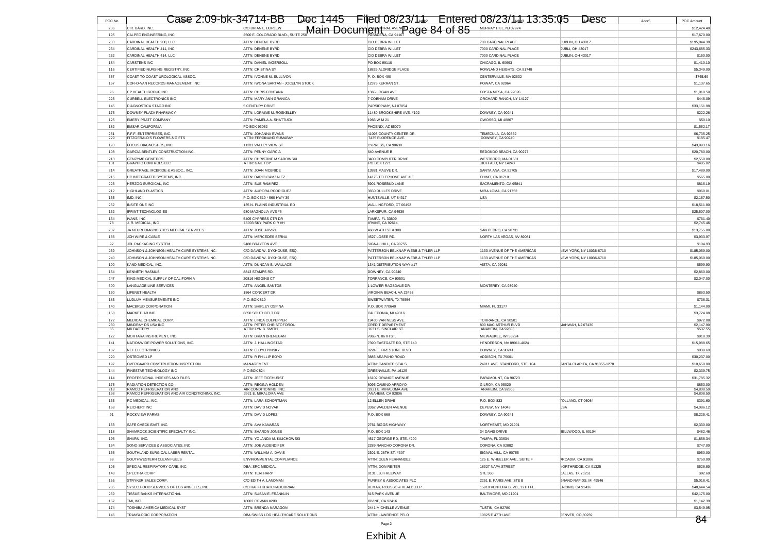| POC No     | Case 2:09-bk-34714-BB                                  |                                                                                   | Doc 1445  Filed 08/23/14  Entered 08/23/14  13:35:05 |                                                    | Desc<br>Addr <sub>5</sub>       | POC Amount                 |
|------------|--------------------------------------------------------|-----------------------------------------------------------------------------------|------------------------------------------------------|----------------------------------------------------|---------------------------------|----------------------------|
| 236        | C.R. BARD, INC.                                        |                                                                                   |                                                      | MURRAY HILL, NJ 07974                              |                                 | \$12,424.40                |
| 195        | CALPEC ENGINEERING, INC.                               | CO BRIAN L. BURLEW COORANDO BLVD., SUITE 250 Main Docume COLORAD BLVD., SUITE 250 |                                                      |                                                    |                                 | \$17,670.00                |
| 233        | CARDINAL HEALTH 200, LLC                               | ATTN: DENENE BYRD                                                                 | C/O DEBRA WILLET                                     | 700 CARDINAL PLACE                                 | DUBLIN, OH 43017                | \$195,044.38               |
| 234        | CARDINAL HEALTH 411, INC                               | ATTN: DENENE BYRD                                                                 | C/O DEBRA WILLET                                     | 7000 CARDINAL PLACE                                | DUBLI, OH 43017                 | \$243,685.33               |
| 232        | CARDINAL HEALTH 414, LLC                               | ATTN: DENENE BYRD                                                                 | C/O DEBRA WILLET                                     | 7000 CARDINAL PLACE                                | DUBLIN, OH 43017                | \$150.00                   |
| 184        | <b>CARSTENS INC</b>                                    | ATTN: DANIEL INGERSOLL                                                            | PO BOX 99110                                         | CHICAGO, IL 60693                                  |                                 | \$1,410.10                 |
| 116        | CERTIFIED NURSING REGISTRY, INC.                       | <b>ATTN: CRISTINA SY</b>                                                          | 18826 ALDRIDGE PLACE                                 | ROWLAND HEIGHTS, CA 91748                          |                                 | \$5,349.00                 |
| 367        | COAST TO COAST UROLOGICAL ASSOC                        | ATTN: IVONNE M. SULLIVON                                                          | P.O. BOX 490                                         | CENTERVILLE, MA 02632                              |                                 | \$765.69                   |
| 157        | COR-O-VAN RECORDS MANAGEMENT, INC                      | ATTN: IWONA SARTAN - JOCELYN STOCK                                                | 12375 KERRAN ST.                                     | POWAY, CA 92064                                    |                                 | \$1,137.6                  |
| 96         | CP HEALTH GROUP INC                                    | <b>ATTN: CHRIS FONTANA</b>                                                        | 1365 LOGAN AVE                                       | COSTA MESA, CA 92626                               |                                 | \$1,019.50                 |
| 225        | CURBELL ELECTRONICS INC                                | ATTN: MARY ANN GRANICA                                                            | 7 COBHAM DRIVE                                       | ORCHARD RANCH, NY 14127                            |                                 | \$446.09                   |
| 145        | DIAGNOSTICA STAGO INC                                  | 5 CENTURY DRIVE                                                                   | PARSIPPANY, NJ 07054                                 |                                                    |                                 | \$33,151.98                |
| 173        | DOWNEY PLAZA PHARMACY                                  | ATTN: LORAINE M. ROSKELLEY                                                        | 11480 BROOKSHIRE AVE. #102                           | DOWNEY, CA 90241                                   |                                 | \$222.26                   |
| 125        | <b>EMERY PRATT COMPANY</b>                             | ATTN: PAMELA A. SHATTUCK                                                          | 1966 W M 21                                          | OWOSSO, MI 48867                                   |                                 | \$50.10                    |
| 182        | <b>EMSAR CALIFORNIA</b>                                | PO BOX 93052                                                                      | PHOENIX, AZ 85070                                    |                                                    |                                 | \$1,552.17                 |
| 251        | F.F.F. ENTERPRISES. INC.                               | ATTN: JOHANNA FVANS                                                               | 41093 COUNTY CENTER DR.                              | TEMECULA, CA 92562                                 |                                 | \$6,735.25                 |
| 229        | FITZGERALD'S FLOWERS & GIFTS                           | ATTN: FERDINAND SUMABAY                                                           | 7435 FLORENCE AVE.                                   | DOWNEY, CA 90240                                   |                                 | \$185.47                   |
| 193        | FOCUS DIAGNOSTICS, INC.                                | 11331 VALLEY VIEW ST                                                              | CYPRESS, CA 90630                                    |                                                    |                                 | \$43,093.16                |
| 108        | GARCIA-BENTLEY CONSTRUCTION INC.                       | <b>ATTN: PENNY GARCIA</b>                                                         | 640 AVENUE B                                         | REDONDO BEACH, CA 90277                            |                                 | \$20,780.00                |
| 213<br>131 | <b>GENZYME GENETICS</b><br><b>GRAPHIC CONTROLS LLC</b> | ATTN: CHRISTINE M SADOWSKI<br>ATTN: GAIL TOY                                      | 3400 COMPUTER DRIVE<br>PO BOX 1271                   | WESTBORO, MA 01581<br>BUFFALO, NY 14240            |                                 | \$2,550.00<br>\$485.82     |
| 214        | GREATRAKE, MCBRIDE & ASSOC., INC.                      | ATTN: JOAN MCBRIDE                                                                | 13881 MAUVE DR                                       | SANTA ANA, CA 92705                                |                                 | \$17,489.00                |
| 215        | HC INTEGRATED SYSTEMS, INC.                            | ATTN: DARIO CAMZALEZ                                                              | 14175 TELEPHONE AVE # E                              | CHINO, CA 91710                                    |                                 | \$565.00                   |
| 223        | HERZOG SURGICAL, INC                                   | ATTN: SUE RAMIREZ                                                                 | 5901 ROSEBUD LANE                                    | SACRAMENTO, CA 95841                               |                                 | \$816.19                   |
| 212        | <b>HIGHLAND PLASTICS</b>                               | ATTN: AURORA RODRIGUEZ                                                            | 3650 DULLES DRIVE                                    | MIRA LOMA, CA 91752                                |                                 | \$969.0                    |
| 135        | IMD, INC.                                              | P.O. BOX 510 * 560 HWY 39                                                         | HUNTSVILLE, UT 84317                                 | <b>USA</b>                                         |                                 | \$2,167.50                 |
| 252        | <b>INSITE ONE INC</b>                                  | 135 N. PLAINS INDUSTRIAL RD                                                       | WALLINGFORD, CT 06492                                |                                                    |                                 | \$18,511.80                |
| 132        | <b>IPRINT TECHNOLOGIES</b>                             | 980 MAGNOLIA AVE #5                                                               | LARKSPUR, CA 94939                                   |                                                    |                                 | \$25,507.00                |
| 134        | <b>IVANS, INC</b>                                      | 5405 CYPRESS CTR DF                                                               | TAMPA, FL 33609                                      |                                                    |                                 | \$761.40                   |
| 78         | J. R. MEDICAL, INC.                                    | 18003 SKY PARK CIR #H                                                             | IRVINE, CA 92614                                     |                                                    |                                 | \$2,745.46                 |
| 237        | JA NEURODIAGNOSTICS MEDICAL SERVICES                   | ATTN: JOSE ARVIZU                                                                 | 468 W 4TH ST # 308                                   | SAN PEDRO, CA 90731                                |                                 | \$13,755.00                |
| 166        | JCH WIRE & CABLE                                       | ATTN: MERCEDES SERNA                                                              | 4527 LOSEE RD.                                       | NORTH LAS VEGAS, NV 89081                          |                                 | \$3,933.97                 |
| 92         | JDL PACKAGING SYSTEM                                   | 2480 BRAYTON AVE                                                                  | SIGNAL HILL, CA 90755                                |                                                    |                                 | \$104.93                   |
| 239        | JOHNSON & JOHNSON HEALTH CARE SYSTEMS INC.             | C/O DAVID W. DYKHOUSE, ESQ.                                                       | PATTERSON BELKNAP WEBB & TYLER LLP                   | 1133 AVENUE OF THE AMERICAS                        | NEW YORK, NY 10036-6710         | \$185,069.00               |
| 240        | JOHNSON & JOHNSON HEALTH CARE SYSTEMS INC              | C/O DAVID W. DYKHOUSE, ESQ.                                                       | PATTERSON BELKNAP WEBB & TYLER LLP                   | 1133 AVENUE OF THE AMERICAS                        | NEW YORK, NY 10036-6710         | \$185,069.00               |
| 100        | KAND MEDICAL. INC                                      | ATTN: DUNCAN B. WALLACE                                                           | 1341 DISTRIBUTION WAY #17                            | VISTA, CA 92081                                    |                                 | \$599.90                   |
| 154        | <b>KENNETH RASMUS</b>                                  | 8813 STAMPS RD                                                                    | DOWNEY, CA 90240                                     |                                                    |                                 | \$2,860.00                 |
| 247        | KING MEDICAL SUPPLY OF CALIFORNIA                      | 20816 HIGGINS CT                                                                  | TORRANCE, CA 90501                                   |                                                    |                                 | \$2,047.00                 |
| 300        | <b>LANGUAGE LINE SERVICES</b><br>LIFENET HEALTH        | ATTN: ANGEL SANTOS<br>1864 CONCERT DR.                                            | 1 LOWER RAGSDALE DR<br>VIRGINIA BEACH, VA 23453      | MONTEREY, CA 93940                                 |                                 | \$863.50                   |
| 130<br>183 | LUDLUM MEASUREMENTS INC                                | P.O. BOX 810                                                                      | SWEETWATER, TX 79556                                 |                                                    |                                 | \$736.3                    |
| 140        | MACBRUD CORPORATION                                    |                                                                                   |                                                      |                                                    |                                 |                            |
| 158        | MARKETLAB INC.                                         | ATTN: SHIRLEY OSPINA<br>6850 SOUTHBELT DR.                                        | P.O. BOX 770640<br>CALEDONIA, MI 49316               | MIAMI, FL 33177                                    |                                 | \$1,144.00<br>\$3,724.08   |
| 172        | MEDICAL CHEMICAL CORP.                                 | ATTN: I INDA CUI PEPPER                                                           | 19430 VAN NESS AVE                                   | TORRANCE, CA 90501                                 |                                 | \$972.08                   |
| 230        | MINDRAY DS USA INC                                     | ATTN: PETER CHRISTOFOROU                                                          | <b>CREDIT DEPARTMENT</b>                             | 300 MAC ARTHUR BLVD                                | MAHWAH, NJ 07430                | \$2,147.90                 |
| 85         | <b>MK BATTERY</b>                                      | ATTN: LYN B. SMITH                                                                | 1631 S. SINCLAIR ST.                                 | ANAHEIM, CA 92806                                  |                                 | \$537.55                   |
| 122        | MORTARA INSTRUMENT, INC.                               | ATTN: BRIAN BRENEGAN                                                              | 7865 N. 86TH ST.                                     | MILWAUKEE, WI 53224                                |                                 | \$918.39                   |
| 141        | NATIONWIDE POWER SOLUTIONS, INC.                       | ATTN: J. HALLINGSTAD                                                              | 7390 EASTGATE RD, STE 140                            | HENDERSON, NV 89011-4024                           |                                 | \$15,988.65                |
| 187        | <b>NET ELECTRONICS</b>                                 | ATTN: LLOYD PINSKY                                                                | 8224 E. FIRESTONE BLVD.                              | DOWNEY, CA 90241                                   |                                 | \$939.69                   |
| 220<br>197 | OSTEOMED LP<br>OVERGAARD CONSTRUCTION INSPECTION       | ATTN: R PHILLIP BOYD<br>MANAGEMENT                                                | 3885 ARAPAHO ROAD<br>ATTN: CANDICE SEALS             | ADDISON, TX 75001<br>24911 AVE. STANFORD, STE. 104 | SANTA CLARITA, CA 91355-1278    | \$30,237.00<br>\$10,650.00 |
| 144        | PINESTAR TECHNOLOGY INC                                | P O BOX 824                                                                       | GREENVILLE, PA 16125                                 |                                                    |                                 | \$2,339.75                 |
| 114        | PROFESSIONAL INDEXES AND FILES                         | ATTN: JEFF TICEHURST                                                              | 16102 ORANGE AVENUE                                  | PARAMOUNT, CA 90723                                |                                 | \$31,785.32                |
| 175        | RADIATION DETECTION CO.                                | ATTN: REGINA HOLDEN                                                               | 8095 CAMINO ARROYO                                   | GILROY, CA 95020                                   |                                 | \$853.00                   |
| 218        | RAMCO REFRIGERATION AND                                | AIR CONDITIONING, INC.                                                            | 3921 F. MIRAI OMA AVE                                | ANAHEIM, CA 92806                                  |                                 | \$4,808.50                 |
| 198        | RAMCO REFRIGERATION AND AIR CONDITIONING, INC          | 3921 E. MIRALOMA AVE                                                              | ANAHEIM, CA 92806                                    |                                                    |                                 | \$4,808.50                 |
| 133        | RC MEDICAL, INC.<br>REICHERT INC                       | ATTN: LARA SCHORTMAN<br>ATTN: DAVID NOVAK                                         | 12 ELLEN DRIVE                                       | P.O. BOX 833                                       | TOLLAND, CT 06084<br><b>USA</b> | \$391.60                   |
| 168        |                                                        |                                                                                   | 3362 WALDEN AVENUE                                   | DEPEW, NY 14043                                    |                                 | \$4,086.12                 |
| 91         | ROCKVIEW FARMS                                         | ATTN: DAVID LOPEZ                                                                 | P.O. BOX 668                                         | DOWNEY, CA 90241                                   |                                 | \$8,225.41                 |
| 153        | SAFE CHECK EAST, INC.                                  | ATTN: AVA KANARAS                                                                 | 2761 BIGGS HIGHWAY                                   | NORTHEAST, MD 21901                                |                                 | \$2,330.00                 |
| 118        | SHAMROCK SCIENTIFIC SPECIALTY INC.                     | ATTN: SHARON JONES                                                                | P.O. BOX 143                                         | 34 DAVIS DRIVE                                     | BELLWOOD, IL 60104              | \$482.46                   |
| 196        | SHARN, INC.                                            | ATTN: YOLANDA M. KILICHOWSKI                                                      | 4517 GEORGE RD, STE. #200                            | <b>TAMPA, FL 33634</b>                             |                                 | \$1,858.34                 |
| 164        | SONO SERVICES & ASSOCIATES, INC.                       | ATTN: JOE ALDENDIFER                                                              | 2289 RANCHO CORONA DR                                | CORONA, CA 92882                                   |                                 | \$747.00                   |
| 136        | SOUTHLAND SURGICAL LASER RENTAL                        | ATTN: WILLIAM A. DAVIS                                                            | 2301 E. 28TH ST. #307                                | SIGNAL HILL, CA 90755                              |                                 | \$950.00                   |
| 98         | SOUTHWESTERN CLEAN FUELS                               | ENVIRONMENTAL COMPLIANCE                                                          | ATTN: GLEN FERNANDEZ                                 | 125 E. WHEELER AVE., SUITE F                       | ARCADIA, CA 91006               | \$750.00                   |
| 105        | SPECIAL RESPIRATORY CARE, INC.                         | DBA: SRC MEDICAL                                                                  | ATTN: DON REITER                                     | 18327 NAPA STREET                                  | NORTHRIDGE, CA 91325            | \$526.80                   |
| 148        | SPECTRA CORP                                           | ATTN: TERI HARP                                                                   | 8131 LBJ FREEWAY                                     | <b>STE 360</b>                                     | DALLAS, TX 75251                | \$92.69                    |
| 155        | STRYKER SALES CORP.                                    | C/O EDITH A. LANDMAN                                                              | PURKEY & ASSOCIATES PLC                              | 2251 E. PARIS AVE; STE B                           | GRAND RAPIDS, MI 49546          | \$5,018.41                 |
| 205        | SYSCO FOOD SERVICES OF LOS ANGELES, INC.               | C/O RAFFI KHATCHADOURIAN                                                          | HEMAR, ROUSSO & HEALD, LLP                           | 15910 VENTURA BLVD., 12TH FL.                      | ENCINO, CA 91436                | \$48,644.54                |
| 259        | TISSUE BANKS INTERNATIONAL                             | ATTN: SUSAN E. FRANKLIN                                                           | <b>815 PARK AVENUE</b>                               | BALTIMORE, MD 21201                                |                                 | \$42,175.00                |
| 167        | TMI, INC.                                              | 18002 COWAN #200                                                                  | IRVINE, CA 92416                                     |                                                    |                                 | \$1,142.39                 |
| 174        | TOSHIBA AMERICA MEDICAL SYST                           | ATTN: BRENDA NARAGON                                                              | 2441 MICHELLE AVENUE                                 | TUSTIN, CA 92780                                   |                                 | \$3,549.95                 |
| 146        | TRANSLOGIC CORPORATION                                 | DBA SWISS LOG HEALTHCARE SOLUTIONS                                                | ATTN: LAWRENCE PELO                                  | 10825 E 47TH AVE                                   | <b>DENVER, CO 80239</b>         | 84                         |
|            |                                                        |                                                                                   | Page 2                                               |                                                    |                                 |                            |